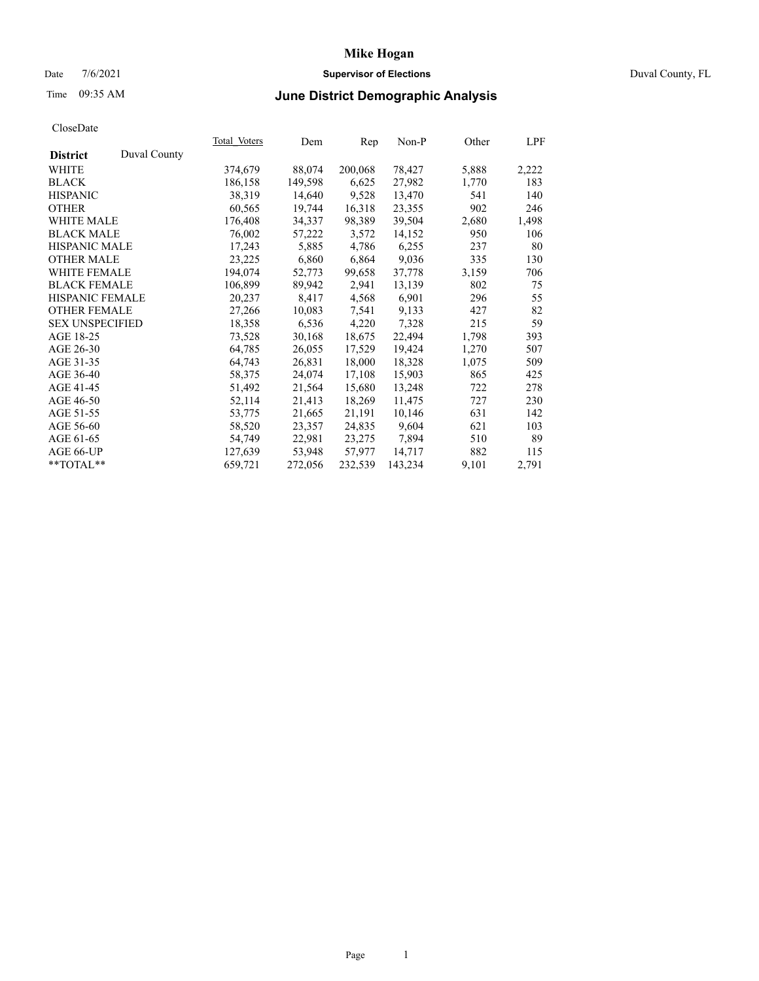## Date 7/6/2021 **Supervisor of Elections** Duval County, FL

# Time 09:35 AM **June District Demographic Analysis**

|                        |              | Total Voters | Dem     | Rep     | Non-P   | Other | LPF   |
|------------------------|--------------|--------------|---------|---------|---------|-------|-------|
| <b>District</b>        | Duval County |              |         |         |         |       |       |
| WHITE                  |              | 374,679      | 88,074  | 200,068 | 78,427  | 5,888 | 2,222 |
| <b>BLACK</b>           |              | 186,158      | 149,598 | 6,625   | 27,982  | 1,770 | 183   |
| <b>HISPANIC</b>        |              | 38,319       | 14,640  | 9,528   | 13,470  | 541   | 140   |
| <b>OTHER</b>           |              | 60,565       | 19,744  | 16,318  | 23,355  | 902   | 246   |
| WHITE MALE             |              | 176,408      | 34,337  | 98,389  | 39,504  | 2,680 | 1,498 |
| <b>BLACK MALE</b>      |              | 76,002       | 57,222  | 3,572   | 14,152  | 950   | 106   |
| <b>HISPANIC MALE</b>   |              | 17,243       | 5,885   | 4,786   | 6,255   | 237   | 80    |
| <b>OTHER MALE</b>      |              | 23,225       | 6,860   | 6,864   | 9,036   | 335   | 130   |
| <b>WHITE FEMALE</b>    |              | 194,074      | 52,773  | 99,658  | 37,778  | 3,159 | 706   |
| <b>BLACK FEMALE</b>    |              | 106,899      | 89,942  | 2,941   | 13,139  | 802   | 75    |
| <b>HISPANIC FEMALE</b> |              | 20,237       | 8,417   | 4,568   | 6,901   | 296   | 55    |
| <b>OTHER FEMALE</b>    |              | 27,266       | 10,083  | 7,541   | 9,133   | 427   | 82    |
| <b>SEX UNSPECIFIED</b> |              | 18,358       | 6,536   | 4,220   | 7,328   | 215   | 59    |
| AGE 18-25              |              | 73,528       | 30,168  | 18,675  | 22,494  | 1,798 | 393   |
| AGE 26-30              |              | 64,785       | 26,055  | 17,529  | 19,424  | 1,270 | 507   |
| AGE 31-35              |              | 64,743       | 26,831  | 18,000  | 18,328  | 1,075 | 509   |
| AGE 36-40              |              | 58,375       | 24,074  | 17,108  | 15,903  | 865   | 425   |
| AGE 41-45              |              | 51,492       | 21,564  | 15,680  | 13,248  | 722   | 278   |
| AGE 46-50              |              | 52,114       | 21,413  | 18,269  | 11,475  | 727   | 230   |
| AGE 51-55              |              | 53,775       | 21,665  | 21,191  | 10,146  | 631   | 142   |
| AGE 56-60              |              | 58,520       | 23,357  | 24,835  | 9,604   | 621   | 103   |
| AGE 61-65              |              | 54,749       | 22,981  | 23,275  | 7,894   | 510   | 89    |
| AGE 66-UP              |              | 127,639      | 53,948  | 57,977  | 14,717  | 882   | 115   |
| $*$ TOTAL $*$          |              | 659,721      | 272,056 | 232,539 | 143,234 | 9,101 | 2,791 |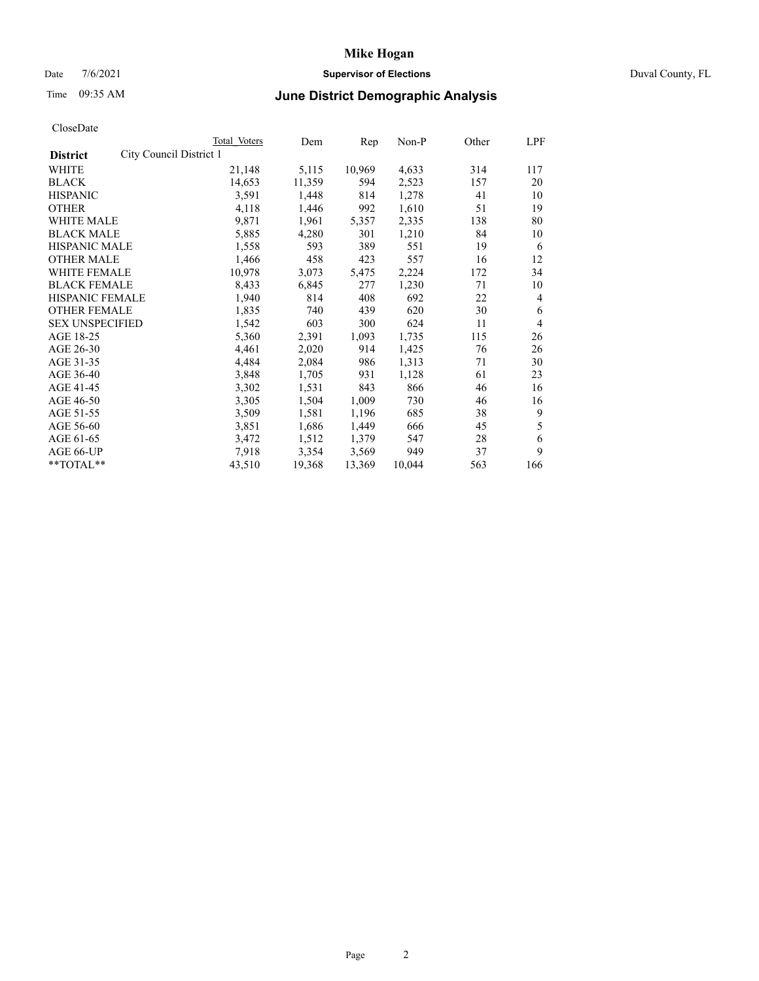### Date 7/6/2021 **Supervisor of Elections** Duval County, FL

# Time 09:35 AM **June District Demographic Analysis**

|                                            | <b>Total Voters</b> | Dem    | Rep    | $Non-P$ | Other | <b>LPF</b>     |
|--------------------------------------------|---------------------|--------|--------|---------|-------|----------------|
| City Council District 1<br><b>District</b> |                     |        |        |         |       |                |
| WHITE                                      | 21,148              | 5,115  | 10,969 | 4,633   | 314   | 117            |
| <b>BLACK</b>                               | 14,653              | 11,359 | 594    | 2,523   | 157   | 20             |
| <b>HISPANIC</b>                            | 3,591               | 1,448  | 814    | 1,278   | 41    | 10             |
| <b>OTHER</b>                               | 4,118               | 1,446  | 992    | 1,610   | 51    | 19             |
| WHITE MALE                                 | 9,871               | 1,961  | 5,357  | 2,335   | 138   | 80             |
| <b>BLACK MALE</b>                          | 5,885               | 4,280  | 301    | 1,210   | 84    | 10             |
| <b>HISPANIC MALE</b>                       | 1,558               | 593    | 389    | 551     | 19    | 6              |
| <b>OTHER MALE</b>                          | 1,466               | 458    | 423    | 557     | 16    | 12             |
| WHITE FEMALE                               | 10,978              | 3,073  | 5,475  | 2,224   | 172   | 34             |
| <b>BLACK FEMALE</b>                        | 8,433               | 6,845  | 277    | 1,230   | 71    | 10             |
| HISPANIC FEMALE                            | 1,940               | 814    | 408    | 692     | 22    | 4              |
| <b>OTHER FEMALE</b>                        | 1,835               | 740    | 439    | 620     | 30    | 6              |
| <b>SEX UNSPECIFIED</b>                     | 1,542               | 603    | 300    | 624     | 11    | $\overline{4}$ |
| AGE 18-25                                  | 5,360               | 2,391  | 1,093  | 1,735   | 115   | 26             |
| AGE 26-30                                  | 4,461               | 2,020  | 914    | 1,425   | 76    | 26             |
| AGE 31-35                                  | 4,484               | 2,084  | 986    | 1,313   | 71    | 30             |
| AGE 36-40                                  | 3,848               | 1,705  | 931    | 1,128   | 61    | 23             |
| AGE 41-45                                  | 3,302               | 1,531  | 843    | 866     | 46    | 16             |
| AGE 46-50                                  | 3,305               | 1,504  | 1,009  | 730     | 46    | 16             |
| AGE 51-55                                  | 3,509               | 1,581  | 1,196  | 685     | 38    | 9              |
| AGE 56-60                                  | 3,851               | 1,686  | 1,449  | 666     | 45    | 5              |
| AGE 61-65                                  | 3,472               | 1,512  | 1,379  | 547     | 28    | 6              |
| AGE 66-UP                                  | 7,918               | 3,354  | 3,569  | 949     | 37    | 9              |
| **TOTAL**                                  | 43,510              | 19,368 | 13,369 | 10,044  | 563   | 166            |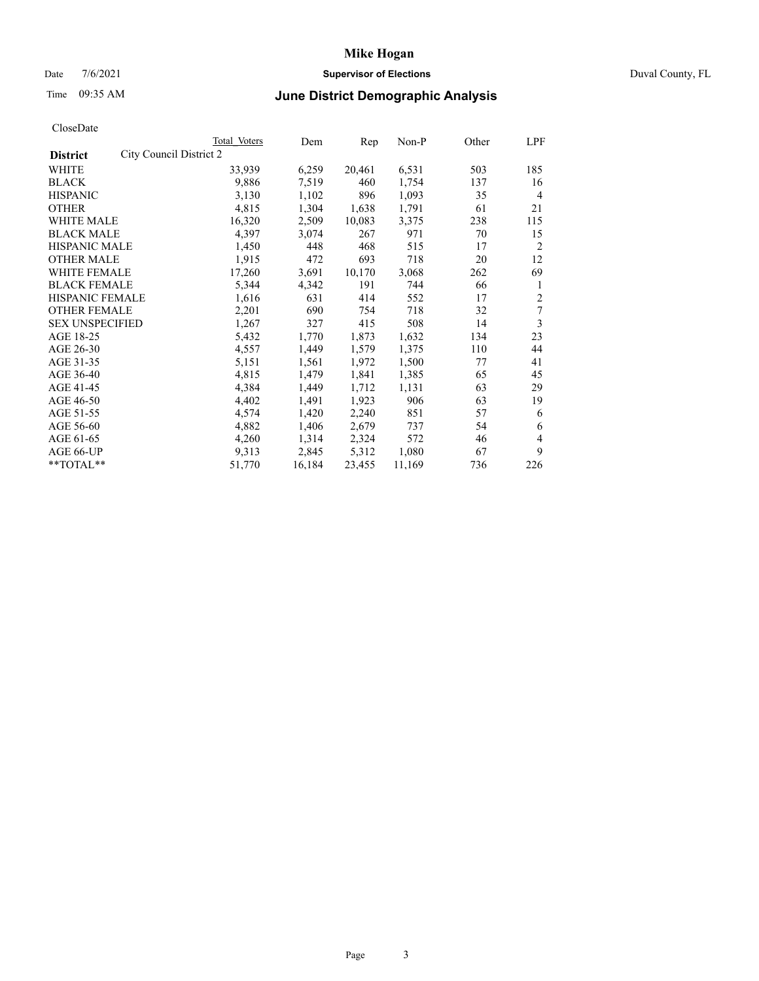# Date 7/6/2021 **Supervisor of Elections** Duval County, FL

# Time 09:35 AM **June District Demographic Analysis**

|                                            | Total Voters | Dem    | Rep    | Non-P  | Other | LPF            |
|--------------------------------------------|--------------|--------|--------|--------|-------|----------------|
| City Council District 2<br><b>District</b> |              |        |        |        |       |                |
| WHITE                                      | 33,939       | 6,259  | 20,461 | 6,531  | 503   | 185            |
| <b>BLACK</b>                               | 9,886        | 7,519  | 460    | 1,754  | 137   | 16             |
| <b>HISPANIC</b>                            | 3,130        | 1,102  | 896    | 1,093  | 35    | $\overline{4}$ |
| <b>OTHER</b>                               | 4,815        | 1,304  | 1,638  | 1,791  | 61    | 21             |
| WHITE MALE                                 | 16,320       | 2,509  | 10,083 | 3,375  | 238   | 115            |
| <b>BLACK MALE</b>                          | 4,397        | 3,074  | 267    | 971    | 70    | 15             |
| <b>HISPANIC MALE</b>                       | 1,450        | 448    | 468    | 515    | 17    | $\overline{2}$ |
| <b>OTHER MALE</b>                          | 1,915        | 472    | 693    | 718    | 20    | 12             |
| WHITE FEMALE                               | 17,260       | 3,691  | 10,170 | 3,068  | 262   | 69             |
| <b>BLACK FEMALE</b>                        | 5,344        | 4,342  | 191    | 744    | 66    | 1              |
| <b>HISPANIC FEMALE</b>                     | 1,616        | 631    | 414    | 552    | 17    | $\overline{c}$ |
| <b>OTHER FEMALE</b>                        | 2,201        | 690    | 754    | 718    | 32    | 7              |
| <b>SEX UNSPECIFIED</b>                     | 1,267        | 327    | 415    | 508    | 14    | 3              |
| AGE 18-25                                  | 5,432        | 1,770  | 1,873  | 1,632  | 134   | 23             |
| AGE 26-30                                  | 4,557        | 1,449  | 1,579  | 1,375  | 110   | 44             |
| AGE 31-35                                  | 5,151        | 1,561  | 1,972  | 1,500  | 77    | 41             |
| AGE 36-40                                  | 4,815        | 1,479  | 1,841  | 1,385  | 65    | 45             |
| AGE 41-45                                  | 4,384        | 1,449  | 1,712  | 1,131  | 63    | 29             |
| AGE 46-50                                  | 4,402        | 1,491  | 1,923  | 906    | 63    | 19             |
| AGE 51-55                                  | 4,574        | 1,420  | 2,240  | 851    | 57    | 6              |
| AGE 56-60                                  | 4,882        | 1,406  | 2,679  | 737    | 54    | 6              |
| AGE 61-65                                  | 4,260        | 1,314  | 2,324  | 572    | 46    | 4              |
| AGE 66-UP                                  | 9,313        | 2,845  | 5,312  | 1,080  | 67    | 9              |
| $*$ TOTAL $*$                              | 51,770       | 16,184 | 23,455 | 11,169 | 736   | 226            |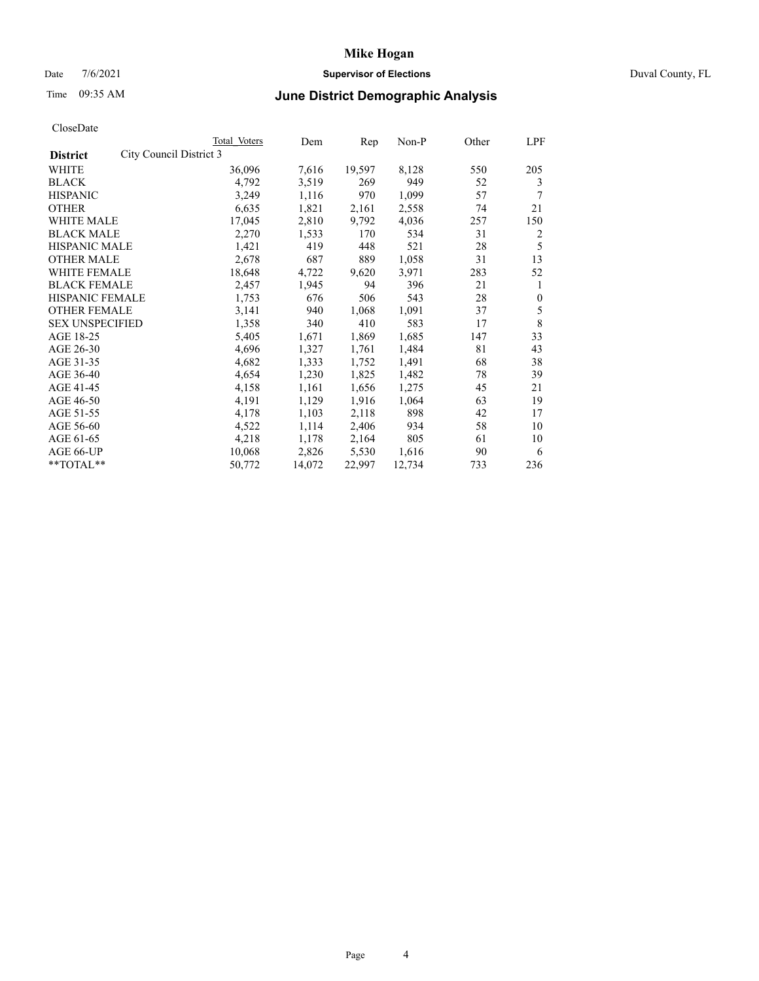## Date 7/6/2021 **Supervisor of Elections** Duval County, FL

# Time 09:35 AM **June District Demographic Analysis**

|                                            | Total Voters | Dem    | Rep    | Non-P  | Other | LPF          |
|--------------------------------------------|--------------|--------|--------|--------|-------|--------------|
| City Council District 3<br><b>District</b> |              |        |        |        |       |              |
| WHITE                                      | 36,096       | 7,616  | 19,597 | 8,128  | 550   | 205          |
| <b>BLACK</b>                               | 4,792        | 3,519  | 269    | 949    | 52    | 3            |
| <b>HISPANIC</b>                            | 3,249        | 1,116  | 970    | 1,099  | 57    |              |
| <b>OTHER</b>                               | 6,635        | 1,821  | 2,161  | 2,558  | 74    | 21           |
| WHITE MALE                                 | 17,045       | 2,810  | 9,792  | 4,036  | 257   | 150          |
| <b>BLACK MALE</b>                          | 2,270        | 1,533  | 170    | 534    | 31    | 2            |
| <b>HISPANIC MALE</b>                       | 1,421        | 419    | 448    | 521    | 28    | 5            |
| <b>OTHER MALE</b>                          | 2,678        | 687    | 889    | 1,058  | 31    | 13           |
| WHITE FEMALE                               | 18,648       | 4,722  | 9,620  | 3,971  | 283   | 52           |
| <b>BLACK FEMALE</b>                        | 2,457        | 1,945  | 94     | 396    | 21    | 1            |
| <b>HISPANIC FEMALE</b>                     | 1,753        | 676    | 506    | 543    | 28    | $\mathbf{0}$ |
| <b>OTHER FEMALE</b>                        | 3,141        | 940    | 1,068  | 1,091  | 37    | 5            |
| <b>SEX UNSPECIFIED</b>                     | 1,358        | 340    | 410    | 583    | 17    | 8            |
| AGE 18-25                                  | 5,405        | 1,671  | 1,869  | 1,685  | 147   | 33           |
| AGE 26-30                                  | 4,696        | 1,327  | 1,761  | 1,484  | 81    | 43           |
| AGE 31-35                                  | 4,682        | 1,333  | 1,752  | 1,491  | 68    | 38           |
| AGE 36-40                                  | 4,654        | 1,230  | 1,825  | 1,482  | 78    | 39           |
| AGE 41-45                                  | 4,158        | 1,161  | 1,656  | 1,275  | 45    | 21           |
| AGE 46-50                                  | 4,191        | 1,129  | 1,916  | 1,064  | 63    | 19           |
| AGE 51-55                                  | 4,178        | 1,103  | 2,118  | 898    | 42    | 17           |
| AGE 56-60                                  | 4,522        | 1,114  | 2,406  | 934    | 58    | 10           |
| AGE 61-65                                  | 4,218        | 1,178  | 2,164  | 805    | 61    | 10           |
| AGE 66-UP                                  | 10,068       | 2,826  | 5,530  | 1,616  | 90    | 6            |
| $**TOTAL**$                                | 50,772       | 14,072 | 22,997 | 12,734 | 733   | 236          |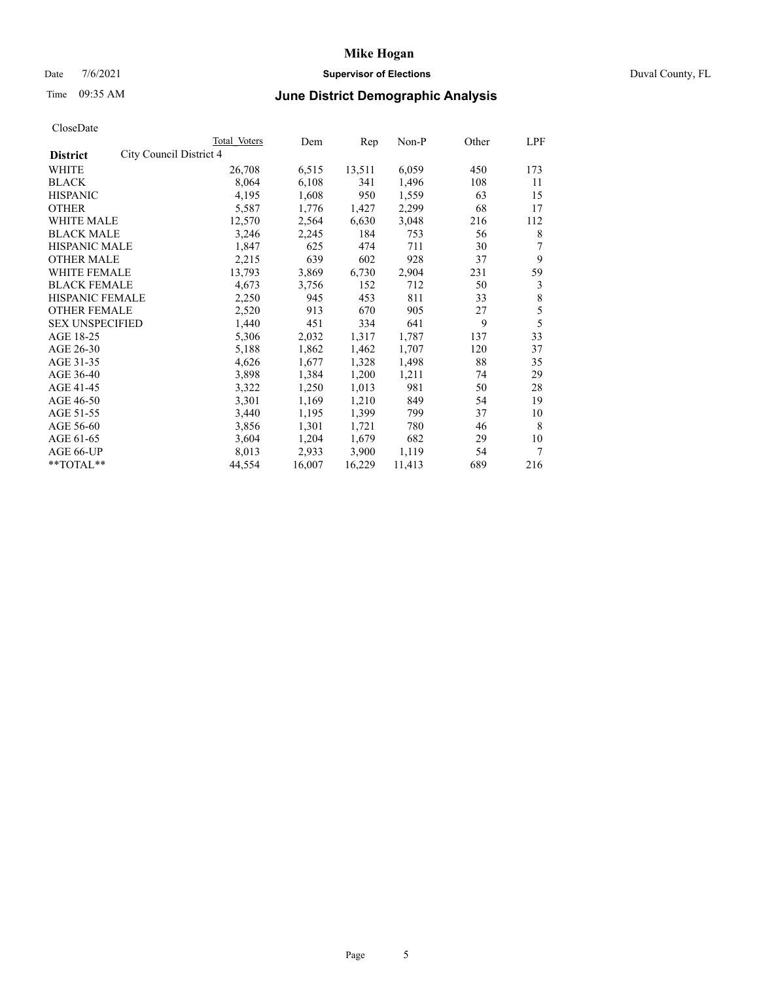### Date 7/6/2021 **Supervisor of Elections** Duval County, FL

# Time 09:35 AM **June District Demographic Analysis**

|                                            | Total Voters | Dem    | Rep    | Non-P  | Other | LPF |
|--------------------------------------------|--------------|--------|--------|--------|-------|-----|
| City Council District 4<br><b>District</b> |              |        |        |        |       |     |
| WHITE                                      | 26,708       | 6,515  | 13,511 | 6,059  | 450   | 173 |
| <b>BLACK</b>                               | 8,064        | 6,108  | 341    | 1,496  | 108   | 11  |
| <b>HISPANIC</b>                            | 4,195        | 1,608  | 950    | 1,559  | 63    | 15  |
| <b>OTHER</b>                               | 5,587        | 1,776  | 1,427  | 2,299  | 68    | 17  |
| WHITE MALE                                 | 12,570       | 2,564  | 6,630  | 3,048  | 216   | 112 |
| <b>BLACK MALE</b>                          | 3,246        | 2,245  | 184    | 753    | 56    | 8   |
| <b>HISPANIC MALE</b>                       | 1,847        | 625    | 474    | 711    | 30    | 7   |
| <b>OTHER MALE</b>                          | 2,215        | 639    | 602    | 928    | 37    | 9   |
| WHITE FEMALE                               | 13,793       | 3,869  | 6,730  | 2,904  | 231   | 59  |
| <b>BLACK FEMALE</b>                        | 4,673        | 3,756  | 152    | 712    | 50    | 3   |
| HISPANIC FEMALE                            | 2,250        | 945    | 453    | 811    | 33    | 8   |
| <b>OTHER FEMALE</b>                        | 2,520        | 913    | 670    | 905    | 27    | 5   |
| <b>SEX UNSPECIFIED</b>                     | 1,440        | 451    | 334    | 641    | 9     | 5   |
| AGE 18-25                                  | 5,306        | 2,032  | 1,317  | 1,787  | 137   | 33  |
| AGE 26-30                                  | 5,188        | 1,862  | 1,462  | 1,707  | 120   | 37  |
| AGE 31-35                                  | 4,626        | 1,677  | 1,328  | 1,498  | 88    | 35  |
| AGE 36-40                                  | 3,898        | 1,384  | 1,200  | 1,211  | 74    | 29  |
| AGE 41-45                                  | 3,322        | 1,250  | 1,013  | 981    | 50    | 28  |
| AGE 46-50                                  | 3,301        | 1,169  | 1,210  | 849    | 54    | 19  |
| AGE 51-55                                  | 3,440        | 1,195  | 1,399  | 799    | 37    | 10  |
| AGE 56-60                                  | 3,856        | 1,301  | 1,721  | 780    | 46    | 8   |
| AGE 61-65                                  | 3,604        | 1,204  | 1,679  | 682    | 29    | 10  |
| AGE 66-UP                                  | 8,013        | 2,933  | 3,900  | 1,119  | 54    | 7   |
| **TOTAL**                                  | 44,554       | 16,007 | 16,229 | 11,413 | 689   | 216 |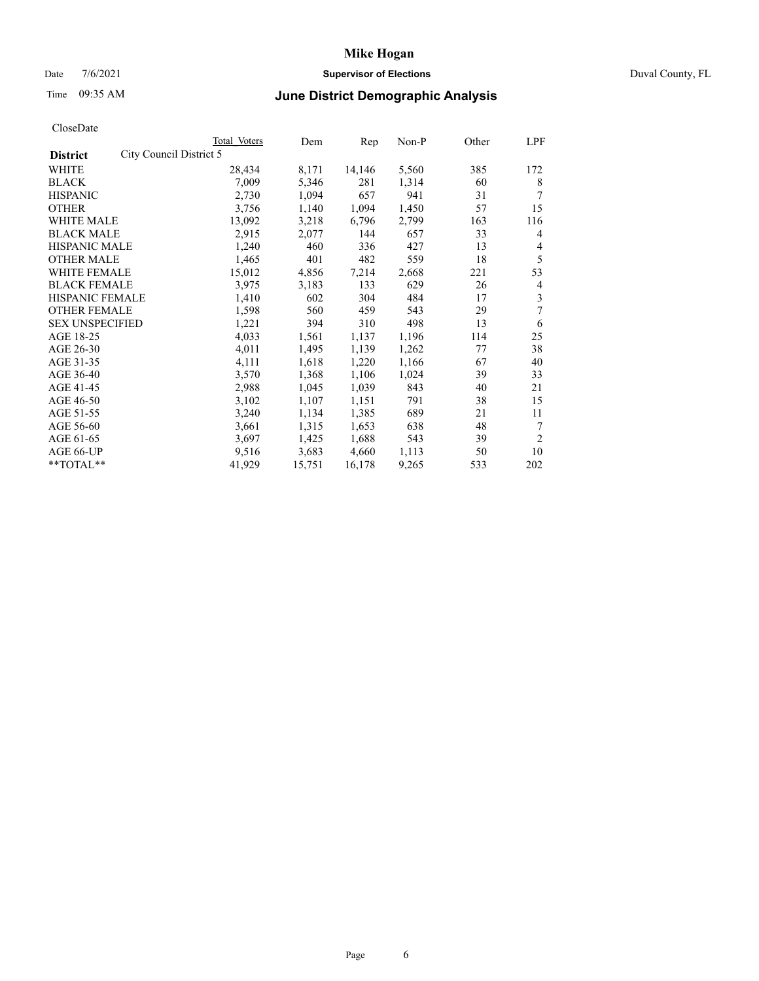### Date 7/6/2021 **Supervisor of Elections** Duval County, FL

## Time 09:35 AM **June District Demographic Analysis**

|                        |                         | Total Voters | Dem    | Rep    | Non-P | Other | LPF            |
|------------------------|-------------------------|--------------|--------|--------|-------|-------|----------------|
| <b>District</b>        | City Council District 5 |              |        |        |       |       |                |
| WHITE                  |                         | 28,434       | 8,171  | 14,146 | 5,560 | 385   | 172            |
| <b>BLACK</b>           |                         | 7,009        | 5,346  | 281    | 1,314 | 60    | 8              |
| <b>HISPANIC</b>        |                         | 2,730        | 1,094  | 657    | 941   | 31    | 7              |
| <b>OTHER</b>           |                         | 3,756        | 1,140  | 1,094  | 1,450 | 57    | 15             |
| WHITE MALE             |                         | 13,092       | 3,218  | 6,796  | 2,799 | 163   | 116            |
| <b>BLACK MALE</b>      |                         | 2,915        | 2,077  | 144    | 657   | 33    | 4              |
| <b>HISPANIC MALE</b>   |                         | 1,240        | 460    | 336    | 427   | 13    | 4              |
| <b>OTHER MALE</b>      |                         | 1,465        | 401    | 482    | 559   | 18    | 5              |
| WHITE FEMALE           |                         | 15,012       | 4,856  | 7,214  | 2,668 | 221   | 53             |
| <b>BLACK FEMALE</b>    |                         | 3,975        | 3,183  | 133    | 629   | 26    | 4              |
| HISPANIC FEMALE        |                         | 1,410        | 602    | 304    | 484   | 17    | 3              |
| <b>OTHER FEMALE</b>    |                         | 1,598        | 560    | 459    | 543   | 29    | 7              |
| <b>SEX UNSPECIFIED</b> |                         | 1,221        | 394    | 310    | 498   | 13    | 6              |
| AGE 18-25              |                         | 4,033        | 1,561  | 1,137  | 1,196 | 114   | 25             |
| AGE 26-30              |                         | 4,011        | 1,495  | 1,139  | 1,262 | 77    | 38             |
| AGE 31-35              |                         | 4,111        | 1,618  | 1,220  | 1,166 | 67    | 40             |
| AGE 36-40              |                         | 3,570        | 1,368  | 1,106  | 1,024 | 39    | 33             |
| AGE 41-45              |                         | 2,988        | 1,045  | 1,039  | 843   | 40    | 21             |
| AGE 46-50              |                         | 3,102        | 1,107  | 1,151  | 791   | 38    | 15             |
| AGE 51-55              |                         | 3,240        | 1,134  | 1,385  | 689   | 21    | 11             |
| AGE 56-60              |                         | 3,661        | 1,315  | 1,653  | 638   | 48    | 7              |
| AGE 61-65              |                         | 3,697        | 1,425  | 1,688  | 543   | 39    | $\overline{2}$ |
| AGE 66-UP              |                         | 9,516        | 3,683  | 4,660  | 1,113 | 50    | 10             |
| **TOTAL**              |                         | 41,929       | 15,751 | 16,178 | 9,265 | 533   | 202            |
|                        |                         |              |        |        |       |       |                |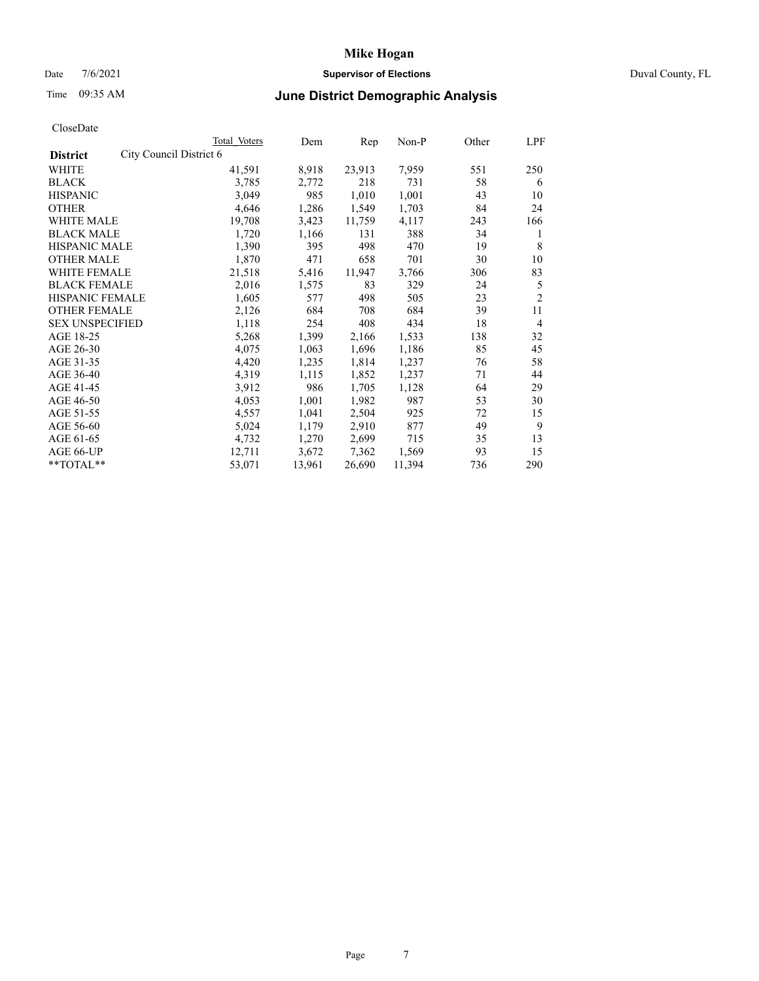### Date 7/6/2021 **Supervisor of Elections** Duval County, FL

# Time 09:35 AM **June District Demographic Analysis**

|                                            | Total Voters | Dem    | Rep    | Non-P  | Other | LPF            |
|--------------------------------------------|--------------|--------|--------|--------|-------|----------------|
| City Council District 6<br><b>District</b> |              |        |        |        |       |                |
| WHITE                                      | 41,591       | 8,918  | 23,913 | 7,959  | 551   | 250            |
| <b>BLACK</b>                               | 3,785        | 2,772  | 218    | 731    | 58    | 6              |
| <b>HISPANIC</b>                            | 3,049        | 985    | 1,010  | 1,001  | 43    | 10             |
| <b>OTHER</b>                               | 4,646        | 1,286  | 1,549  | 1,703  | 84    | 24             |
| WHITE MALE                                 | 19,708       | 3,423  | 11,759 | 4,117  | 243   | 166            |
| <b>BLACK MALE</b>                          | 1,720        | 1,166  | 131    | 388    | 34    | 1              |
| <b>HISPANIC MALE</b>                       | 1,390        | 395    | 498    | 470    | 19    | 8              |
| <b>OTHER MALE</b>                          | 1,870        | 471    | 658    | 701    | 30    | 10             |
| WHITE FEMALE                               | 21,518       | 5,416  | 11,947 | 3,766  | 306   | 83             |
| <b>BLACK FEMALE</b>                        | 2,016        | 1,575  | 83     | 329    | 24    | 5              |
| <b>HISPANIC FEMALE</b>                     | 1,605        | 577    | 498    | 505    | 23    | $\overline{2}$ |
| <b>OTHER FEMALE</b>                        | 2,126        | 684    | 708    | 684    | 39    | 11             |
| <b>SEX UNSPECIFIED</b>                     | 1,118        | 254    | 408    | 434    | 18    | 4              |
| AGE 18-25                                  | 5,268        | 1,399  | 2,166  | 1,533  | 138   | 32             |
| AGE 26-30                                  | 4,075        | 1,063  | 1,696  | 1,186  | 85    | 45             |
| AGE 31-35                                  | 4,420        | 1,235  | 1,814  | 1,237  | 76    | 58             |
| AGE 36-40                                  | 4,319        | 1,115  | 1,852  | 1,237  | 71    | 44             |
| AGE 41-45                                  | 3,912        | 986    | 1,705  | 1,128  | 64    | 29             |
| AGE 46-50                                  | 4,053        | 1,001  | 1,982  | 987    | 53    | 30             |
| AGE 51-55                                  | 4,557        | 1,041  | 2,504  | 925    | 72    | 15             |
| AGE 56-60                                  | 5,024        | 1,179  | 2,910  | 877    | 49    | 9              |
| AGE 61-65                                  | 4,732        | 1,270  | 2,699  | 715    | 35    | 13             |
| AGE 66-UP                                  | 12,711       | 3,672  | 7,362  | 1,569  | 93    | 15             |
| **TOTAL**                                  | 53,071       | 13,961 | 26,690 | 11,394 | 736   | 290            |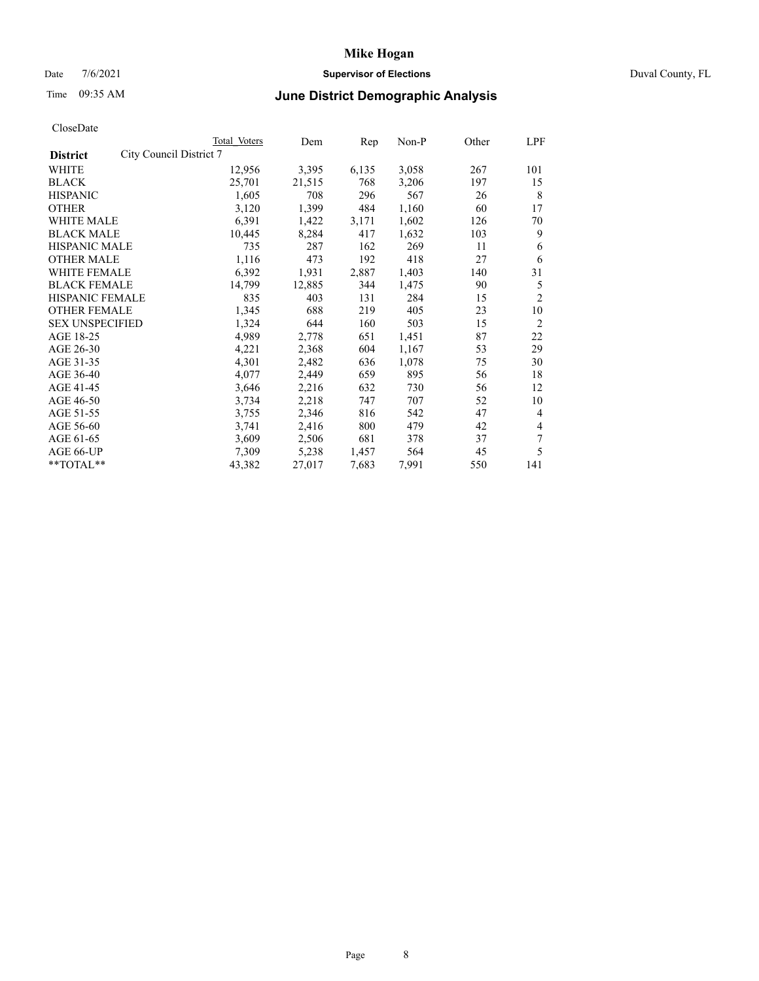### Date 7/6/2021 **Supervisor of Elections** Duval County, FL

# Time 09:35 AM **June District Demographic Analysis**

| Total Voters | Dem                     | Rep   | $Non-P$ | Other | LPF            |
|--------------|-------------------------|-------|---------|-------|----------------|
|              |                         |       |         |       |                |
| 12,956       | 3,395                   | 6,135 | 3,058   | 267   | 101            |
| 25,701       | 21,515                  | 768   | 3,206   | 197   | 15             |
| 1,605        | 708                     | 296   | 567     | 26    | 8              |
| 3,120        | 1,399                   | 484   | 1,160   | 60    | 17             |
| 6,391        | 1,422                   | 3,171 | 1,602   | 126   | 70             |
| 10,445       | 8,284                   | 417   | 1,632   | 103   | 9              |
| 735          | 287                     | 162   | 269     | 11    | 6              |
| 1,116        | 473                     | 192   | 418     | 27    | 6              |
| 6,392        | 1,931                   | 2,887 | 1,403   | 140   | 31             |
| 14,799       | 12,885                  | 344   | 1,475   | 90    | 5              |
| 835          | 403                     | 131   | 284     | 15    | $\overline{2}$ |
| 1,345        | 688                     | 219   | 405     | 23    | 10             |
| 1,324        | 644                     | 160   | 503     | 15    | 2              |
| 4,989        | 2,778                   | 651   | 1,451   | 87    | 22             |
| 4,221        | 2,368                   | 604   | 1,167   | 53    | 29             |
| 4,301        | 2,482                   | 636   | 1,078   | 75    | 30             |
| 4,077        | 2,449                   | 659   | 895     | 56    | 18             |
| 3,646        | 2,216                   | 632   | 730     | 56    | 12             |
| 3,734        | 2,218                   | 747   | 707     | 52    | 10             |
| 3,755        | 2,346                   | 816   | 542     | 47    | $\overline{4}$ |
| 3,741        | 2,416                   | 800   | 479     | 42    | 4              |
| 3,609        | 2,506                   | 681   | 378     | 37    | 7              |
| 7,309        | 5,238                   | 1,457 | 564     | 45    | 5              |
| 43,382       | 27,017                  | 7,683 | 7,991   | 550   | 141            |
|              | City Council District 7 |       |         |       |                |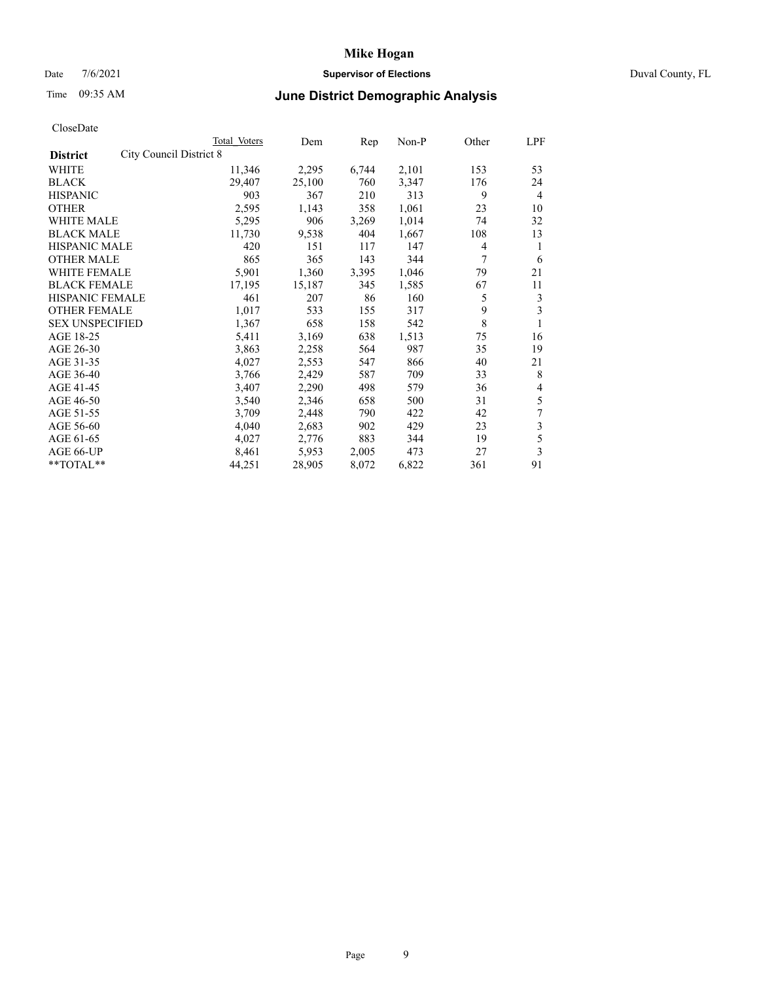### Date 7/6/2021 **Supervisor of Elections** Duval County, FL

# Time 09:35 AM **June District Demographic Analysis**

|                                            | Total Voters | Dem    | Rep   | Non-P | Other | LPF            |
|--------------------------------------------|--------------|--------|-------|-------|-------|----------------|
| City Council District 8<br><b>District</b> |              |        |       |       |       |                |
| WHITE                                      | 11,346       | 2,295  | 6,744 | 2,101 | 153   | 53             |
| <b>BLACK</b>                               | 29,407       | 25,100 | 760   | 3,347 | 176   | 24             |
| <b>HISPANIC</b>                            | 903          | 367    | 210   | 313   | 9     | $\overline{4}$ |
| <b>OTHER</b>                               | 2,595        | 1,143  | 358   | 1,061 | 23    | 10             |
| <b>WHITE MALE</b>                          | 5,295        | 906    | 3,269 | 1,014 | 74    | 32             |
| <b>BLACK MALE</b>                          | 11,730       | 9,538  | 404   | 1,667 | 108   | 13             |
| <b>HISPANIC MALE</b>                       | 420          | 151    | 117   | 147   | 4     | 1              |
| <b>OTHER MALE</b>                          | 865          | 365    | 143   | 344   | 7     | 6              |
| WHITE FEMALE                               | 5,901        | 1,360  | 3,395 | 1,046 | 79    | 21             |
| <b>BLACK FEMALE</b>                        | 17,195       | 15,187 | 345   | 1,585 | 67    | 11             |
| <b>HISPANIC FEMALE</b>                     | 461          | 207    | 86    | 160   | 5     | 3              |
| <b>OTHER FEMALE</b>                        | 1,017        | 533    | 155   | 317   | 9     | 3              |
| <b>SEX UNSPECIFIED</b>                     | 1,367        | 658    | 158   | 542   | 8     |                |
| AGE 18-25                                  | 5,411        | 3,169  | 638   | 1,513 | 75    | 16             |
| AGE 26-30                                  | 3,863        | 2,258  | 564   | 987   | 35    | 19             |
| AGE 31-35                                  | 4,027        | 2,553  | 547   | 866   | 40    | 21             |
| AGE 36-40                                  | 3,766        | 2,429  | 587   | 709   | 33    | 8              |
| AGE 41-45                                  | 3,407        | 2,290  | 498   | 579   | 36    | 4              |
| AGE 46-50                                  | 3,540        | 2,346  | 658   | 500   | 31    | 5              |
| AGE 51-55                                  | 3,709        | 2,448  | 790   | 422   | 42    | 7              |
| AGE 56-60                                  | 4,040        | 2,683  | 902   | 429   | 23    | 3              |
| AGE 61-65                                  | 4,027        | 2,776  | 883   | 344   | 19    | 5              |
| AGE 66-UP                                  | 8,461        | 5,953  | 2,005 | 473   | 27    | 3              |
| $*$ $*$ TOTAL $*$ $*$                      | 44,251       | 28,905 | 8,072 | 6,822 | 361   | 91             |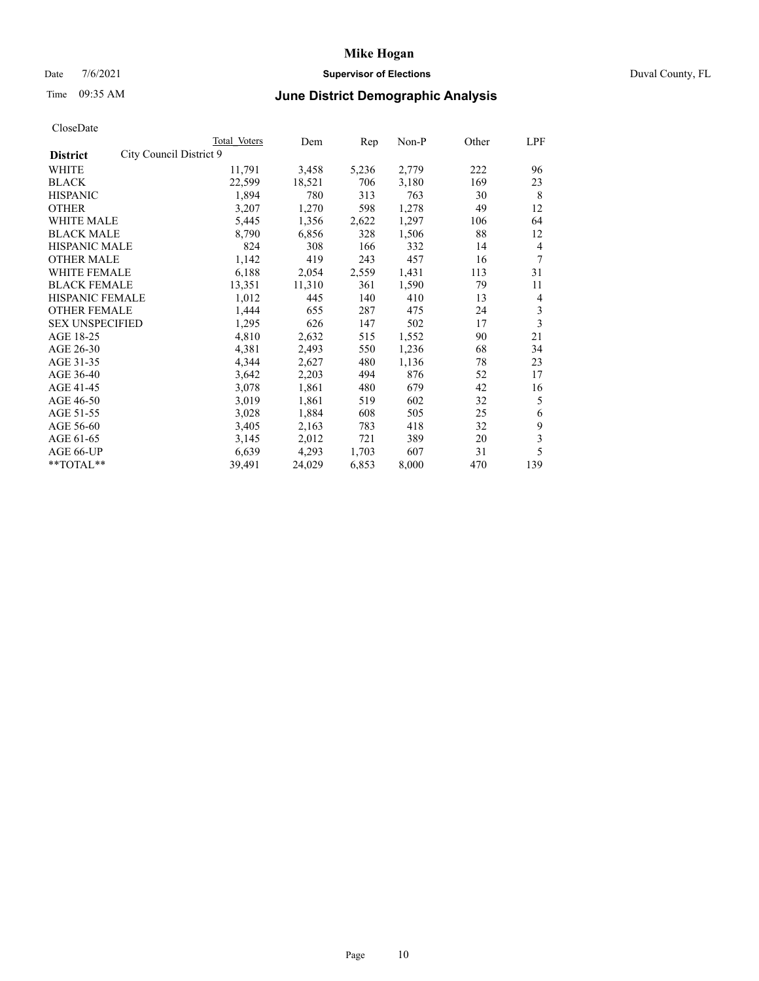### Date 7/6/2021 **Supervisor of Elections** Duval County, FL

# Time 09:35 AM **June District Demographic Analysis**

|                                            | Total Voters | Dem    | Rep   | Non-P | Other | LPF |
|--------------------------------------------|--------------|--------|-------|-------|-------|-----|
| City Council District 9<br><b>District</b> |              |        |       |       |       |     |
| WHITE                                      | 11,791       | 3,458  | 5,236 | 2,779 | 222   | 96  |
| <b>BLACK</b>                               | 22,599       | 18,521 | 706   | 3,180 | 169   | 23  |
| <b>HISPANIC</b>                            | 1,894        | 780    | 313   | 763   | 30    | 8   |
| <b>OTHER</b>                               | 3,207        | 1,270  | 598   | 1,278 | 49    | 12  |
| WHITE MALE                                 | 5,445        | 1,356  | 2,622 | 1,297 | 106   | 64  |
| <b>BLACK MALE</b>                          | 8,790        | 6,856  | 328   | 1,506 | 88    | 12  |
| <b>HISPANIC MALE</b>                       | 824          | 308    | 166   | 332   | 14    | 4   |
| <b>OTHER MALE</b>                          | 1,142        | 419    | 243   | 457   | 16    | 7   |
| WHITE FEMALE                               | 6,188        | 2,054  | 2,559 | 1,431 | 113   | 31  |
| <b>BLACK FEMALE</b>                        | 13,351       | 11,310 | 361   | 1,590 | 79    | 11  |
| <b>HISPANIC FEMALE</b>                     | 1,012        | 445    | 140   | 410   | 13    | 4   |
| <b>OTHER FEMALE</b>                        | 1,444        | 655    | 287   | 475   | 24    | 3   |
| <b>SEX UNSPECIFIED</b>                     | 1,295        | 626    | 147   | 502   | 17    | 3   |
| AGE 18-25                                  | 4,810        | 2,632  | 515   | 1,552 | 90    | 21  |
| AGE 26-30                                  | 4,381        | 2,493  | 550   | 1,236 | 68    | 34  |
| AGE 31-35                                  | 4,344        | 2,627  | 480   | 1,136 | 78    | 23  |
| AGE 36-40                                  | 3,642        | 2,203  | 494   | 876   | 52    | 17  |
| AGE 41-45                                  | 3,078        | 1,861  | 480   | 679   | 42    | 16  |
| AGE 46-50                                  | 3,019        | 1,861  | 519   | 602   | 32    | 5   |
| AGE 51-55                                  | 3,028        | 1,884  | 608   | 505   | 25    | 6   |
| AGE 56-60                                  | 3,405        | 2,163  | 783   | 418   | 32    | 9   |
| AGE 61-65                                  | 3,145        | 2,012  | 721   | 389   | 20    | 3   |
| AGE 66-UP                                  | 6,639        | 4,293  | 1,703 | 607   | 31    | 5   |
| $*$ $TOTAL**$                              | 39,491       | 24,029 | 6,853 | 8,000 | 470   | 139 |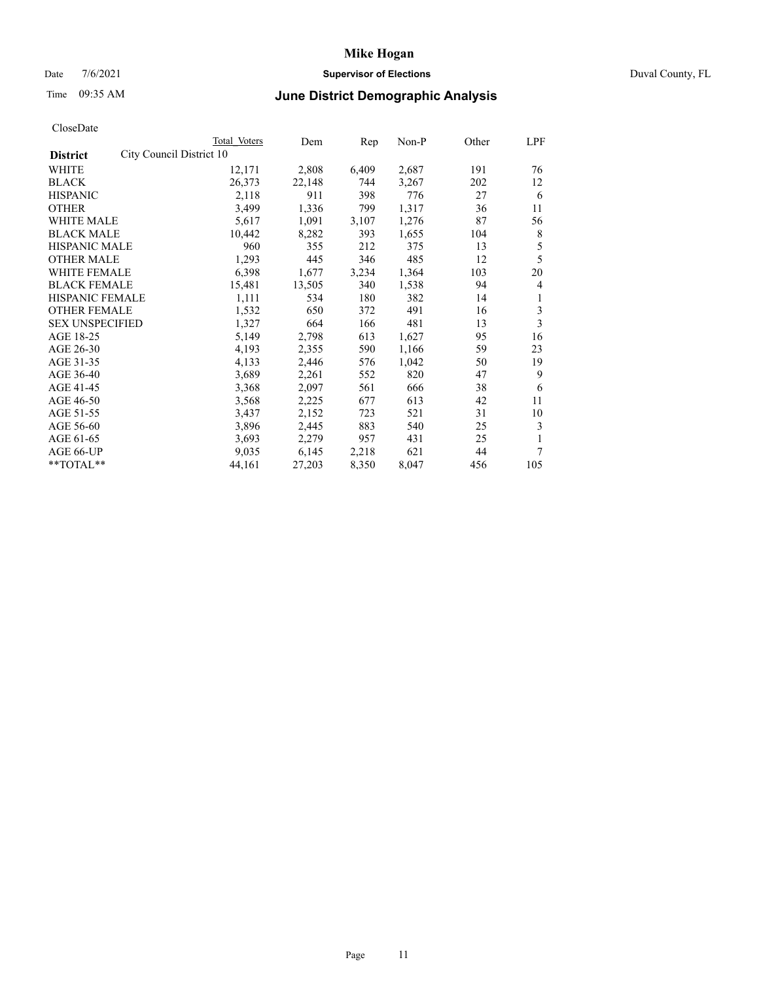### Date 7/6/2021 **Supervisor of Elections** Duval County, FL

## Time 09:35 AM **June District Demographic Analysis**

|                                             | Total Voters | Dem    | Rep   | $Non-P$ | Other | <b>LPF</b>     |
|---------------------------------------------|--------------|--------|-------|---------|-------|----------------|
| City Council District 10<br><b>District</b> |              |        |       |         |       |                |
| WHITE                                       | 12,171       | 2,808  | 6,409 | 2,687   | 191   | 76             |
| <b>BLACK</b>                                | 26,373       | 22,148 | 744   | 3,267   | 202   | 12             |
| <b>HISPANIC</b>                             | 2,118        | 911    | 398   | 776     | 27    | 6              |
| <b>OTHER</b>                                | 3,499        | 1,336  | 799   | 1,317   | 36    | 11             |
| <b>WHITE MALE</b>                           | 5,617        | 1,091  | 3,107 | 1,276   | 87    | 56             |
| <b>BLACK MALE</b>                           | 10,442       | 8,282  | 393   | 1,655   | 104   | 8              |
| <b>HISPANIC MALE</b>                        | 960          | 355    | 212   | 375     | 13    | 5              |
| <b>OTHER MALE</b>                           | 1,293        | 445    | 346   | 485     | 12    | 5              |
| WHITE FEMALE                                | 6,398        | 1,677  | 3,234 | 1,364   | 103   | 20             |
| <b>BLACK FEMALE</b>                         | 15,481       | 13,505 | 340   | 1,538   | 94    | $\overline{4}$ |
| HISPANIC FEMALE                             | 1,111        | 534    | 180   | 382     | 14    | 1              |
| <b>OTHER FEMALE</b>                         | 1,532        | 650    | 372   | 491     | 16    | 3              |
| <b>SEX UNSPECIFIED</b>                      | 1,327        | 664    | 166   | 481     | 13    | 3              |
| AGE 18-25                                   | 5,149        | 2,798  | 613   | 1,627   | 95    | 16             |
| AGE 26-30                                   | 4,193        | 2,355  | 590   | 1,166   | 59    | 23             |
| AGE 31-35                                   | 4,133        | 2,446  | 576   | 1,042   | 50    | 19             |
| AGE 36-40                                   | 3,689        | 2,261  | 552   | 820     | 47    | 9              |
| AGE 41-45                                   | 3,368        | 2,097  | 561   | 666     | 38    | 6              |
| AGE 46-50                                   | 3,568        | 2,225  | 677   | 613     | 42    | 11             |
| AGE 51-55                                   | 3,437        | 2,152  | 723   | 521     | 31    | 10             |
| AGE 56-60                                   | 3,896        | 2,445  | 883   | 540     | 25    | 3              |
| AGE 61-65                                   | 3,693        | 2,279  | 957   | 431     | 25    | 1              |
| AGE 66-UP                                   | 9,035        | 6,145  | 2,218 | 621     | 44    | 7              |
| $*$ $TOTAL**$                               | 44,161       | 27,203 | 8,350 | 8,047   | 456   | 105            |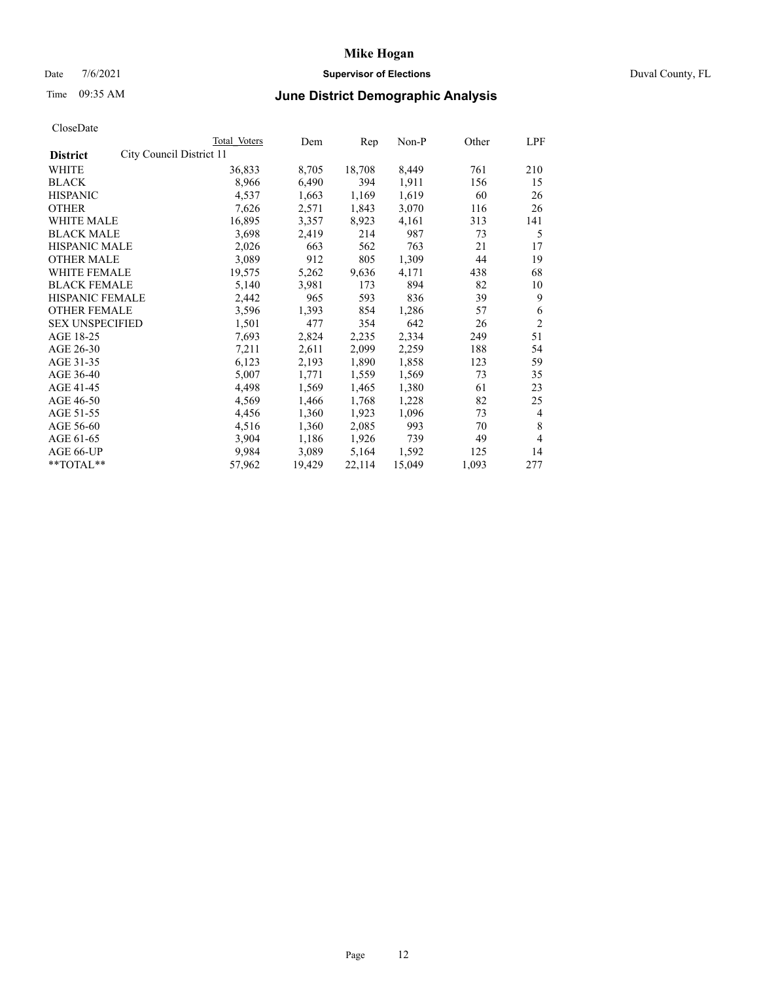### Date 7/6/2021 **Supervisor of Elections** Duval County, FL

# Time 09:35 AM **June District Demographic Analysis**

| Total Voters | Dem                      | Rep    | $Non-P$ | Other | LPF            |
|--------------|--------------------------|--------|---------|-------|----------------|
|              |                          |        |         |       |                |
| 36,833       | 8,705                    | 18,708 | 8,449   | 761   | 210            |
| 8,966        | 6,490                    | 394    | 1,911   | 156   | 15             |
| 4,537        | 1,663                    | 1,169  | 1,619   | 60    | 26             |
| 7,626        | 2,571                    | 1,843  | 3,070   | 116   | 26             |
| 16,895       | 3,357                    | 8,923  | 4,161   | 313   | 141            |
| 3,698        | 2,419                    | 214    | 987     | 73    | 5              |
| 2,026        | 663                      | 562    | 763     | 21    | 17             |
| 3,089        | 912                      | 805    | 1,309   | 44    | 19             |
| 19,575       | 5,262                    | 9,636  | 4,171   | 438   | 68             |
| 5,140        | 3,981                    | 173    | 894     | 82    | 10             |
| 2,442        | 965                      | 593    | 836     | 39    | 9              |
| 3,596        | 1,393                    | 854    | 1,286   | 57    | 6              |
| 1,501        | 477                      | 354    | 642     | 26    | $\overline{2}$ |
| 7,693        | 2,824                    | 2,235  | 2,334   | 249   | 51             |
| 7,211        | 2,611                    | 2,099  | 2,259   | 188   | 54             |
| 6,123        | 2,193                    | 1,890  | 1,858   | 123   | 59             |
| 5,007        | 1,771                    | 1,559  | 1,569   | 73    | 35             |
| 4,498        | 1,569                    | 1,465  | 1,380   | 61    | 23             |
| 4,569        | 1,466                    | 1,768  | 1,228   | 82    | 25             |
| 4,456        | 1,360                    | 1,923  | 1,096   | 73    | $\overline{4}$ |
| 4,516        | 1,360                    | 2,085  | 993     | 70    | 8              |
| 3,904        | 1,186                    | 1,926  | 739     | 49    | 4              |
| 9,984        | 3,089                    | 5,164  | 1,592   | 125   | 14             |
| 57,962       | 19,429                   | 22,114 | 15,049  | 1,093 | 277            |
|              | City Council District 11 |        |         |       |                |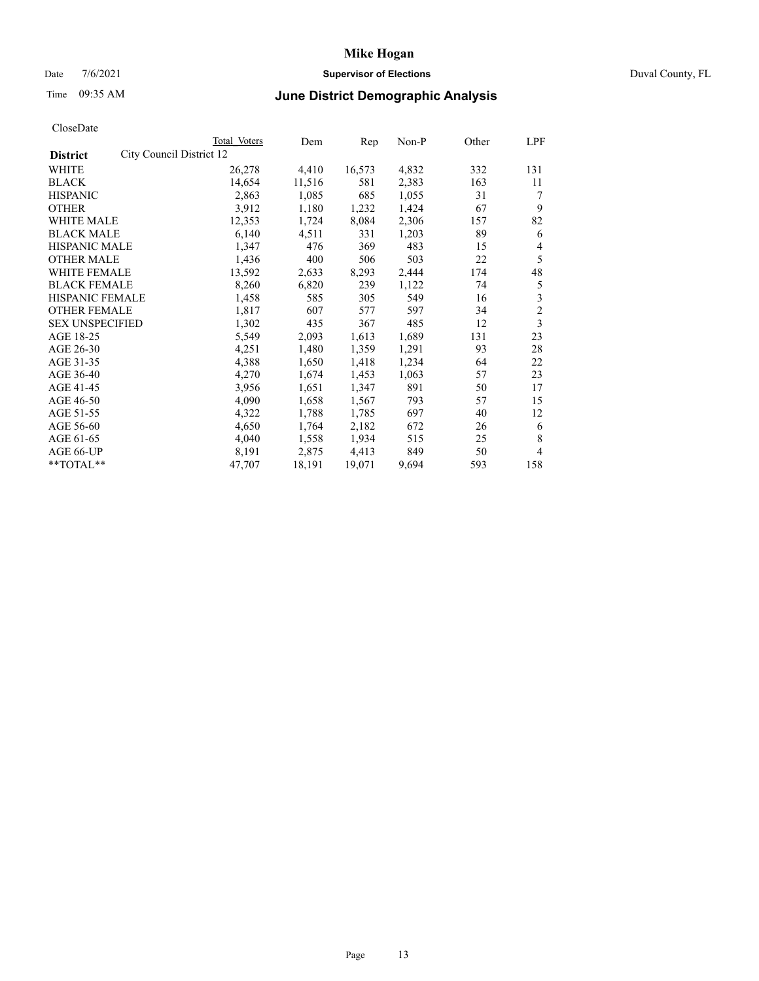### Date 7/6/2021 **Supervisor of Elections** Duval County, FL

# Time 09:35 AM **June District Demographic Analysis**

|                        |                          | Total Voters | Dem    | Rep    | Non-P | Other | LPF            |
|------------------------|--------------------------|--------------|--------|--------|-------|-------|----------------|
| <b>District</b>        | City Council District 12 |              |        |        |       |       |                |
| WHITE                  |                          | 26,278       | 4,410  | 16,573 | 4,832 | 332   | 131            |
| <b>BLACK</b>           |                          | 14,654       | 11,516 | 581    | 2,383 | 163   | 11             |
| <b>HISPANIC</b>        |                          | 2,863        | 1,085  | 685    | 1,055 | 31    | 7              |
| <b>OTHER</b>           |                          | 3,912        | 1,180  | 1,232  | 1,424 | 67    | 9              |
| WHITE MALE             |                          | 12,353       | 1,724  | 8,084  | 2,306 | 157   | 82             |
| <b>BLACK MALE</b>      |                          | 6,140        | 4,511  | 331    | 1,203 | 89    | 6              |
| <b>HISPANIC MALE</b>   |                          | 1,347        | 476    | 369    | 483   | 15    | 4              |
| <b>OTHER MALE</b>      |                          | 1,436        | 400    | 506    | 503   | 22    | 5              |
| WHITE FEMALE           |                          | 13,592       | 2,633  | 8,293  | 2,444 | 174   | 48             |
| <b>BLACK FEMALE</b>    |                          | 8,260        | 6,820  | 239    | 1,122 | 74    | 5              |
| HISPANIC FEMALE        |                          | 1,458        | 585    | 305    | 549   | 16    | 3              |
| <b>OTHER FEMALE</b>    |                          | 1,817        | 607    | 577    | 597   | 34    | $\overline{c}$ |
| <b>SEX UNSPECIFIED</b> |                          | 1,302        | 435    | 367    | 485   | 12    | 3              |
| AGE 18-25              |                          | 5,549        | 2,093  | 1,613  | 1,689 | 131   | 23             |
| AGE 26-30              |                          | 4,251        | 1,480  | 1,359  | 1,291 | 93    | 28             |
| AGE 31-35              |                          | 4,388        | 1,650  | 1,418  | 1,234 | 64    | 22             |
| AGE 36-40              |                          | 4,270        | 1,674  | 1,453  | 1,063 | 57    | 23             |
| AGE 41-45              |                          | 3,956        | 1,651  | 1,347  | 891   | 50    | 17             |
| AGE 46-50              |                          | 4,090        | 1,658  | 1,567  | 793   | 57    | 15             |
| AGE 51-55              |                          | 4,322        | 1,788  | 1,785  | 697   | 40    | 12             |
| AGE 56-60              |                          | 4,650        | 1,764  | 2,182  | 672   | 26    | 6              |
| AGE 61-65              |                          | 4,040        | 1,558  | 1,934  | 515   | 25    | 8              |
| AGE 66-UP              |                          | 8,191        | 2,875  | 4,413  | 849   | 50    | 4              |
| **TOTAL**              |                          | 47,707       | 18,191 | 19,071 | 9,694 | 593   | 158            |
|                        |                          |              |        |        |       |       |                |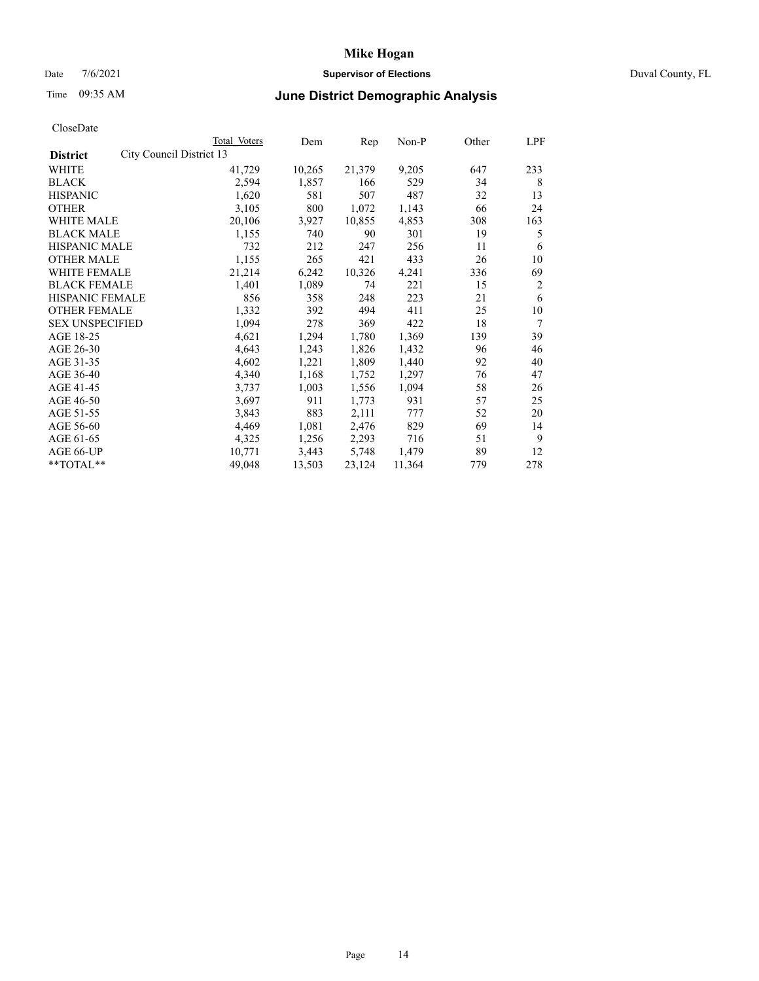### Date 7/6/2021 **Supervisor of Elections** Duval County, FL

# Time 09:35 AM **June District Demographic Analysis**

|                        |                          | Total Voters | Dem    | Rep    | Non-P  | Other | LPF |
|------------------------|--------------------------|--------------|--------|--------|--------|-------|-----|
| <b>District</b>        | City Council District 13 |              |        |        |        |       |     |
| WHITE                  |                          | 41,729       | 10,265 | 21,379 | 9,205  | 647   | 233 |
| <b>BLACK</b>           |                          | 2,594        | 1,857  | 166    | 529    | 34    | 8   |
| <b>HISPANIC</b>        |                          | 1,620        | 581    | 507    | 487    | 32    | 13  |
| <b>OTHER</b>           |                          | 3,105        | 800    | 1,072  | 1,143  | 66    | 24  |
| WHITE MALE             |                          | 20,106       | 3,927  | 10,855 | 4,853  | 308   | 163 |
| <b>BLACK MALE</b>      |                          | 1,155        | 740    | 90     | 301    | 19    | 5   |
| <b>HISPANIC MALE</b>   |                          | 732          | 212    | 247    | 256    | 11    | 6   |
| <b>OTHER MALE</b>      |                          | 1,155        | 265    | 421    | 433    | 26    | 10  |
| WHITE FEMALE           |                          | 21,214       | 6,242  | 10,326 | 4,241  | 336   | 69  |
| <b>BLACK FEMALE</b>    |                          | 1,401        | 1,089  | 74     | 221    | 15    | 2   |
| HISPANIC FEMALE        |                          | 856          | 358    | 248    | 223    | 21    | 6   |
| <b>OTHER FEMALE</b>    |                          | 1,332        | 392    | 494    | 411    | 25    | 10  |
| <b>SEX UNSPECIFIED</b> |                          | 1,094        | 278    | 369    | 422    | 18    | 7   |
| AGE 18-25              |                          | 4,621        | 1,294  | 1,780  | 1,369  | 139   | 39  |
| AGE 26-30              |                          | 4,643        | 1,243  | 1,826  | 1,432  | 96    | 46  |
| AGE 31-35              |                          | 4,602        | 1,221  | 1,809  | 1,440  | 92    | 40  |
| AGE 36-40              |                          | 4,340        | 1,168  | 1,752  | 1,297  | 76    | 47  |
| AGE 41-45              |                          | 3,737        | 1,003  | 1,556  | 1,094  | 58    | 26  |
| AGE 46-50              |                          | 3,697        | 911    | 1,773  | 931    | 57    | 25  |
| AGE 51-55              |                          | 3,843        | 883    | 2,111  | 777    | 52    | 20  |
| AGE 56-60              |                          | 4,469        | 1,081  | 2,476  | 829    | 69    | 14  |
| AGE 61-65              |                          | 4,325        | 1,256  | 2,293  | 716    | 51    | 9   |
| AGE 66-UP              |                          | 10,771       | 3,443  | 5,748  | 1,479  | 89    | 12  |
| **TOTAL**              |                          | 49,048       | 13,503 | 23,124 | 11,364 | 779   | 278 |
|                        |                          |              |        |        |        |       |     |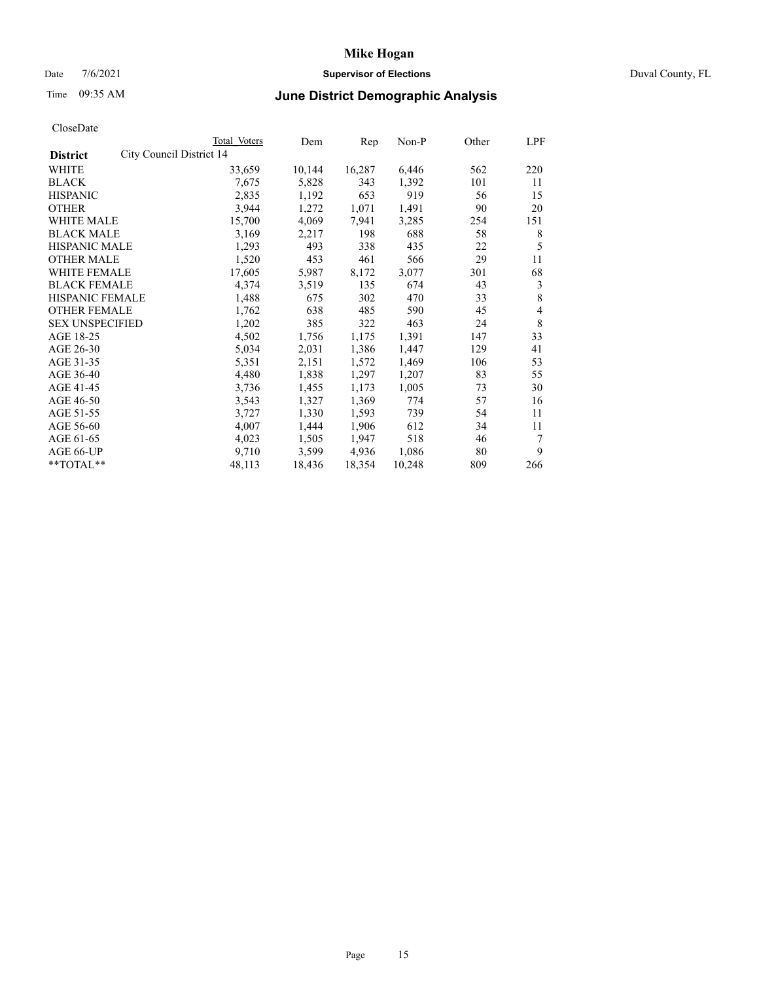## Date 7/6/2021 **Supervisor of Elections** Duval County, FL

# Time 09:35 AM **June District Demographic Analysis**

|                        | Total Voters             | Dem    | Rep    | Non-P  | Other | LPF |
|------------------------|--------------------------|--------|--------|--------|-------|-----|
| <b>District</b>        | City Council District 14 |        |        |        |       |     |
| WHITE                  | 33,659                   | 10,144 | 16,287 | 6,446  | 562   | 220 |
| <b>BLACK</b>           | 7,675                    | 5,828  | 343    | 1,392  | 101   | 11  |
| <b>HISPANIC</b>        | 2,835                    | 1,192  | 653    | 919    | 56    | 15  |
| <b>OTHER</b>           | 3,944                    | 1,272  | 1,071  | 1,491  | 90    | 20  |
| WHITE MALE             | 15,700                   | 4,069  | 7,941  | 3,285  | 254   | 151 |
| <b>BLACK MALE</b>      | 3,169                    | 2,217  | 198    | 688    | 58    | 8   |
| <b>HISPANIC MALE</b>   | 1,293                    | 493    | 338    | 435    | 22    | 5   |
| <b>OTHER MALE</b>      | 1,520                    | 453    | 461    | 566    | 29    | 11  |
| WHITE FEMALE           | 17,605                   | 5,987  | 8,172  | 3,077  | 301   | 68  |
| <b>BLACK FEMALE</b>    | 4,374                    | 3,519  | 135    | 674    | 43    | 3   |
| <b>HISPANIC FEMALE</b> | 1,488                    | 675    | 302    | 470    | 33    | 8   |
| <b>OTHER FEMALE</b>    | 1,762                    | 638    | 485    | 590    | 45    | 4   |
| <b>SEX UNSPECIFIED</b> | 1,202                    | 385    | 322    | 463    | 24    | 8   |
| AGE 18-25              | 4,502                    | 1,756  | 1,175  | 1,391  | 147   | 33  |
| AGE 26-30              | 5,034                    | 2,031  | 1,386  | 1,447  | 129   | 41  |
| AGE 31-35              | 5,351                    | 2,151  | 1,572  | 1,469  | 106   | 53  |
| AGE 36-40              | 4,480                    | 1,838  | 1,297  | 1,207  | 83    | 55  |
| AGE 41-45              | 3,736                    | 1,455  | 1,173  | 1,005  | 73    | 30  |
| AGE 46-50              | 3,543                    | 1,327  | 1,369  | 774    | 57    | 16  |
| AGE 51-55              | 3,727                    | 1,330  | 1,593  | 739    | 54    | 11  |
| AGE 56-60              | 4,007                    | 1,444  | 1,906  | 612    | 34    | 11  |
| AGE 61-65              | 4,023                    | 1,505  | 1,947  | 518    | 46    | 7   |
| AGE 66-UP              | 9,710                    | 3,599  | 4,936  | 1,086  | 80    | 9   |
| **TOTAL**              | 48,113                   | 18,436 | 18,354 | 10,248 | 809   | 266 |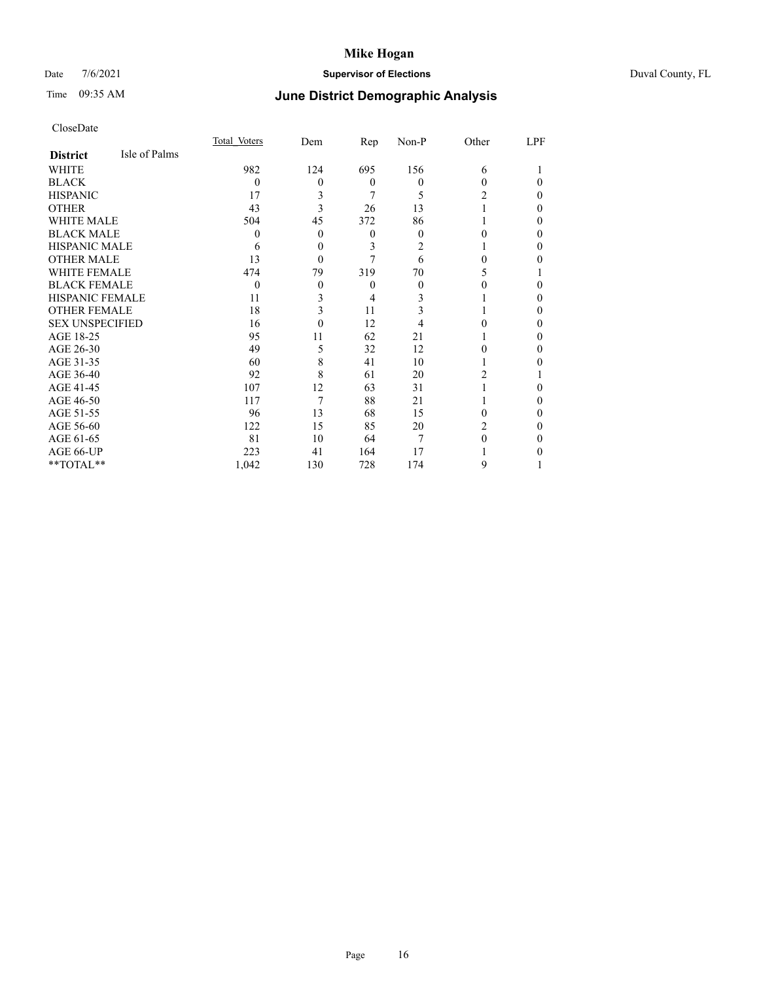## Date 7/6/2021 **Supervisor of Elections** Duval County, FL

# Time 09:35 AM **June District Demographic Analysis**

|                        |               | Total Voters | Dem      | Rep      | Non-P    | Other | LPF |
|------------------------|---------------|--------------|----------|----------|----------|-------|-----|
| <b>District</b>        | Isle of Palms |              |          |          |          |       |     |
| WHITE                  |               | 982          | 124      | 695      | 156      | 6     |     |
| <b>BLACK</b>           |               | $\theta$     | 0        | $\Omega$ | $\theta$ | 0     | 0   |
| <b>HISPANIC</b>        |               | 17           | 3        | 7        | 5        | 2     | 0   |
| <b>OTHER</b>           |               | 43           | 3        | 26       | 13       |       | 0   |
| WHITE MALE             |               | 504          | 45       | 372      | 86       |       | 0   |
| <b>BLACK MALE</b>      |               | $\theta$     | 0        | $\theta$ | $\theta$ | 0     | 0   |
| <b>HISPANIC MALE</b>   |               | 6            | 0        | 3        | 2        |       | 0   |
| <b>OTHER MALE</b>      |               | 13           | $\theta$ | 7        | 6        | 0     | 0   |
| WHITE FEMALE           |               | 474          | 79       | 319      | 70       |       |     |
| <b>BLACK FEMALE</b>    |               | $\theta$     | $\theta$ | $\theta$ | $\theta$ |       | 0   |
| <b>HISPANIC FEMALE</b> |               | 11           | 3        | 4        | 3        |       | 0   |
| <b>OTHER FEMALE</b>    |               | 18           | 3        | 11       | 3        |       | 0   |
| <b>SEX UNSPECIFIED</b> |               | 16           | $\theta$ | 12       | 4        |       | 0   |
| AGE 18-25              |               | 95           | 11       | 62       | 21       |       | 0   |
| AGE 26-30              |               | 49           | 5        | 32       | 12       | 0     | 0   |
| AGE 31-35              |               | 60           | 8        | 41       | 10       |       | 0   |
| AGE 36-40              |               | 92           | 8        | 61       | 20       | 2     |     |
| AGE 41-45              |               | 107          | 12       | 63       | 31       |       | 0   |
| AGE 46-50              |               | 117          | 7        | 88       | 21       |       | 0   |
| AGE 51-55              |               | 96           | 13       | 68       | 15       | 0     | 0   |
| AGE 56-60              |               | 122          | 15       | 85       | 20       | 2     | 0   |
| AGE 61-65              |               | 81           | 10       | 64       | 7        | 0     | 0   |
| AGE 66-UP              |               | 223          | 41       | 164      | 17       |       |     |
| **TOTAL**              |               | 1,042        | 130      | 728      | 174      | 9     |     |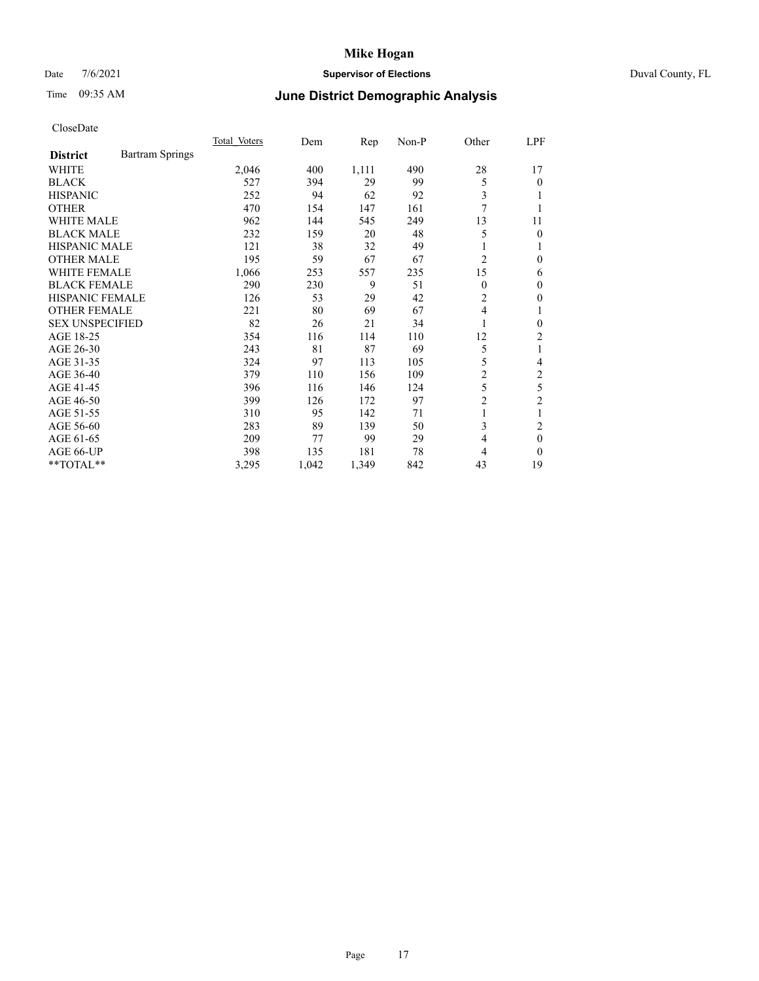### Date 7/6/2021 **Supervisor of Elections** Duval County, FL

# Time 09:35 AM **June District Demographic Analysis**

|                        |                        | Total Voters | Dem   | Rep   | $Non-P$ | Other          | LPF            |
|------------------------|------------------------|--------------|-------|-------|---------|----------------|----------------|
| <b>District</b>        | <b>Bartram Springs</b> |              |       |       |         |                |                |
| WHITE                  |                        | 2,046        | 400   | 1,111 | 490     | 28             | 17             |
| <b>BLACK</b>           |                        | 527          | 394   | 29    | 99      | 5              | 0              |
| <b>HISPANIC</b>        |                        | 252          | 94    | 62    | 92      | 3              |                |
| <b>OTHER</b>           |                        | 470          | 154   | 147   | 161     | 7              |                |
| <b>WHITE MALE</b>      |                        | 962          | 144   | 545   | 249     | 13             | 11             |
| <b>BLACK MALE</b>      |                        | 232          | 159   | 20    | 48      | 5              | 0              |
| <b>HISPANIC MALE</b>   |                        | 121          | 38    | 32    | 49      | 1              |                |
| <b>OTHER MALE</b>      |                        | 195          | 59    | 67    | 67      | $\overline{2}$ | 0              |
| WHITE FEMALE           |                        | 1,066        | 253   | 557   | 235     | 15             | 6              |
| <b>BLACK FEMALE</b>    |                        | 290          | 230   | 9     | 51      | $\theta$       | 0              |
| <b>HISPANIC FEMALE</b> |                        | 126          | 53    | 29    | 42      | 2              | 0              |
| <b>OTHER FEMALE</b>    |                        | 221          | 80    | 69    | 67      | 4              | 1              |
| <b>SEX UNSPECIFIED</b> |                        | 82           | 26    | 21    | 34      | 1              | 0              |
| AGE 18-25              |                        | 354          | 116   | 114   | 110     | 12             | 2              |
| AGE 26-30              |                        | 243          | 81    | 87    | 69      | 5              | 1              |
| AGE 31-35              |                        | 324          | 97    | 113   | 105     | 5              | 4              |
| AGE 36-40              |                        | 379          | 110   | 156   | 109     | 2              | 2              |
| AGE 41-45              |                        | 396          | 116   | 146   | 124     | 5              | 5              |
| AGE 46-50              |                        | 399          | 126   | 172   | 97      | $\overline{c}$ | $\overline{c}$ |
| AGE 51-55              |                        | 310          | 95    | 142   | 71      | 1              |                |
| AGE 56-60              |                        | 283          | 89    | 139   | 50      | 3              | $\overline{c}$ |
| AGE 61-65              |                        | 209          | 77    | 99    | 29      | 4              | $\theta$       |
| AGE 66-UP              |                        | 398          | 135   | 181   | 78      | 4              | 0              |
| $*$ $TOTAL**$          |                        | 3,295        | 1,042 | 1,349 | 842     | 43             | 19             |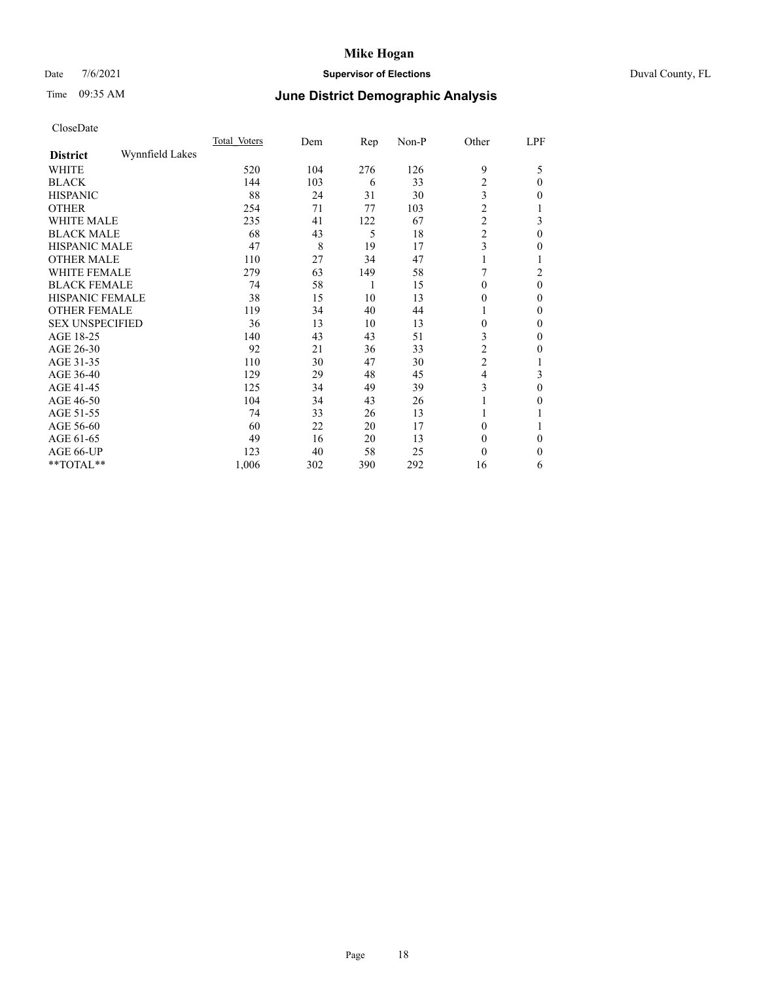## Date 7/6/2021 **Supervisor of Elections** Duval County, FL

# Time 09:35 AM **June District Demographic Analysis**

|                        |                 | Total Voters | Dem | Rep | Non-P | Other          | LPF |
|------------------------|-----------------|--------------|-----|-----|-------|----------------|-----|
| <b>District</b>        | Wynnfield Lakes |              |     |     |       |                |     |
| WHITE                  |                 | 520          | 104 | 276 | 126   | 9              | 5   |
| <b>BLACK</b>           |                 | 144          | 103 | 6   | 33    | $\overline{c}$ | 0   |
| <b>HISPANIC</b>        |                 | 88           | 24  | 31  | 30    | 3              | 0   |
| <b>OTHER</b>           |                 | 254          | 71  | 77  | 103   | $\overline{c}$ |     |
| WHITE MALE             |                 | 235          | 41  | 122 | 67    | 2              | 3   |
| <b>BLACK MALE</b>      |                 | 68           | 43  | 5   | 18    | $\overline{2}$ | 0   |
| <b>HISPANIC MALE</b>   |                 | 47           | 8   | 19  | 17    | 3              | 0   |
| <b>OTHER MALE</b>      |                 | 110          | 27  | 34  | 47    | 1              |     |
| <b>WHITE FEMALE</b>    |                 | 279          | 63  | 149 | 58    | 7              | 2   |
| <b>BLACK FEMALE</b>    |                 | 74           | 58  | 1   | 15    | 0              | 0   |
| <b>HISPANIC FEMALE</b> |                 | 38           | 15  | 10  | 13    | 0              | 0   |
| <b>OTHER FEMALE</b>    |                 | 119          | 34  | 40  | 44    | 1              | 0   |
| <b>SEX UNSPECIFIED</b> |                 | 36           | 13  | 10  | 13    | 0              | 0   |
| AGE 18-25              |                 | 140          | 43  | 43  | 51    | 3              | 0   |
| AGE 26-30              |                 | 92           | 21  | 36  | 33    | 2              | 0   |
| AGE 31-35              |                 | 110          | 30  | 47  | 30    | $\overline{2}$ |     |
| AGE 36-40              |                 | 129          | 29  | 48  | 45    | 4              | 3   |
| AGE 41-45              |                 | 125          | 34  | 49  | 39    | 3              | 0   |
| AGE 46-50              |                 | 104          | 34  | 43  | 26    | 1              | 0   |
| AGE 51-55              |                 | 74           | 33  | 26  | 13    | 1              |     |
| AGE 56-60              |                 | 60           | 22  | 20  | 17    | 0              |     |
| AGE 61-65              |                 | 49           | 16  | 20  | 13    | $\Omega$       | 0   |
| AGE 66-UP              |                 | 123          | 40  | 58  | 25    | 0              | 0   |
| **TOTAL**              |                 | 1,006        | 302 | 390 | 292   | 16             | 6   |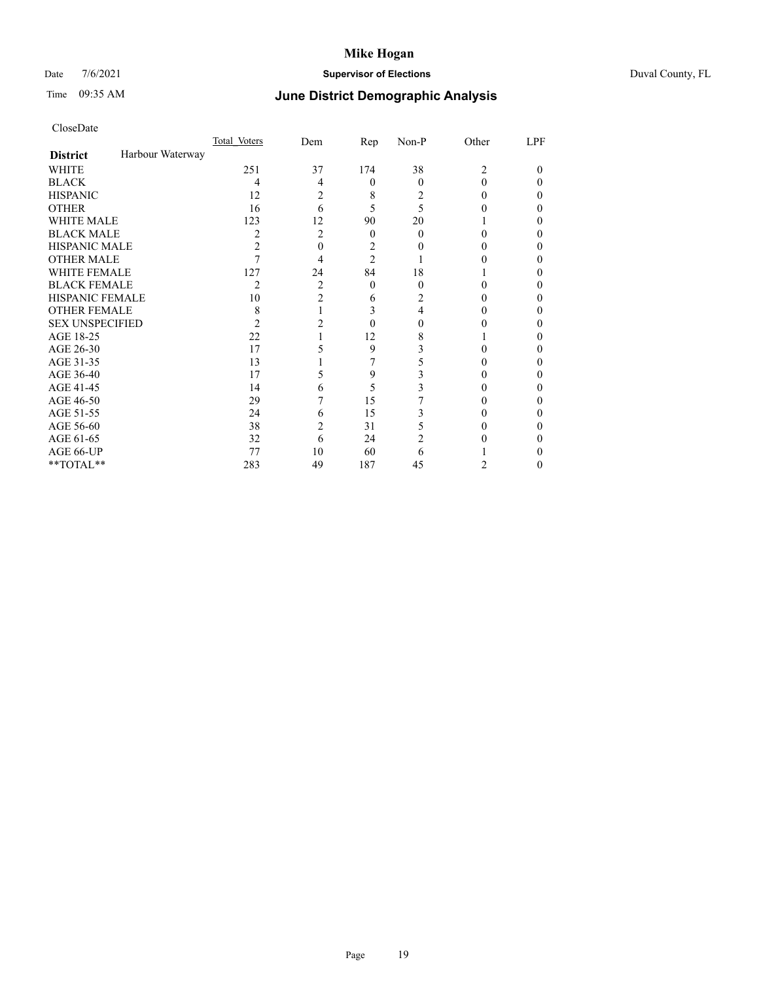## Date 7/6/2021 **Supervisor of Elections** Duval County, FL

# Time 09:35 AM **June District Demographic Analysis**

|                        |                  | Total Voters | Dem | Rep            | Non-P    | Other          | LPF      |
|------------------------|------------------|--------------|-----|----------------|----------|----------------|----------|
| <b>District</b>        | Harbour Waterway |              |     |                |          |                |          |
| WHITE                  |                  | 251          | 37  | 174            | 38       | $\overline{2}$ | 0        |
| <b>BLACK</b>           |                  | 4            | 4   | 0              | $\Omega$ | 0              | $\theta$ |
| <b>HISPANIC</b>        |                  | 12           | 2   | 8              | 2        | $\theta$       | $_{0}$   |
| <b>OTHER</b>           |                  | 16           | 6   | 5              | 5        |                | 0        |
| <b>WHITE MALE</b>      |                  | 123          | 12  | 90             | 20       |                | 0        |
| <b>BLACK MALE</b>      |                  | 2            | 2   | $\overline{0}$ | $\theta$ | 0              | 0        |
| <b>HISPANIC MALE</b>   |                  | 2            | 0   | 2              | 0        | 0              | 0        |
| <b>OTHER MALE</b>      |                  |              | 4   | $\overline{2}$ |          | 0              | 0        |
| WHITE FEMALE           |                  | 127          | 24  | 84             | 18       |                | $_{0}$   |
| <b>BLACK FEMALE</b>    |                  | 2            | 2   | $\theta$       | 0        | 0              | 0        |
| <b>HISPANIC FEMALE</b> |                  | 10           | 2   | 6              | 2        | 0              | 0        |
| <b>OTHER FEMALE</b>    |                  | 8            |     | 3              | 4        | 0              | 0        |
| <b>SEX UNSPECIFIED</b> |                  | 2            | 2   | 0              | 0        |                | $_{0}$   |
| AGE 18-25              |                  | 22           |     | 12             | 8        |                | $_{0}$   |
| AGE 26-30              |                  | 17           |     | 9              | 3        | 0              | 0        |
| AGE 31-35              |                  | 13           |     |                |          | 0              | 0        |
| AGE 36-40              |                  | 17           | 5   | 9              | 3        | 0              | $_{0}$   |
| AGE 41-45              |                  | 14           | 6   | 5              | 3        | 0              | $_{0}$   |
| AGE 46-50              |                  | 29           |     | 15             |          | 0              | 0        |
| AGE 51-55              |                  | 24           | 6   | 15             |          | 0              | 0        |
| AGE 56-60              |                  | 38           | 2   | 31             |          | 0              | 0        |
| AGE 61-65              |                  | 32           | 6   | 24             | 2        | 0              | $_{0}$   |
| AGE 66-UP              |                  | 77           | 10  | 60             | 6        |                | 0        |
| **TOTAL**              |                  | 283          | 49  | 187            | 45       | 2              | 0        |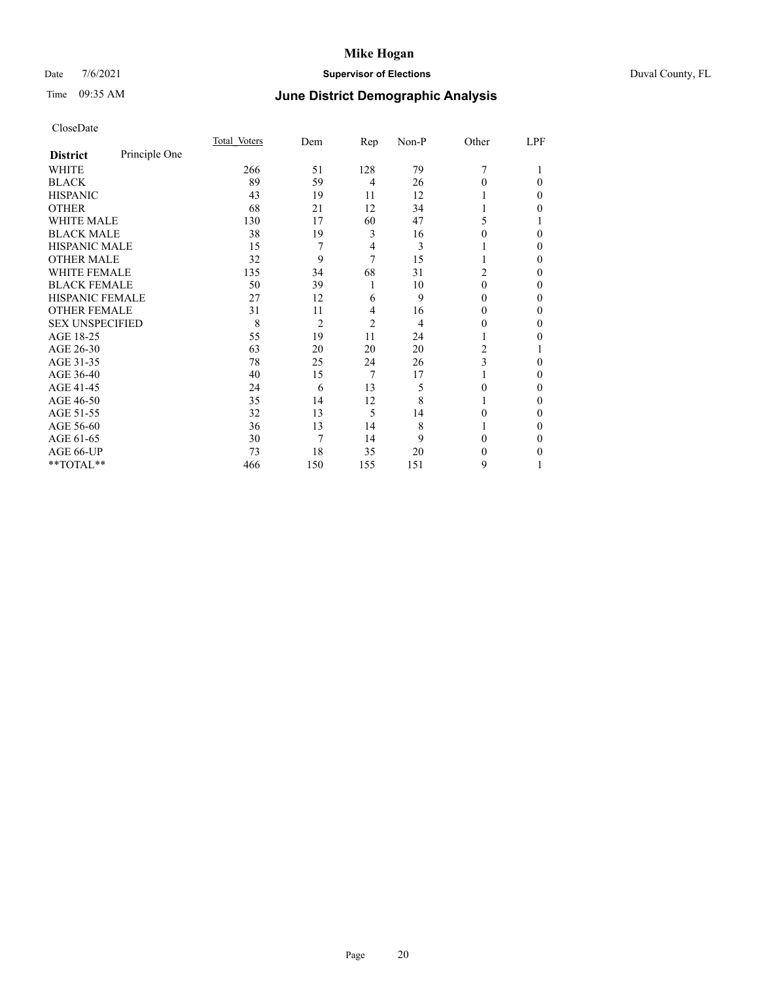## Date 7/6/2021 **Supervisor of Elections** Duval County, FL

# Time 09:35 AM **June District Demographic Analysis**

|                        |               | Total Voters | Dem            | Rep            | Non-P | Other | LPF |
|------------------------|---------------|--------------|----------------|----------------|-------|-------|-----|
| <b>District</b>        | Principle One |              |                |                |       |       |     |
| WHITE                  |               | 266          | 51             | 128            | 79    | 7     |     |
| <b>BLACK</b>           |               | 89           | 59             | 4              | 26    | 0     | 0   |
| <b>HISPANIC</b>        |               | 43           | 19             | 11             | 12    |       | 0   |
| <b>OTHER</b>           |               | 68           | 21             | 12             | 34    |       | 0   |
| <b>WHITE MALE</b>      |               | 130          | 17             | 60             | 47    | 5     |     |
| <b>BLACK MALE</b>      |               | 38           | 19             | 3              | 16    | 0     | 0   |
| <b>HISPANIC MALE</b>   |               | 15           | 7              | 4              | 3     |       | 0   |
| <b>OTHER MALE</b>      |               | 32           | 9              | 7              | 15    |       | 0   |
| <b>WHITE FEMALE</b>    |               | 135          | 34             | 68             | 31    | 2     | 0   |
| <b>BLACK FEMALE</b>    |               | 50           | 39             | 1              | 10    | 0     | 0   |
| <b>HISPANIC FEMALE</b> |               | 27           | 12             | 6              | 9     | 0     | 0   |
| <b>OTHER FEMALE</b>    |               | 31           | 11             | 4              | 16    | 0     | 0   |
| <b>SEX UNSPECIFIED</b> |               | 8            | $\overline{2}$ | $\overline{2}$ | 4     | 0     | 0   |
| AGE 18-25              |               | 55           | 19             | 11             | 24    |       | 0   |
| AGE 26-30              |               | 63           | 20             | 20             | 20    | 2     |     |
| AGE 31-35              |               | 78           | 25             | 24             | 26    | 3     | 0   |
| AGE 36-40              |               | 40           | 15             | 7              | 17    |       | 0   |
| AGE 41-45              |               | 24           | 6              | 13             | 5     | 0     | 0   |
| AGE 46-50              |               | 35           | 14             | 12             | 8     |       | 0   |
| AGE 51-55              |               | 32           | 13             | 5              | 14    | 0     | 0   |
| AGE 56-60              |               | 36           | 13             | 14             | 8     |       | 0   |
| AGE 61-65              |               | 30           | 7              | 14             | 9     | 0     | 0   |
| AGE 66-UP              |               | 73           | 18             | 35             | 20    | 0     | 0   |
| **TOTAL**              |               | 466          | 150            | 155            | 151   | 9     |     |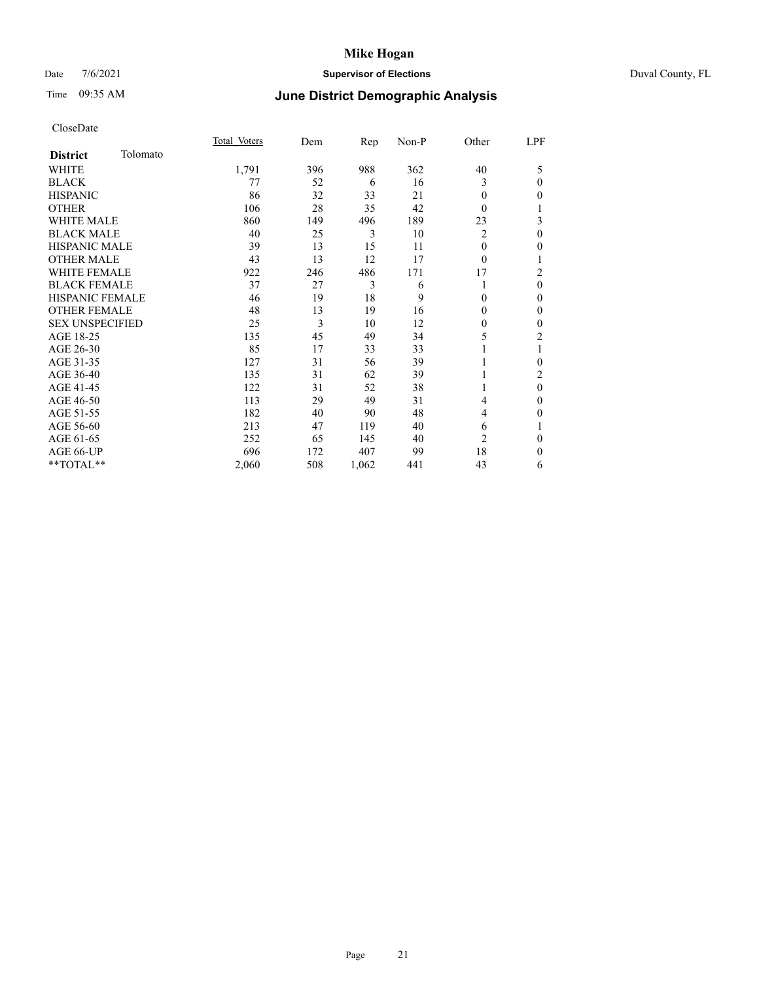### Date 7/6/2021 **Supervisor of Elections** Duval County, FL

# Time 09:35 AM **June District Demographic Analysis**

|                        |          | Total Voters | Dem | Rep   | Non-P | Other          | LPF            |
|------------------------|----------|--------------|-----|-------|-------|----------------|----------------|
| <b>District</b>        | Tolomato |              |     |       |       |                |                |
| WHITE                  |          | 1,791        | 396 | 988   | 362   | 40             | 5              |
| <b>BLACK</b>           |          | 77           | 52  | 6     | 16    | 3              | $\theta$       |
| <b>HISPANIC</b>        |          | 86           | 32  | 33    | 21    | $\theta$       | $\mathbf{0}$   |
| <b>OTHER</b>           |          | 106          | 28  | 35    | 42    | $\Omega$       | 1              |
| WHITE MALE             |          | 860          | 149 | 496   | 189   | 23             | 3              |
| <b>BLACK MALE</b>      |          | 40           | 25  | 3     | 10    | 2              | $\mathbf{0}$   |
| <b>HISPANIC MALE</b>   |          | 39           | 13  | 15    | 11    | 0              | $\mathbf{0}$   |
| <b>OTHER MALE</b>      |          | 43           | 13  | 12    | 17    | $\theta$       | 1              |
| <b>WHITE FEMALE</b>    |          | 922          | 246 | 486   | 171   | 17             | $\overline{c}$ |
| <b>BLACK FEMALE</b>    |          | 37           | 27  | 3     | 6     |                | $\theta$       |
| <b>HISPANIC FEMALE</b> |          | 46           | 19  | 18    | 9     | 0              | $\theta$       |
| <b>OTHER FEMALE</b>    |          | 48           | 13  | 19    | 16    | 0              | $\mathbf{0}$   |
| <b>SEX UNSPECIFIED</b> |          | 25           | 3   | 10    | 12    | 0              | $\mathbf{0}$   |
| AGE 18-25              |          | 135          | 45  | 49    | 34    | 5              | $\overline{c}$ |
| AGE 26-30              |          | 85           | 17  | 33    | 33    |                | 1              |
| AGE 31-35              |          | 127          | 31  | 56    | 39    |                | $\theta$       |
| AGE 36-40              |          | 135          | 31  | 62    | 39    |                | 2              |
| AGE 41-45              |          | 122          | 31  | 52    | 38    |                | $\mathbf{0}$   |
| AGE 46-50              |          | 113          | 29  | 49    | 31    | 4              | $\mathbf{0}$   |
| AGE 51-55              |          | 182          | 40  | 90    | 48    | 4              | $\mathbf{0}$   |
| AGE 56-60              |          | 213          | 47  | 119   | 40    | 6              | 1              |
| AGE 61-65              |          | 252          | 65  | 145   | 40    | $\overline{c}$ | $\mathbf{0}$   |
| AGE 66-UP              |          | 696          | 172 | 407   | 99    | 18             | $\mathbf{0}$   |
| **TOTAL**              |          | 2,060        | 508 | 1,062 | 441   | 43             | 6              |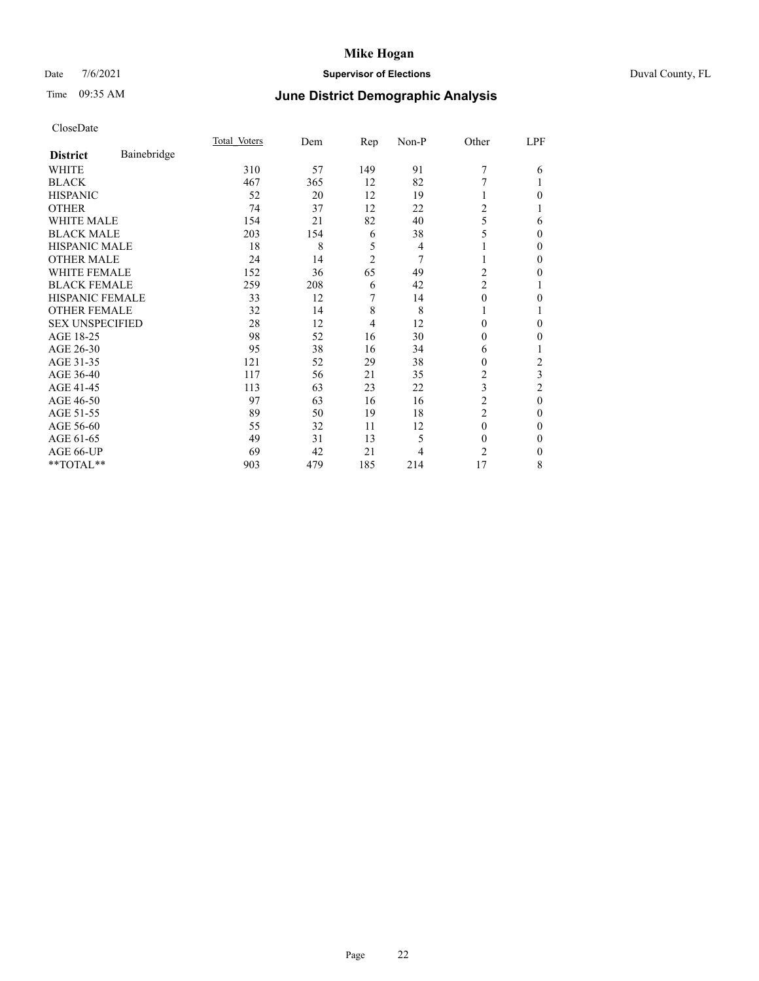## Date 7/6/2021 **Supervisor of Elections** Duval County, FL

# Time 09:35 AM **June District Demographic Analysis**

|                        |             | Total Voters | Dem | Rep            | Non-P | Other                   | LPF    |
|------------------------|-------------|--------------|-----|----------------|-------|-------------------------|--------|
| <b>District</b>        | Bainebridge |              |     |                |       |                         |        |
| WHITE                  |             | 310          | 57  | 149            | 91    | 7                       | 6      |
| <b>BLACK</b>           |             | 467          | 365 | 12             | 82    | 7                       |        |
| <b>HISPANIC</b>        |             | 52           | 20  | 12             | 19    |                         | 0      |
| <b>OTHER</b>           |             | 74           | 37  | 12             | 22    | 2                       |        |
| <b>WHITE MALE</b>      |             | 154          | 21  | 82             | 40    | 5                       | 6      |
| <b>BLACK MALE</b>      |             | 203          | 154 | 6              | 38    | 5                       | 0      |
| <b>HISPANIC MALE</b>   |             | 18           | 8   | 5              | 4     |                         | $_{0}$ |
| <b>OTHER MALE</b>      |             | 24           | 14  | $\overline{2}$ | 7     | 1                       | 0      |
| <b>WHITE FEMALE</b>    |             | 152          | 36  | 65             | 49    | 2                       | 0      |
| <b>BLACK FEMALE</b>    |             | 259          | 208 | 6              | 42    | $\overline{\mathbf{c}}$ |        |
| <b>HISPANIC FEMALE</b> |             | 33           | 12  | 7              | 14    | $\theta$                | 0      |
| <b>OTHER FEMALE</b>    |             | 32           | 14  | 8              | 8     | 1                       |        |
| <b>SEX UNSPECIFIED</b> |             | 28           | 12  | $\overline{4}$ | 12    | 0                       | 0      |
| AGE 18-25              |             | 98           | 52  | 16             | 30    | $\Omega$                | 0      |
| AGE 26-30              |             | 95           | 38  | 16             | 34    | 6                       |        |
| AGE 31-35              |             | 121          | 52  | 29             | 38    | 0                       | 2      |
| AGE 36-40              |             | 117          | 56  | 21             | 35    | 2                       | 3      |
| AGE 41-45              |             | 113          | 63  | 23             | 22    | 3                       | 2      |
| AGE 46-50              |             | 97           | 63  | 16             | 16    | 2                       | 0      |
| AGE 51-55              |             | 89           | 50  | 19             | 18    | 2                       | 0      |
| AGE 56-60              |             | 55           | 32  | 11             | 12    | $\theta$                | 0      |
| AGE 61-65              |             | 49           | 31  | 13             | 5     | $\theta$                | 0      |
| AGE 66-UP              |             | 69           | 42  | 21             | 4     | 2                       | 0      |
| **TOTAL**              |             | 903          | 479 | 185            | 214   | 17                      | 8      |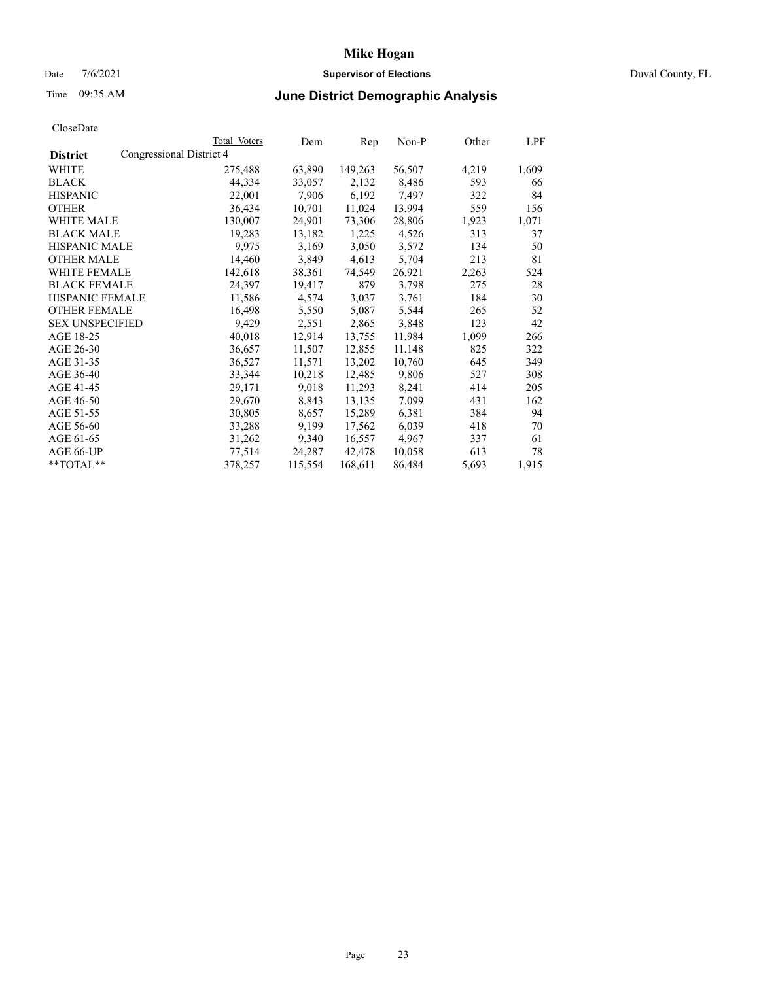## Date 7/6/2021 **Supervisor of Elections** Duval County, FL

# Time 09:35 AM **June District Demographic Analysis**

|                        | Total Voters             | Dem     | Rep     | Non-P  | Other | LPF   |
|------------------------|--------------------------|---------|---------|--------|-------|-------|
| <b>District</b>        | Congressional District 4 |         |         |        |       |       |
| WHITE                  | 275,488                  | 63,890  | 149,263 | 56,507 | 4,219 | 1,609 |
| <b>BLACK</b>           | 44,334                   | 33,057  | 2,132   | 8,486  | 593   | 66    |
| <b>HISPANIC</b>        | 22,001                   | 7,906   | 6,192   | 7,497  | 322   | 84    |
| <b>OTHER</b>           | 36,434                   | 10,701  | 11,024  | 13,994 | 559   | 156   |
| WHITE MALE             | 130,007                  | 24,901  | 73,306  | 28,806 | 1,923 | 1,071 |
| <b>BLACK MALE</b>      | 19,283                   | 13,182  | 1,225   | 4,526  | 313   | 37    |
| <b>HISPANIC MALE</b>   | 9,975                    | 3,169   | 3,050   | 3,572  | 134   | 50    |
| <b>OTHER MALE</b>      | 14,460                   | 3,849   | 4,613   | 5,704  | 213   | 81    |
| <b>WHITE FEMALE</b>    | 142,618                  | 38,361  | 74,549  | 26,921 | 2,263 | 524   |
| <b>BLACK FEMALE</b>    | 24,397                   | 19,417  | 879     | 3,798  | 275   | 28    |
| <b>HISPANIC FEMALE</b> | 11,586                   | 4,574   | 3,037   | 3,761  | 184   | 30    |
| <b>OTHER FEMALE</b>    | 16,498                   | 5,550   | 5,087   | 5,544  | 265   | 52    |
| <b>SEX UNSPECIFIED</b> | 9,429                    | 2,551   | 2,865   | 3,848  | 123   | 42    |
| AGE 18-25              | 40,018                   | 12,914  | 13,755  | 11,984 | 1,099 | 266   |
| AGE 26-30              | 36,657                   | 11,507  | 12,855  | 11,148 | 825   | 322   |
| AGE 31-35              | 36,527                   | 11,571  | 13,202  | 10,760 | 645   | 349   |
| AGE 36-40              | 33,344                   | 10,218  | 12,485  | 9,806  | 527   | 308   |
| AGE 41-45              | 29,171                   | 9,018   | 11,293  | 8,241  | 414   | 205   |
| AGE 46-50              | 29,670                   | 8,843   | 13,135  | 7,099  | 431   | 162   |
| AGE 51-55              | 30,805                   | 8,657   | 15,289  | 6,381  | 384   | 94    |
| AGE 56-60              | 33,288                   | 9,199   | 17,562  | 6,039  | 418   | 70    |
| AGE 61-65              | 31,262                   | 9,340   | 16,557  | 4,967  | 337   | 61    |
| AGE 66-UP              | 77,514                   | 24,287  | 42,478  | 10,058 | 613   | 78    |
| $*$ $TOTAL**$          | 378,257                  | 115,554 | 168,611 | 86,484 | 5,693 | 1,915 |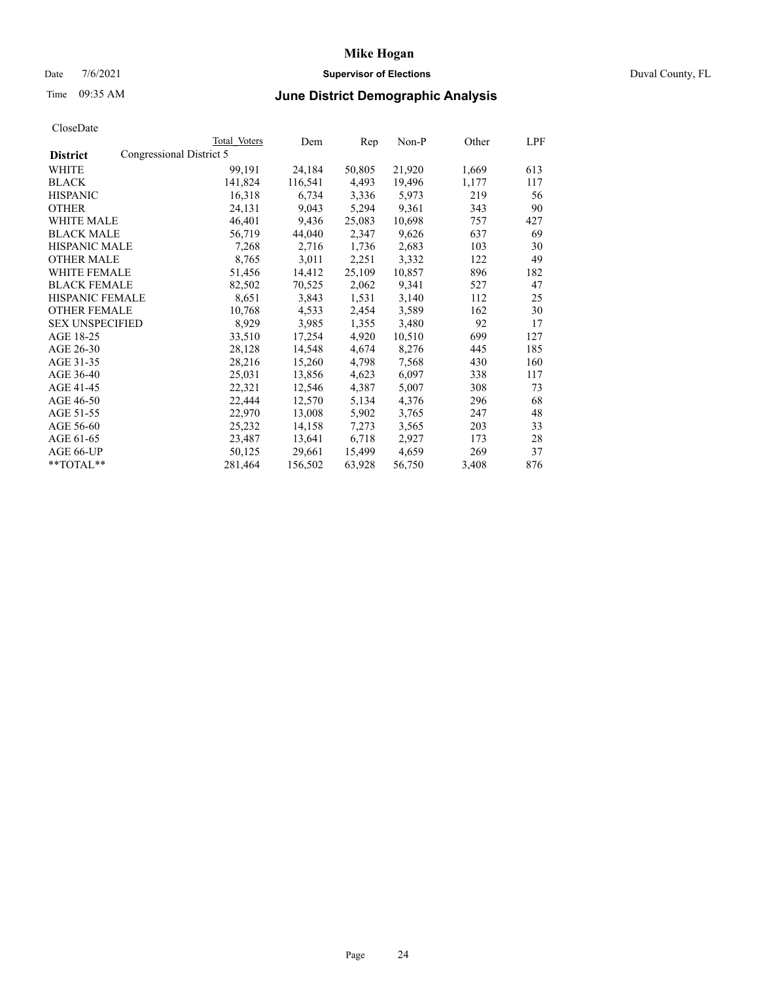## Date 7/6/2021 **Supervisor of Elections** Duval County, FL

# Time 09:35 AM **June District Demographic Analysis**

|                        |                          | Total Voters | Dem     | Rep    | Non-P  | Other | LPF |
|------------------------|--------------------------|--------------|---------|--------|--------|-------|-----|
| <b>District</b>        | Congressional District 5 |              |         |        |        |       |     |
| WHITE                  |                          | 99,191       | 24,184  | 50,805 | 21,920 | 1,669 | 613 |
| <b>BLACK</b>           |                          | 141,824      | 116,541 | 4,493  | 19,496 | 1,177 | 117 |
| <b>HISPANIC</b>        |                          | 16,318       | 6,734   | 3,336  | 5,973  | 219   | 56  |
| <b>OTHER</b>           |                          | 24,131       | 9,043   | 5,294  | 9,361  | 343   | 90  |
| WHITE MALE             |                          | 46,401       | 9,436   | 25,083 | 10,698 | 757   | 427 |
| <b>BLACK MALE</b>      |                          | 56,719       | 44,040  | 2,347  | 9,626  | 637   | 69  |
| <b>HISPANIC MALE</b>   |                          | 7,268        | 2,716   | 1,736  | 2,683  | 103   | 30  |
| <b>OTHER MALE</b>      |                          | 8,765        | 3,011   | 2,251  | 3,332  | 122   | 49  |
| <b>WHITE FEMALE</b>    |                          | 51,456       | 14,412  | 25,109 | 10,857 | 896   | 182 |
| <b>BLACK FEMALE</b>    |                          | 82,502       | 70,525  | 2,062  | 9,341  | 527   | 47  |
| <b>HISPANIC FEMALE</b> |                          | 8,651        | 3,843   | 1,531  | 3,140  | 112   | 25  |
| <b>OTHER FEMALE</b>    |                          | 10,768       | 4,533   | 2,454  | 3,589  | 162   | 30  |
| <b>SEX UNSPECIFIED</b> |                          | 8,929        | 3,985   | 1,355  | 3,480  | 92    | 17  |
| AGE 18-25              |                          | 33,510       | 17,254  | 4,920  | 10,510 | 699   | 127 |
| AGE 26-30              |                          | 28,128       | 14,548  | 4,674  | 8,276  | 445   | 185 |
| AGE 31-35              |                          | 28,216       | 15,260  | 4,798  | 7,568  | 430   | 160 |
| AGE 36-40              |                          | 25,031       | 13,856  | 4,623  | 6,097  | 338   | 117 |
| AGE 41-45              |                          | 22,321       | 12,546  | 4,387  | 5,007  | 308   | 73  |
| AGE 46-50              |                          | 22,444       | 12,570  | 5,134  | 4,376  | 296   | 68  |
| AGE 51-55              |                          | 22,970       | 13,008  | 5,902  | 3,765  | 247   | 48  |
| AGE 56-60              |                          | 25,232       | 14,158  | 7,273  | 3,565  | 203   | 33  |
| AGE 61-65              |                          | 23,487       | 13,641  | 6,718  | 2,927  | 173   | 28  |
| AGE 66-UP              |                          | 50,125       | 29,661  | 15,499 | 4,659  | 269   | 37  |
| $*$ TOTAL $*$          |                          | 281,464      | 156,502 | 63,928 | 56,750 | 3,408 | 876 |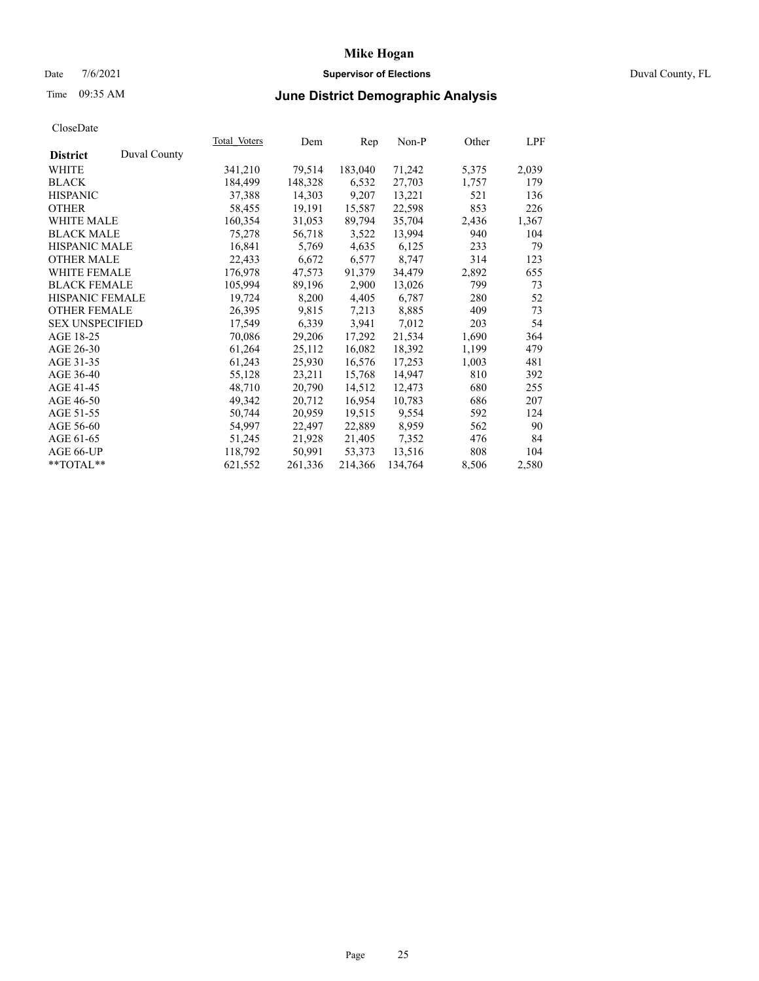### Date 7/6/2021 **Supervisor of Elections** Duval County, FL

# Time 09:35 AM **June District Demographic Analysis**

|                                 | Total Voters | Dem     | Rep     | $Non-P$ | Other | LPF   |
|---------------------------------|--------------|---------|---------|---------|-------|-------|
| Duval County<br><b>District</b> |              |         |         |         |       |       |
| WHITE                           | 341,210      | 79,514  | 183,040 | 71,242  | 5,375 | 2,039 |
| <b>BLACK</b>                    | 184,499      | 148,328 | 6,532   | 27,703  | 1,757 | 179   |
| <b>HISPANIC</b>                 | 37,388       | 14,303  | 9,207   | 13,221  | 521   | 136   |
| <b>OTHER</b>                    | 58,455       | 19,191  | 15,587  | 22,598  | 853   | 226   |
| <b>WHITE MALE</b>               | 160,354      | 31,053  | 89,794  | 35,704  | 2,436 | 1,367 |
| <b>BLACK MALE</b>               | 75,278       | 56,718  | 3,522   | 13,994  | 940   | 104   |
| <b>HISPANIC MALE</b>            | 16,841       | 5,769   | 4,635   | 6,125   | 233   | 79    |
| <b>OTHER MALE</b>               | 22,433       | 6,672   | 6,577   | 8,747   | 314   | 123   |
| <b>WHITE FEMALE</b>             | 176,978      | 47,573  | 91,379  | 34,479  | 2,892 | 655   |
| <b>BLACK FEMALE</b>             | 105,994      | 89,196  | 2,900   | 13,026  | 799   | 73    |
| HISPANIC FEMALE                 | 19,724       | 8,200   | 4,405   | 6,787   | 280   | 52    |
| <b>OTHER FEMALE</b>             | 26,395       | 9,815   | 7,213   | 8,885   | 409   | 73    |
| <b>SEX UNSPECIFIED</b>          | 17,549       | 6,339   | 3,941   | 7,012   | 203   | 54    |
| AGE 18-25                       | 70,086       | 29,206  | 17,292  | 21,534  | 1,690 | 364   |
| AGE 26-30                       | 61,264       | 25,112  | 16,082  | 18,392  | 1,199 | 479   |
| AGE 31-35                       | 61,243       | 25,930  | 16,576  | 17,253  | 1,003 | 481   |
| AGE 36-40                       | 55,128       | 23,211  | 15,768  | 14,947  | 810   | 392   |
| AGE 41-45                       | 48,710       | 20,790  | 14,512  | 12,473  | 680   | 255   |
| AGE 46-50                       | 49,342       | 20,712  | 16,954  | 10,783  | 686   | 207   |
| AGE 51-55                       | 50,744       | 20,959  | 19,515  | 9,554   | 592   | 124   |
| AGE 56-60                       | 54,997       | 22,497  | 22,889  | 8,959   | 562   | 90    |
| AGE 61-65                       | 51,245       | 21,928  | 21,405  | 7,352   | 476   | 84    |
| AGE 66-UP                       | 118,792      | 50,991  | 53,373  | 13,516  | 808   | 104   |
| **TOTAL**                       | 621,552      | 261,336 | 214,366 | 134,764 | 8,506 | 2,580 |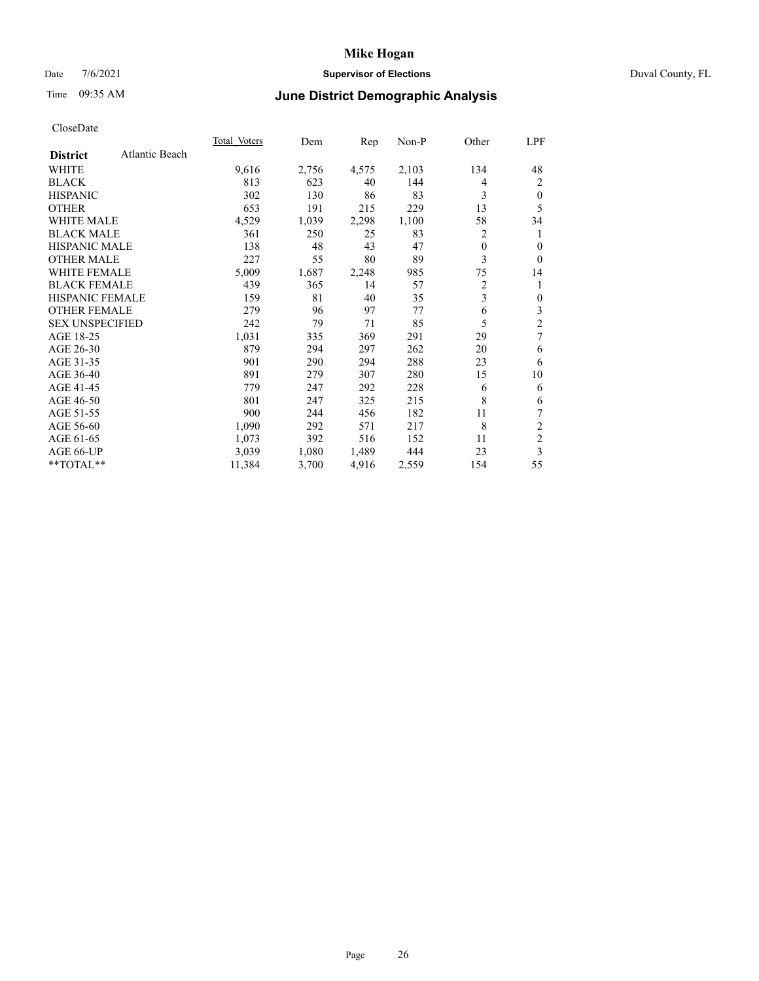### Date 7/6/2021 **Supervisor of Elections** Duval County, FL

# Time 09:35 AM **June District Demographic Analysis**

|                                   | Total Voters | Dem   | Rep   | Non-P | Other          | LPF            |
|-----------------------------------|--------------|-------|-------|-------|----------------|----------------|
| Atlantic Beach<br><b>District</b> |              |       |       |       |                |                |
| WHITE                             | 9,616        | 2,756 | 4,575 | 2,103 | 134            | 48             |
| <b>BLACK</b>                      | 813          | 623   | 40    | 144   | 4              | 2              |
| <b>HISPANIC</b>                   | 302          | 130   | 86    | 83    | 3              | $\mathbf{0}$   |
| <b>OTHER</b>                      | 653          | 191   | 215   | 229   | 13             | 5              |
| <b>WHITE MALE</b>                 | 4,529        | 1,039 | 2,298 | 1,100 | 58             | 34             |
| <b>BLACK MALE</b>                 | 361          | 250   | 25    | 83    | 2              | 1              |
| <b>HISPANIC MALE</b>              | 138          | 48    | 43    | 47    | $\mathbf{0}$   | $\theta$       |
| <b>OTHER MALE</b>                 | 227          | 55    | 80    | 89    | 3              | $\theta$       |
| <b>WHITE FEMALE</b>               | 5,009        | 1,687 | 2,248 | 985   | 75             | 14             |
| <b>BLACK FEMALE</b>               | 439          | 365   | 14    | 57    | $\overline{c}$ | 1              |
| <b>HISPANIC FEMALE</b>            | 159          | 81    | 40    | 35    | 3              | $\mathbf{0}$   |
| <b>OTHER FEMALE</b>               | 279          | 96    | 97    | 77    | 6              | 3              |
| <b>SEX UNSPECIFIED</b>            | 242          | 79    | 71    | 85    | 5              | $\overline{c}$ |
| AGE 18-25                         | 1,031        | 335   | 369   | 291   | 29             | 7              |
| AGE 26-30                         | 879          | 294   | 297   | 262   | 20             | 6              |
| AGE 31-35                         | 901          | 290   | 294   | 288   | 23             | 6              |
| AGE 36-40                         | 891          | 279   | 307   | 280   | 15             | 10             |
| AGE 41-45                         | 779          | 247   | 292   | 228   | 6              | 6              |
| AGE 46-50                         | 801          | 247   | 325   | 215   | 8              | 6              |
| AGE 51-55                         | 900          | 244   | 456   | 182   | 11             | 7              |
| AGE 56-60                         | 1,090        | 292   | 571   | 217   | 8              | $\overline{c}$ |
| AGE 61-65                         | 1,073        | 392   | 516   | 152   | 11             | $\overline{c}$ |
| AGE 66-UP                         | 3,039        | 1,080 | 1,489 | 444   | 23             | 3              |
| **TOTAL**                         | 11,384       | 3,700 | 4,916 | 2,559 | 154            | 55             |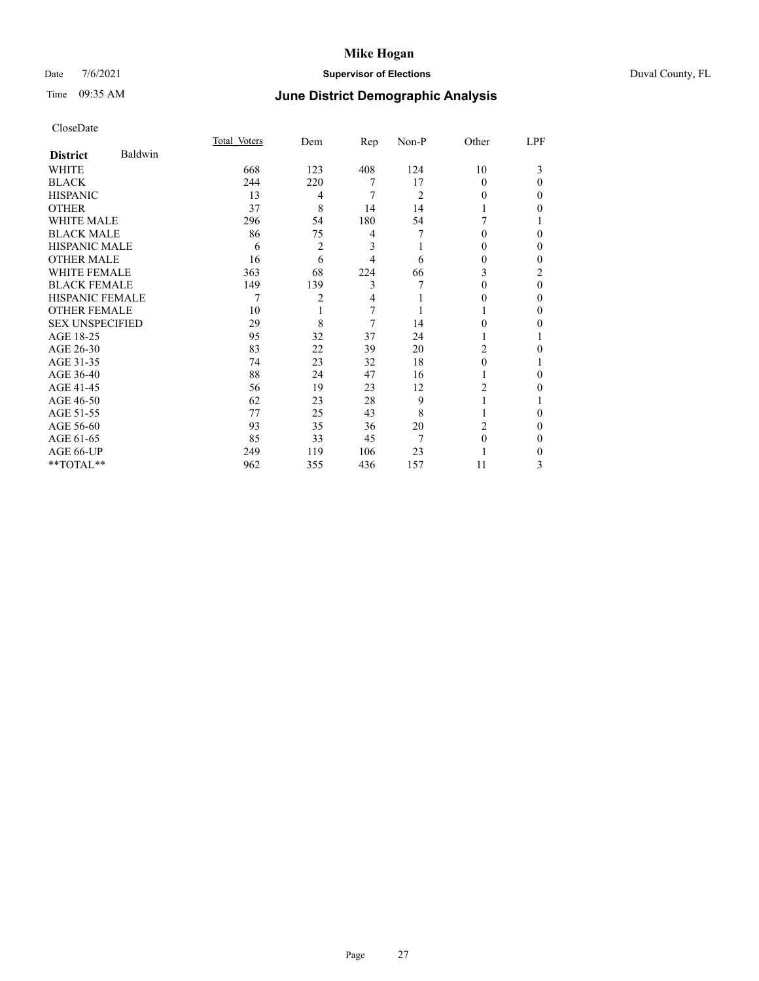## Date 7/6/2021 **Supervisor of Elections** Duval County, FL

# Time 09:35 AM **June District Demographic Analysis**

|                        |         | Total Voters | Dem | Rep | $Non-P$        | Other    | LPF      |
|------------------------|---------|--------------|-----|-----|----------------|----------|----------|
| <b>District</b>        | Baldwin |              |     |     |                |          |          |
| WHITE                  |         | 668          | 123 | 408 | 124            | 10       | 3        |
| <b>BLACK</b>           |         | 244          | 220 | 7   | 17             | $\Omega$ | $\Omega$ |
| <b>HISPANIC</b>        |         | 13           | 4   | 7   | $\overline{c}$ | 0        | 0        |
| <b>OTHER</b>           |         | 37           | 8   | 14  | 14             |          | 0        |
| WHITE MALE             |         | 296          | 54  | 180 | 54             |          |          |
| <b>BLACK MALE</b>      |         | 86           | 75  | 4   | 7              | $\Omega$ | 0        |
| <b>HISPANIC MALE</b>   |         | 6            | 2   | 3   |                | $_{0}$   | 0        |
| <b>OTHER MALE</b>      |         | 16           | 6   | 4   | 6              | 0        | 0        |
| WHITE FEMALE           |         | 363          | 68  | 224 | 66             | 3        | 2        |
| <b>BLACK FEMALE</b>    |         | 149          | 139 | 3   |                | $\Omega$ | $\Omega$ |
| <b>HISPANIC FEMALE</b> |         |              | 2   | 4   |                | $_{0}$   | 0        |
| <b>OTHER FEMALE</b>    |         | 10           |     | 7   |                |          | 0        |
| <b>SEX UNSPECIFIED</b> |         | 29           | 8   | 7   | 14             | 0        | 0        |
| AGE 18-25              |         | 95           | 32  | 37  | 24             |          |          |
| AGE 26-30              |         | 83           | 22  | 39  | 20             | 2        | 0        |
| AGE 31-35              |         | 74           | 23  | 32  | 18             | 0        |          |
| AGE 36-40              |         | 88           | 24  | 47  | 16             |          | 0        |
| AGE 41-45              |         | 56           | 19  | 23  | 12             | 2        | 0        |
| AGE 46-50              |         | 62           | 23  | 28  | 9              |          |          |
| AGE 51-55              |         | 77           | 25  | 43  | 8              |          | 0        |
| AGE 56-60              |         | 93           | 35  | 36  | 20             | 2        | 0        |
| AGE 61-65              |         | 85           | 33  | 45  | 7              | $\Omega$ | 0        |
| AGE 66-UP              |         | 249          | 119 | 106 | 23             |          | 0        |
| **TOTAL**              |         | 962          | 355 | 436 | 157            | 11       | 3        |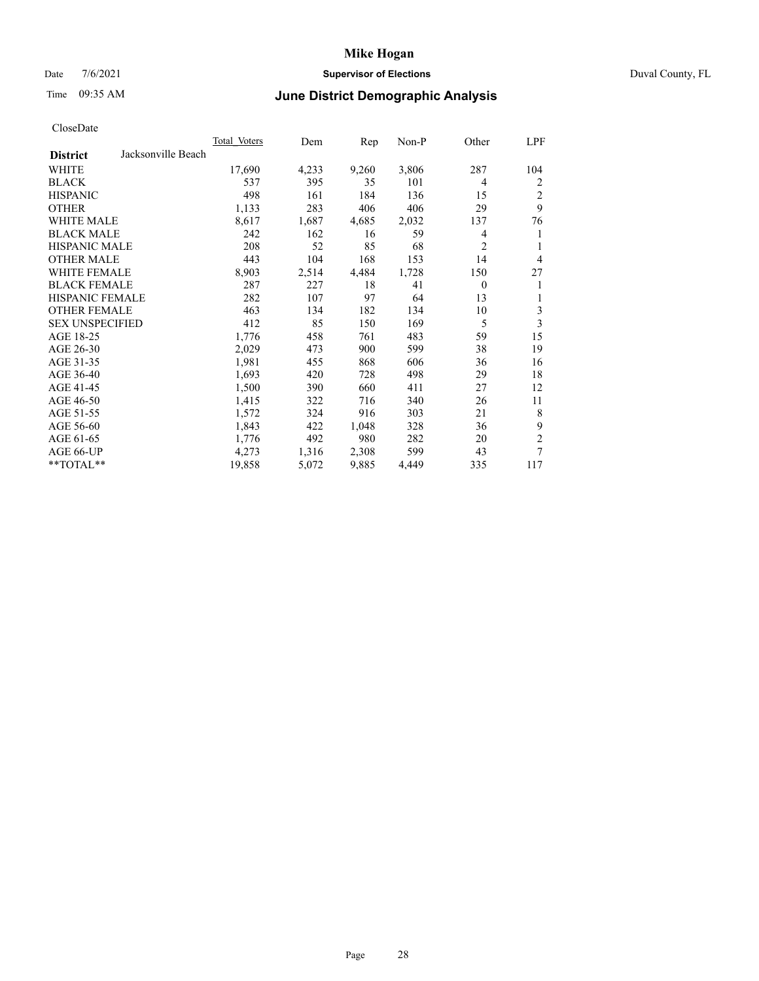## Date 7/6/2021 **Supervisor of Elections** Duval County, FL

## Time 09:35 AM **June District Demographic Analysis**

|                                       | Total Voters | Dem   | Rep   | Non-P | Other          | LPF            |
|---------------------------------------|--------------|-------|-------|-------|----------------|----------------|
| Jacksonville Beach<br><b>District</b> |              |       |       |       |                |                |
| WHITE                                 | 17,690       | 4,233 | 9,260 | 3,806 | 287            | 104            |
| <b>BLACK</b>                          | 537          | 395   | 35    | 101   | $\overline{4}$ | 2              |
| <b>HISPANIC</b>                       | 498          | 161   | 184   | 136   | 15             | $\overline{c}$ |
| <b>OTHER</b>                          | 1,133        | 283   | 406   | 406   | 29             | 9              |
| WHITE MALE                            | 8,617        | 1,687 | 4,685 | 2,032 | 137            | 76             |
| <b>BLACK MALE</b>                     | 242          | 162   | 16    | 59    | 4              | 1              |
| <b>HISPANIC MALE</b>                  | 208          | 52    | 85    | 68    | $\overline{2}$ | 1              |
| <b>OTHER MALE</b>                     | 443          | 104   | 168   | 153   | 14             | $\overline{4}$ |
| WHITE FEMALE                          | 8,903        | 2,514 | 4,484 | 1,728 | 150            | 27             |
| <b>BLACK FEMALE</b>                   | 287          | 227   | 18    | 41    | $\theta$       | 1              |
| <b>HISPANIC FEMALE</b>                | 282          | 107   | 97    | 64    | 13             | 1              |
| <b>OTHER FEMALE</b>                   | 463          | 134   | 182   | 134   | 10             | 3              |
| <b>SEX UNSPECIFIED</b>                | 412          | 85    | 150   | 169   | 5              | 3              |
| AGE 18-25                             | 1,776        | 458   | 761   | 483   | 59             | 15             |
| AGE 26-30                             | 2,029        | 473   | 900   | 599   | 38             | 19             |
| AGE 31-35                             | 1,981        | 455   | 868   | 606   | 36             | 16             |
| AGE 36-40                             | 1,693        | 420   | 728   | 498   | 29             | 18             |
| AGE 41-45                             | 1,500        | 390   | 660   | 411   | 27             | 12             |
| AGE 46-50                             | 1,415        | 322   | 716   | 340   | 26             | 11             |
| AGE 51-55                             | 1,572        | 324   | 916   | 303   | 21             | 8              |
| AGE 56-60                             | 1,843        | 422   | 1,048 | 328   | 36             | 9              |
| AGE 61-65                             | 1,776        | 492   | 980   | 282   | 20             | $\overline{c}$ |
| AGE 66-UP                             | 4,273        | 1,316 | 2,308 | 599   | 43             | 7              |
| **TOTAL**                             | 19,858       | 5,072 | 9,885 | 4,449 | 335            | 117            |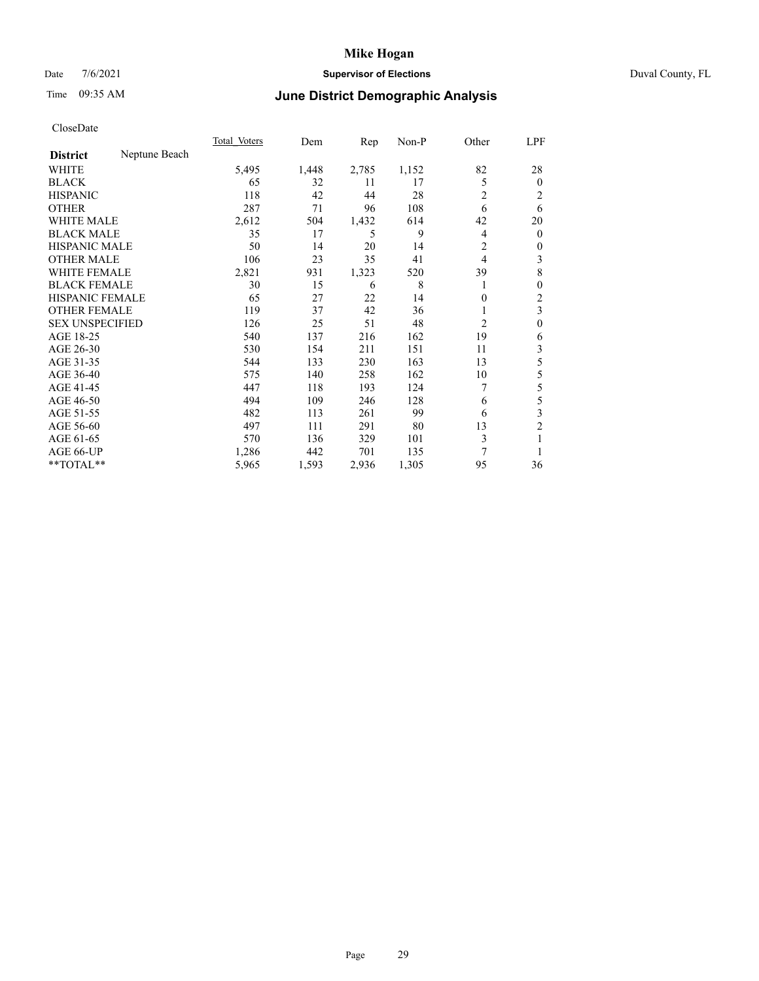## Date 7/6/2021 **Supervisor of Elections** Duval County, FL

# Time 09:35 AM **June District Demographic Analysis**

|                        |               | Total Voters | Dem   | Rep   | Non-P | Other          | LPF            |
|------------------------|---------------|--------------|-------|-------|-------|----------------|----------------|
| <b>District</b>        | Neptune Beach |              |       |       |       |                |                |
| WHITE                  |               | 5,495        | 1,448 | 2,785 | 1,152 | 82             | 28             |
| <b>BLACK</b>           |               | 65           | 32    | 11    | 17    | 5              | $\mathbf{0}$   |
| <b>HISPANIC</b>        |               | 118          | 42    | 44    | 28    | 2              | 2              |
| <b>OTHER</b>           |               | 287          | 71    | 96    | 108   | 6              | 6              |
| WHITE MALE             |               | 2,612        | 504   | 1,432 | 614   | 42             | 20             |
| <b>BLACK MALE</b>      |               | 35           | 17    | 5     | 9     | 4              | $\mathbf{0}$   |
| <b>HISPANIC MALE</b>   |               | 50           | 14    | 20    | 14    | 2              | $\mathbf{0}$   |
| <b>OTHER MALE</b>      |               | 106          | 23    | 35    | 41    | 4              | 3              |
| WHITE FEMALE           |               | 2,821        | 931   | 1,323 | 520   | 39             | 8              |
| <b>BLACK FEMALE</b>    |               | 30           | 15    | 6     | 8     |                | $\mathbf{0}$   |
| <b>HISPANIC FEMALE</b> |               | 65           | 27    | 22    | 14    | 0              | $\overline{c}$ |
| <b>OTHER FEMALE</b>    |               | 119          | 37    | 42    | 36    |                | 3              |
| <b>SEX UNSPECIFIED</b> |               | 126          | 25    | 51    | 48    | $\overline{2}$ | $\theta$       |
| AGE 18-25              |               | 540          | 137   | 216   | 162   | 19             | 6              |
| AGE 26-30              |               | 530          | 154   | 211   | 151   | 11             | 3              |
| AGE 31-35              |               | 544          | 133   | 230   | 163   | 13             | 5              |
| AGE 36-40              |               | 575          | 140   | 258   | 162   | 10             | 5              |
| AGE 41-45              |               | 447          | 118   | 193   | 124   | 7              | 5              |
| AGE 46-50              |               | 494          | 109   | 246   | 128   | 6              | 5              |
| AGE 51-55              |               | 482          | 113   | 261   | 99    | 6              | 3              |
| AGE 56-60              |               | 497          | 111   | 291   | 80    | 13             | $\overline{2}$ |
| AGE 61-65              |               | 570          | 136   | 329   | 101   | 3              |                |
| AGE 66-UP              |               | 1,286        | 442   | 701   | 135   | 7              |                |
| **TOTAL**              |               | 5,965        | 1,593 | 2,936 | 1,305 | 95             | 36             |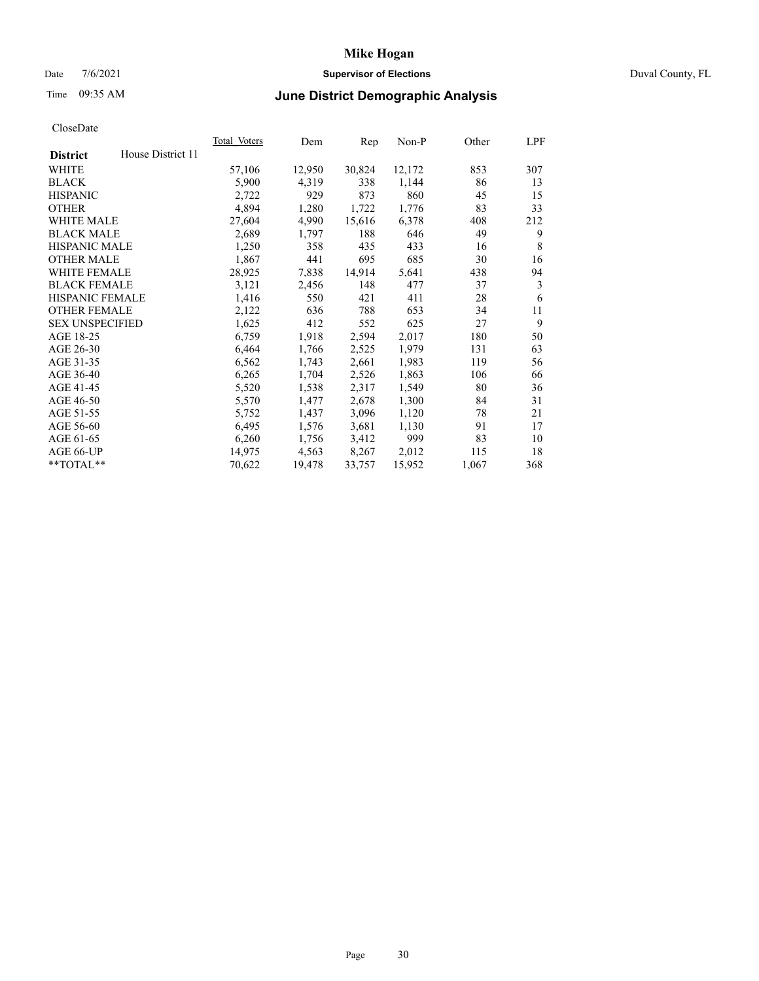## Date 7/6/2021 **Supervisor of Elections** Duval County, FL

# Time 09:35 AM **June District Demographic Analysis**

|                        |                   | Total Voters | Dem    | Rep    | Non-P  | Other | LPF |
|------------------------|-------------------|--------------|--------|--------|--------|-------|-----|
| <b>District</b>        | House District 11 |              |        |        |        |       |     |
| WHITE                  |                   | 57,106       | 12,950 | 30,824 | 12,172 | 853   | 307 |
| <b>BLACK</b>           |                   | 5,900        | 4,319  | 338    | 1,144  | 86    | 13  |
| <b>HISPANIC</b>        |                   | 2,722        | 929    | 873    | 860    | 45    | 15  |
| <b>OTHER</b>           |                   | 4,894        | 1,280  | 1,722  | 1,776  | 83    | 33  |
| WHITE MALE             |                   | 27,604       | 4,990  | 15,616 | 6,378  | 408   | 212 |
| <b>BLACK MALE</b>      |                   | 2,689        | 1,797  | 188    | 646    | 49    | 9   |
| <b>HISPANIC MALE</b>   |                   | 1,250        | 358    | 435    | 433    | 16    | 8   |
| <b>OTHER MALE</b>      |                   | 1,867        | 441    | 695    | 685    | 30    | 16  |
| WHITE FEMALE           |                   | 28,925       | 7,838  | 14,914 | 5,641  | 438   | 94  |
| <b>BLACK FEMALE</b>    |                   | 3,121        | 2,456  | 148    | 477    | 37    | 3   |
| <b>HISPANIC FEMALE</b> |                   | 1,416        | 550    | 421    | 411    | 28    | 6   |
| <b>OTHER FEMALE</b>    |                   | 2,122        | 636    | 788    | 653    | 34    | 11  |
| <b>SEX UNSPECIFIED</b> |                   | 1,625        | 412    | 552    | 625    | 27    | 9   |
| AGE 18-25              |                   | 6,759        | 1,918  | 2,594  | 2,017  | 180   | 50  |
| AGE 26-30              |                   | 6,464        | 1,766  | 2,525  | 1,979  | 131   | 63  |
| AGE 31-35              |                   | 6,562        | 1,743  | 2,661  | 1,983  | 119   | 56  |
| AGE 36-40              |                   | 6,265        | 1,704  | 2,526  | 1,863  | 106   | 66  |
| AGE 41-45              |                   | 5,520        | 1,538  | 2,317  | 1,549  | 80    | 36  |
| AGE 46-50              |                   | 5,570        | 1,477  | 2,678  | 1,300  | 84    | 31  |
| AGE 51-55              |                   | 5,752        | 1,437  | 3,096  | 1,120  | 78    | 21  |
| AGE 56-60              |                   | 6,495        | 1,576  | 3,681  | 1,130  | 91    | 17  |
| AGE 61-65              |                   | 6,260        | 1,756  | 3,412  | 999    | 83    | 10  |
| AGE 66-UP              |                   | 14,975       | 4,563  | 8,267  | 2,012  | 115   | 18  |
| $*$ TOTAL $*$          |                   | 70,622       | 19,478 | 33,757 | 15,952 | 1,067 | 368 |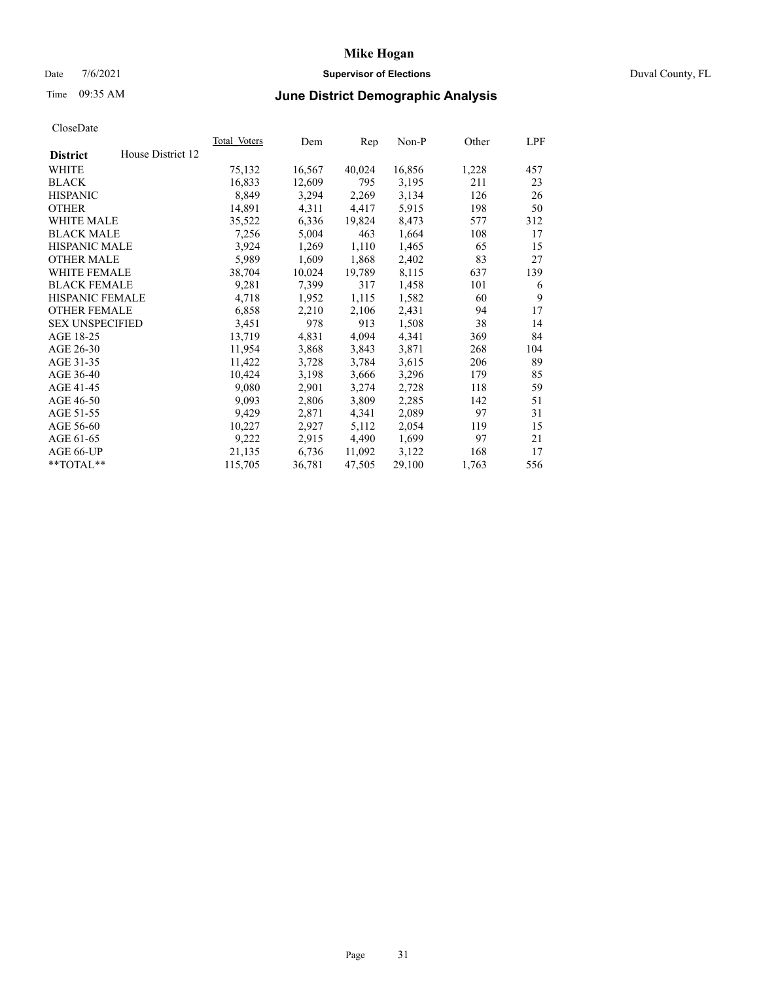# Date 7/6/2021 **Supervisor of Elections** Duval County, FL

# Time 09:35 AM **June District Demographic Analysis**

|                        |                   | Total Voters | Dem    | Rep    | Non-P  | Other | LPF |
|------------------------|-------------------|--------------|--------|--------|--------|-------|-----|
| <b>District</b>        | House District 12 |              |        |        |        |       |     |
| WHITE                  |                   | 75,132       | 16,567 | 40,024 | 16,856 | 1,228 | 457 |
| <b>BLACK</b>           |                   | 16,833       | 12,609 | 795    | 3,195  | 211   | 23  |
| <b>HISPANIC</b>        |                   | 8,849        | 3,294  | 2,269  | 3,134  | 126   | 26  |
| <b>OTHER</b>           |                   | 14,891       | 4,311  | 4,417  | 5,915  | 198   | 50  |
| WHITE MALE             |                   | 35,522       | 6,336  | 19,824 | 8,473  | 577   | 312 |
| <b>BLACK MALE</b>      |                   | 7,256        | 5,004  | 463    | 1,664  | 108   | 17  |
| <b>HISPANIC MALE</b>   |                   | 3,924        | 1,269  | 1,110  | 1,465  | 65    | 15  |
| <b>OTHER MALE</b>      |                   | 5,989        | 1,609  | 1,868  | 2,402  | 83    | 27  |
| <b>WHITE FEMALE</b>    |                   | 38,704       | 10,024 | 19,789 | 8,115  | 637   | 139 |
| <b>BLACK FEMALE</b>    |                   | 9,281        | 7,399  | 317    | 1,458  | 101   | 6   |
| <b>HISPANIC FEMALE</b> |                   | 4,718        | 1,952  | 1,115  | 1,582  | 60    | 9   |
| <b>OTHER FEMALE</b>    |                   | 6,858        | 2,210  | 2,106  | 2,431  | 94    | 17  |
| <b>SEX UNSPECIFIED</b> |                   | 3,451        | 978    | 913    | 1,508  | 38    | 14  |
| AGE 18-25              |                   | 13,719       | 4,831  | 4,094  | 4,341  | 369   | 84  |
| AGE 26-30              |                   | 11,954       | 3,868  | 3,843  | 3,871  | 268   | 104 |
| AGE 31-35              |                   | 11,422       | 3,728  | 3,784  | 3,615  | 206   | 89  |
| AGE 36-40              |                   | 10,424       | 3,198  | 3,666  | 3,296  | 179   | 85  |
| AGE 41-45              |                   | 9,080        | 2,901  | 3,274  | 2,728  | 118   | 59  |
| AGE 46-50              |                   | 9,093        | 2,806  | 3,809  | 2,285  | 142   | 51  |
| AGE 51-55              |                   | 9,429        | 2,871  | 4,341  | 2,089  | 97    | 31  |
| AGE 56-60              |                   | 10,227       | 2,927  | 5,112  | 2,054  | 119   | 15  |
| AGE 61-65              |                   | 9,222        | 2,915  | 4,490  | 1,699  | 97    | 21  |
| AGE 66-UP              |                   | 21,135       | 6,736  | 11,092 | 3,122  | 168   | 17  |
| $*$ TOTAL $*$          |                   | 115,705      | 36,781 | 47,505 | 29,100 | 1,763 | 556 |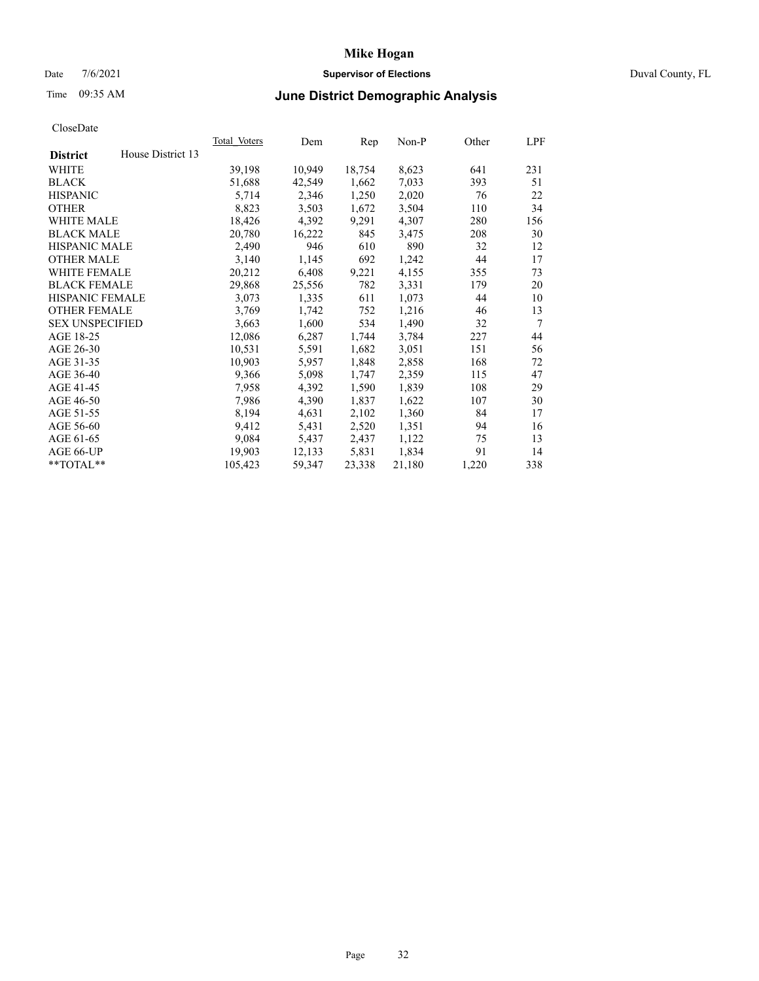### Date 7/6/2021 **Supervisor of Elections** Duval County, FL

# Time 09:35 AM **June District Demographic Analysis**

| Total Voters | Dem    | Rep    | $Non-P$ | Other | LPF |
|--------------|--------|--------|---------|-------|-----|
|              |        |        |         |       |     |
| 39,198       | 10,949 | 18,754 | 8,623   | 641   | 231 |
| 51,688       | 42,549 | 1,662  | 7,033   | 393   | 51  |
| 5,714        | 2,346  | 1,250  | 2,020   | 76    | 22  |
| 8,823        | 3,503  | 1,672  | 3,504   | 110   | 34  |
| 18,426       | 4,392  | 9,291  | 4,307   | 280   | 156 |
| 20,780       | 16,222 | 845    | 3,475   | 208   | 30  |
| 2,490        | 946    | 610    | 890     | 32    | 12  |
| 3,140        | 1,145  | 692    | 1,242   | 44    | 17  |
| 20,212       | 6,408  | 9,221  | 4,155   | 355   | 73  |
| 29,868       | 25,556 | 782    | 3,331   | 179   | 20  |
| 3,073        | 1,335  | 611    | 1,073   | 44    | 10  |
| 3,769        | 1,742  | 752    | 1,216   | 46    | 13  |
| 3,663        | 1,600  | 534    | 1,490   | 32    | 7   |
| 12,086       | 6,287  | 1,744  | 3,784   | 227   | 44  |
| 10,531       | 5,591  | 1,682  | 3,051   | 151   | 56  |
| 10,903       | 5,957  | 1,848  | 2,858   | 168   | 72  |
| 9,366        | 5,098  | 1,747  | 2,359   | 115   | 47  |
| 7,958        | 4,392  | 1,590  | 1,839   | 108   | 29  |
| 7,986        | 4,390  | 1,837  | 1,622   | 107   | 30  |
| 8,194        | 4,631  | 2,102  | 1,360   | 84    | 17  |
| 9,412        | 5,431  | 2,520  | 1,351   | 94    | 16  |
| 9,084        | 5,437  | 2,437  | 1,122   | 75    | 13  |
| 19,903       | 12,133 | 5,831  | 1,834   | 91    | 14  |
| 105,423      | 59,347 | 23,338 | 21,180  | 1,220 | 338 |
|              |        |        |         |       |     |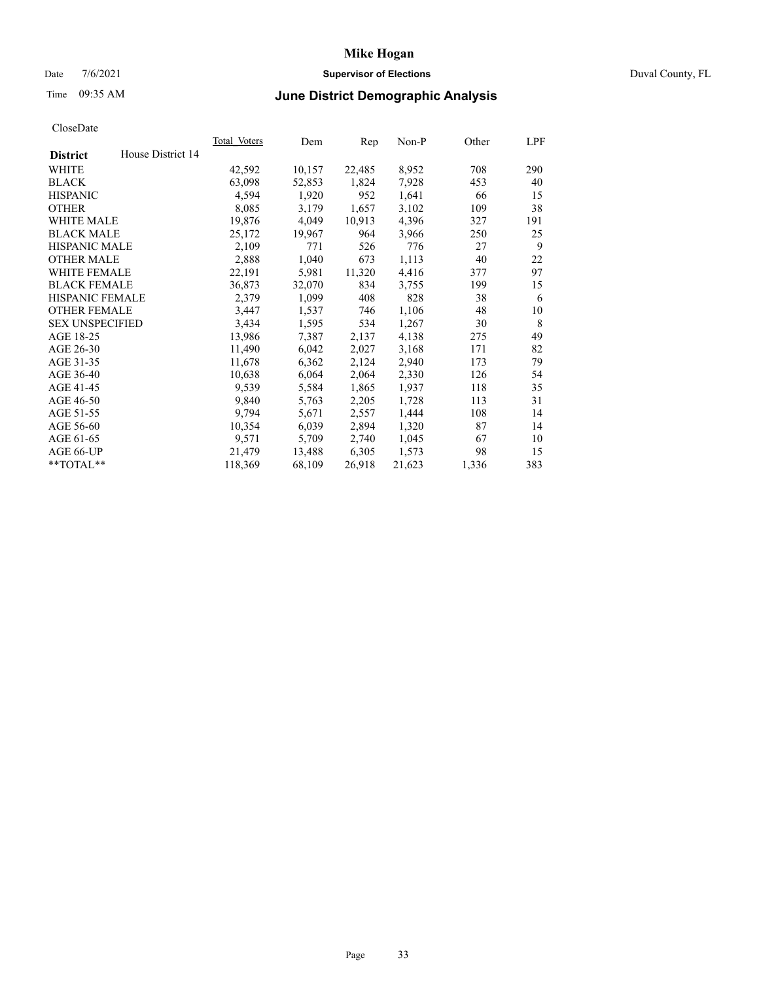### Date 7/6/2021 **Supervisor of Elections** Duval County, FL

## Time 09:35 AM **June District Demographic Analysis**

| <b>Total Voters</b> | Dem    | Rep    | $Non-P$ | Other | LPF |
|---------------------|--------|--------|---------|-------|-----|
|                     |        |        |         |       |     |
| 42,592              | 10,157 | 22,485 | 8,952   | 708   | 290 |
| 63,098              | 52,853 | 1,824  | 7,928   | 453   | 40  |
| 4,594               | 1,920  | 952    | 1,641   | 66    | 15  |
| 8,085               | 3,179  | 1,657  | 3,102   | 109   | 38  |
| 19,876              | 4,049  | 10,913 | 4,396   | 327   | 191 |
| 25,172              | 19,967 | 964    | 3,966   | 250   | 25  |
| 2,109               | 771    | 526    | 776     | 27    | 9   |
| 2,888               | 1,040  | 673    | 1,113   | 40    | 22  |
| 22,191              | 5,981  | 11,320 | 4,416   | 377   | 97  |
| 36,873              | 32,070 | 834    | 3,755   | 199   | 15  |
| 2,379               | 1,099  | 408    | 828     | 38    | 6   |
| 3,447               | 1,537  | 746    | 1,106   | 48    | 10  |
| 3,434               | 1,595  | 534    | 1,267   | 30    | 8   |
| 13,986              | 7,387  | 2,137  | 4,138   | 275   | 49  |
| 11,490              | 6,042  | 2,027  | 3,168   | 171   | 82  |
| 11,678              | 6,362  | 2,124  | 2,940   | 173   | 79  |
| 10,638              | 6,064  | 2,064  | 2,330   | 126   | 54  |
| 9,539               | 5,584  | 1,865  | 1,937   | 118   | 35  |
| 9,840               | 5,763  | 2,205  | 1,728   | 113   | 31  |
| 9,794               | 5,671  | 2,557  | 1,444   | 108   | 14  |
| 10,354              | 6,039  | 2,894  | 1,320   | 87    | 14  |
| 9,571               | 5,709  | 2,740  | 1,045   | 67    | 10  |
| 21,479              | 13,488 | 6,305  | 1,573   | 98    | 15  |
| 118,369             | 68,109 | 26,918 | 21,623  | 1,336 | 383 |
|                     |        |        |         |       |     |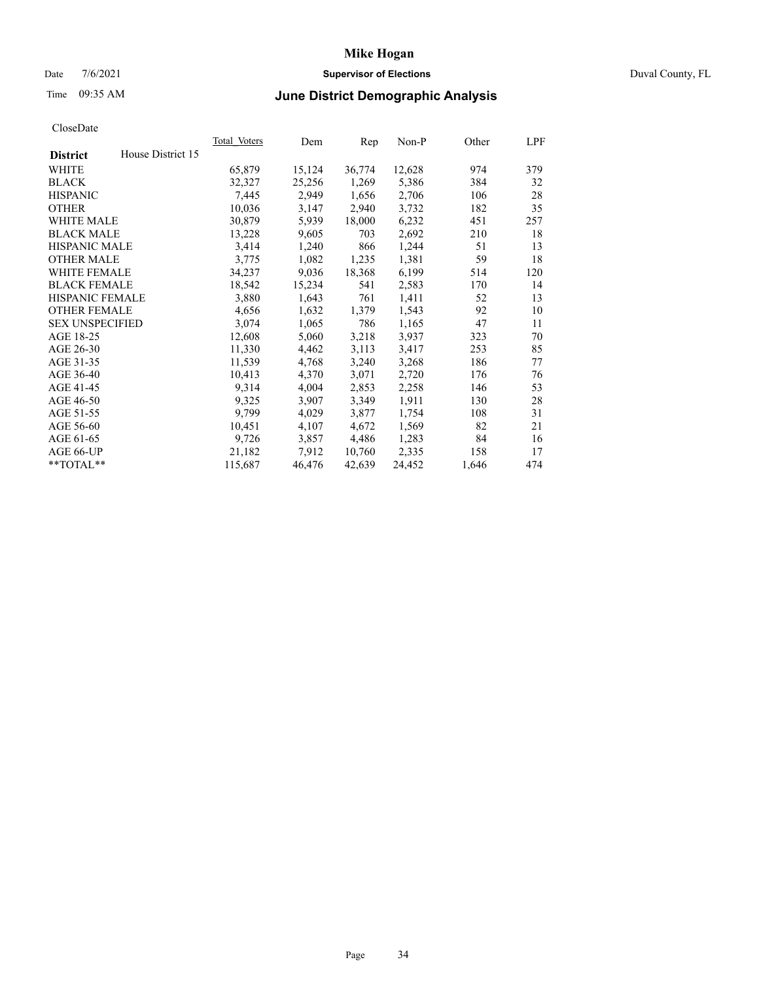### Date 7/6/2021 **Supervisor of Elections** Duval County, FL

# Time 09:35 AM **June District Demographic Analysis**

| Total Voters | Dem    | Rep    | $Non-P$ | Other | LPF |
|--------------|--------|--------|---------|-------|-----|
|              |        |        |         |       |     |
| 65,879       | 15,124 | 36,774 | 12,628  | 974   | 379 |
| 32,327       | 25,256 | 1,269  | 5,386   | 384   | 32  |
| 7,445        | 2,949  | 1,656  | 2,706   | 106   | 28  |
| 10,036       | 3,147  | 2,940  | 3,732   | 182   | 35  |
| 30,879       | 5,939  | 18,000 | 6,232   | 451   | 257 |
| 13,228       | 9,605  | 703    | 2,692   | 210   | 18  |
| 3,414        | 1,240  | 866    | 1,244   | 51    | 13  |
| 3,775        | 1,082  | 1,235  | 1,381   | 59    | 18  |
| 34,237       | 9,036  | 18,368 | 6,199   | 514   | 120 |
| 18,542       | 15,234 | 541    | 2,583   | 170   | 14  |
| 3,880        | 1,643  | 761    | 1,411   | 52    | 13  |
| 4,656        | 1,632  | 1,379  | 1,543   | 92    | 10  |
| 3,074        | 1,065  | 786    | 1,165   | 47    | 11  |
| 12,608       | 5,060  | 3,218  | 3,937   | 323   | 70  |
| 11,330       | 4,462  | 3,113  | 3,417   | 253   | 85  |
| 11,539       | 4,768  | 3,240  | 3,268   | 186   | 77  |
| 10,413       | 4,370  | 3,071  | 2,720   | 176   | 76  |
| 9,314        | 4,004  | 2,853  | 2,258   | 146   | 53  |
| 9,325        | 3,907  | 3,349  | 1,911   | 130   | 28  |
| 9,799        | 4,029  | 3,877  | 1,754   | 108   | 31  |
| 10,451       | 4,107  | 4,672  | 1,569   | 82    | 21  |
| 9,726        | 3,857  | 4,486  | 1,283   | 84    | 16  |
| 21,182       | 7,912  | 10,760 | 2,335   | 158   | 17  |
| 115,687      | 46,476 | 42,639 | 24,452  | 1,646 | 474 |
|              |        |        |         |       |     |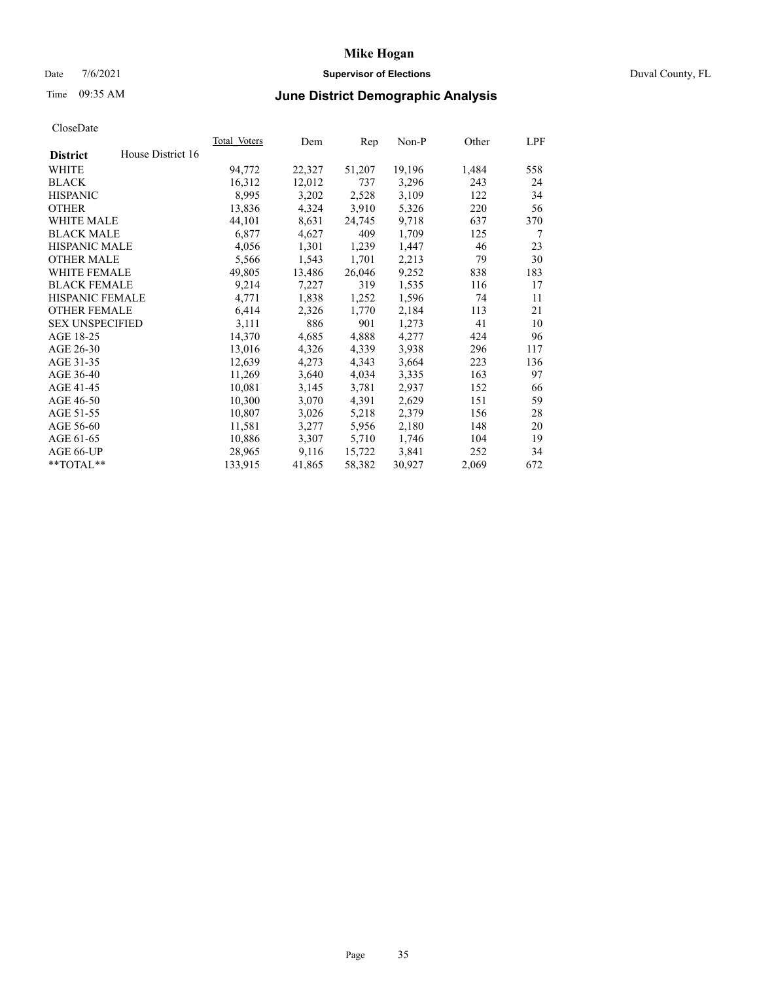## Date 7/6/2021 **Supervisor of Elections** Duval County, FL

# Time 09:35 AM **June District Demographic Analysis**

|                        |                   | Total Voters | Dem    | Rep    | Non-P  | Other | LPF |
|------------------------|-------------------|--------------|--------|--------|--------|-------|-----|
| <b>District</b>        | House District 16 |              |        |        |        |       |     |
| WHITE                  |                   | 94,772       | 22,327 | 51,207 | 19,196 | 1,484 | 558 |
| <b>BLACK</b>           |                   | 16,312       | 12,012 | 737    | 3,296  | 243   | 24  |
| <b>HISPANIC</b>        |                   | 8,995        | 3,202  | 2,528  | 3,109  | 122   | 34  |
| <b>OTHER</b>           |                   | 13,836       | 4,324  | 3,910  | 5,326  | 220   | 56  |
| <b>WHITE MALE</b>      |                   | 44,101       | 8,631  | 24,745 | 9,718  | 637   | 370 |
| <b>BLACK MALE</b>      |                   | 6,877        | 4,627  | 409    | 1,709  | 125   | 7   |
| <b>HISPANIC MALE</b>   |                   | 4,056        | 1,301  | 1,239  | 1,447  | 46    | 23  |
| <b>OTHER MALE</b>      |                   | 5,566        | 1,543  | 1,701  | 2,213  | 79    | 30  |
| <b>WHITE FEMALE</b>    |                   | 49,805       | 13,486 | 26,046 | 9,252  | 838   | 183 |
| <b>BLACK FEMALE</b>    |                   | 9,214        | 7,227  | 319    | 1,535  | 116   | 17  |
| <b>HISPANIC FEMALE</b> |                   | 4,771        | 1,838  | 1,252  | 1,596  | 74    | 11  |
| <b>OTHER FEMALE</b>    |                   | 6,414        | 2,326  | 1,770  | 2,184  | 113   | 21  |
| <b>SEX UNSPECIFIED</b> |                   | 3,111        | 886    | 901    | 1,273  | 41    | 10  |
| AGE 18-25              |                   | 14,370       | 4,685  | 4,888  | 4,277  | 424   | 96  |
| AGE 26-30              |                   | 13,016       | 4,326  | 4,339  | 3,938  | 296   | 117 |
| AGE 31-35              |                   | 12,639       | 4,273  | 4,343  | 3,664  | 223   | 136 |
| AGE 36-40              |                   | 11,269       | 3,640  | 4,034  | 3,335  | 163   | 97  |
| AGE 41-45              |                   | 10,081       | 3,145  | 3,781  | 2,937  | 152   | 66  |
| AGE 46-50              |                   | 10,300       | 3,070  | 4,391  | 2,629  | 151   | 59  |
| AGE 51-55              |                   | 10,807       | 3,026  | 5,218  | 2,379  | 156   | 28  |
| AGE 56-60              |                   | 11,581       | 3,277  | 5,956  | 2,180  | 148   | 20  |
| AGE 61-65              |                   | 10,886       | 3,307  | 5,710  | 1,746  | 104   | 19  |
| AGE 66-UP              |                   | 28,965       | 9,116  | 15,722 | 3,841  | 252   | 34  |
| $*$ TOTAL $*$          |                   | 133,915      | 41,865 | 58,382 | 30,927 | 2,069 | 672 |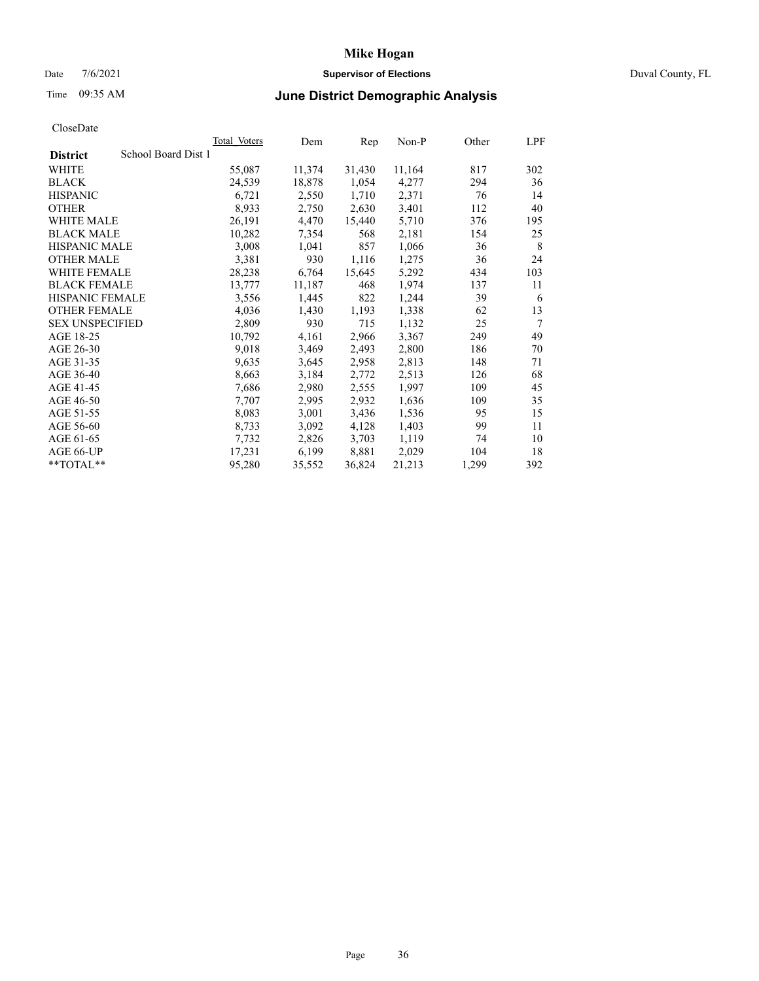### Date 7/6/2021 **Supervisor of Elections** Duval County, FL

# Time 09:35 AM **June District Demographic Analysis**

| <b>Total Voters</b> | Dem    | Rep    | $Non-P$ | Other | LPF |
|---------------------|--------|--------|---------|-------|-----|
| School Board Dist 1 |        |        |         |       |     |
| 55,087              | 11,374 | 31,430 | 11,164  | 817   | 302 |
| 24,539              | 18,878 | 1,054  | 4,277   | 294   | 36  |
| 6,721               | 2,550  | 1,710  | 2,371   | 76    | 14  |
| 8,933               | 2,750  | 2,630  | 3,401   | 112   | 40  |
| 26,191              | 4,470  | 15,440 | 5,710   | 376   | 195 |
| 10,282              | 7,354  | 568    | 2,181   | 154   | 25  |
| 3,008               | 1,041  | 857    | 1,066   | 36    | 8   |
| 3,381               | 930    | 1,116  | 1,275   | 36    | 24  |
| 28,238              | 6,764  | 15,645 | 5,292   | 434   | 103 |
| 13,777              | 11,187 | 468    | 1,974   | 137   | 11  |
| 3,556               | 1,445  | 822    | 1,244   | 39    | 6   |
| 4,036               | 1,430  | 1,193  | 1,338   | 62    | 13  |
| 2,809               | 930    | 715    | 1,132   | 25    | 7   |
| 10,792              | 4,161  | 2,966  | 3,367   | 249   | 49  |
| 9,018               | 3,469  | 2,493  | 2,800   | 186   | 70  |
| 9,635               | 3,645  | 2,958  | 2,813   | 148   | 71  |
| 8,663               | 3,184  | 2,772  | 2,513   | 126   | 68  |
| 7,686               | 2,980  | 2,555  | 1,997   | 109   | 45  |
| 7,707               | 2,995  | 2,932  | 1,636   | 109   | 35  |
| 8,083               | 3,001  | 3,436  | 1,536   | 95    | 15  |
| 8,733               | 3,092  | 4,128  | 1,403   | 99    | 11  |
| 7,732               | 2,826  | 3,703  | 1,119   | 74    | 10  |
| 17,231              | 6,199  | 8,881  | 2,029   | 104   | 18  |
| 95,280              | 35,552 | 36,824 | 21,213  | 1,299 | 392 |
|                     |        |        |         |       |     |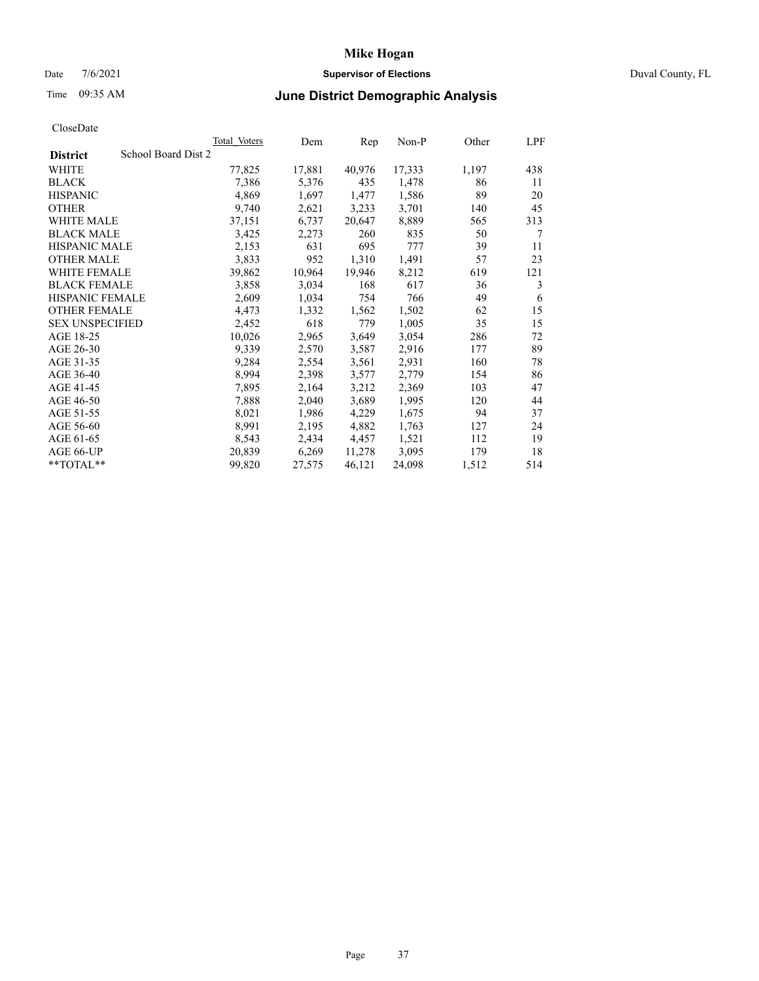### Date 7/6/2021 **Supervisor of Elections** Duval County, FL

# Time 09:35 AM **June District Demographic Analysis**

|                                        | Total Voters | Dem    | Rep    | $Non-P$ | Other | LPF |
|----------------------------------------|--------------|--------|--------|---------|-------|-----|
| School Board Dist 2<br><b>District</b> |              |        |        |         |       |     |
| WHITE                                  | 77,825       | 17,881 | 40,976 | 17,333  | 1,197 | 438 |
| <b>BLACK</b>                           | 7,386        | 5,376  | 435    | 1,478   | 86    | 11  |
| <b>HISPANIC</b>                        | 4,869        | 1,697  | 1,477  | 1,586   | 89    | 20  |
| <b>OTHER</b>                           | 9,740        | 2,621  | 3,233  | 3,701   | 140   | 45  |
| <b>WHITE MALE</b>                      | 37,151       | 6,737  | 20,647 | 8,889   | 565   | 313 |
| <b>BLACK MALE</b>                      | 3,425        | 2,273  | 260    | 835     | 50    | 7   |
| <b>HISPANIC MALE</b>                   | 2,153        | 631    | 695    | 777     | 39    | 11  |
| <b>OTHER MALE</b>                      | 3,833        | 952    | 1,310  | 1,491   | 57    | 23  |
| WHITE FEMALE                           | 39,862       | 10,964 | 19,946 | 8,212   | 619   | 121 |
| <b>BLACK FEMALE</b>                    | 3,858        | 3,034  | 168    | 617     | 36    | 3   |
| HISPANIC FEMALE                        | 2,609        | 1,034  | 754    | 766     | 49    | 6   |
| <b>OTHER FEMALE</b>                    | 4,473        | 1,332  | 1,562  | 1,502   | 62    | 15  |
| <b>SEX UNSPECIFIED</b>                 | 2,452        | 618    | 779    | 1,005   | 35    | 15  |
| AGE 18-25                              | 10,026       | 2,965  | 3,649  | 3,054   | 286   | 72  |
| AGE 26-30                              | 9,339        | 2,570  | 3,587  | 2,916   | 177   | 89  |
| AGE 31-35                              | 9,284        | 2,554  | 3,561  | 2,931   | 160   | 78  |
| AGE 36-40                              | 8,994        | 2,398  | 3,577  | 2,779   | 154   | 86  |
| AGE 41-45                              | 7,895        | 2,164  | 3,212  | 2,369   | 103   | 47  |
| AGE 46-50                              | 7,888        | 2,040  | 3,689  | 1,995   | 120   | 44  |
| AGE 51-55                              | 8,021        | 1,986  | 4,229  | 1,675   | 94    | 37  |
| AGE 56-60                              | 8,991        | 2,195  | 4,882  | 1,763   | 127   | 24  |
| AGE 61-65                              | 8,543        | 2,434  | 4,457  | 1,521   | 112   | 19  |
| AGE 66-UP                              | 20,839       | 6,269  | 11,278 | 3,095   | 179   | 18  |
| **TOTAL**                              | 99,820       | 27,575 | 46,121 | 24,098  | 1,512 | 514 |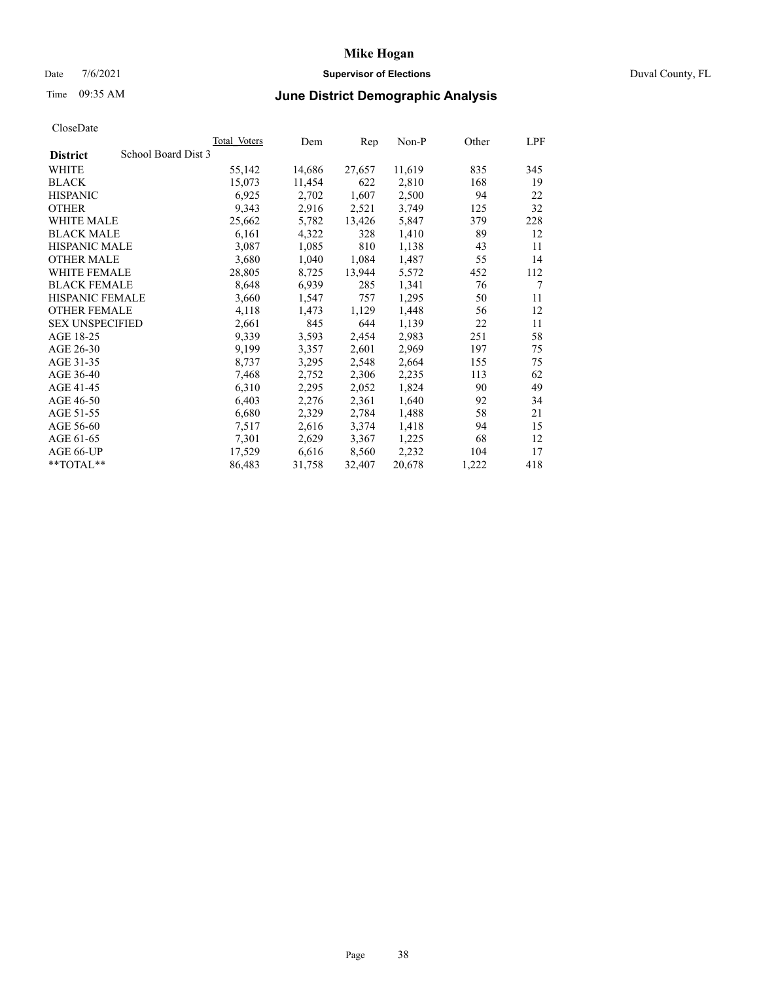### Date 7/6/2021 **Supervisor of Elections** Duval County, FL

# Time 09:35 AM **June District Demographic Analysis**

|                        |                     | <b>Total Voters</b> | Dem    | Rep    | $Non-P$ | Other | LPF |
|------------------------|---------------------|---------------------|--------|--------|---------|-------|-----|
| <b>District</b>        | School Board Dist 3 |                     |        |        |         |       |     |
| WHITE                  |                     | 55,142              | 14,686 | 27,657 | 11,619  | 835   | 345 |
| <b>BLACK</b>           |                     | 15,073              | 11,454 | 622    | 2,810   | 168   | 19  |
| <b>HISPANIC</b>        |                     | 6,925               | 2,702  | 1,607  | 2,500   | 94    | 22  |
| <b>OTHER</b>           |                     | 9,343               | 2,916  | 2,521  | 3,749   | 125   | 32  |
| <b>WHITE MALE</b>      |                     | 25,662              | 5,782  | 13,426 | 5,847   | 379   | 228 |
| <b>BLACK MALE</b>      |                     | 6,161               | 4,322  | 328    | 1,410   | 89    | 12  |
| <b>HISPANIC MALE</b>   |                     | 3,087               | 1,085  | 810    | 1,138   | 43    | 11  |
| <b>OTHER MALE</b>      |                     | 3,680               | 1,040  | 1,084  | 1,487   | 55    | 14  |
| WHITE FEMALE           |                     | 28,805              | 8,725  | 13,944 | 5,572   | 452   | 112 |
| <b>BLACK FEMALE</b>    |                     | 8,648               | 6,939  | 285    | 1,341   | 76    | 7   |
| HISPANIC FEMALE        |                     | 3,660               | 1,547  | 757    | 1,295   | 50    | 11  |
| <b>OTHER FEMALE</b>    |                     | 4,118               | 1,473  | 1,129  | 1,448   | 56    | 12  |
| <b>SEX UNSPECIFIED</b> |                     | 2,661               | 845    | 644    | 1,139   | 22    | 11  |
| AGE 18-25              |                     | 9,339               | 3,593  | 2,454  | 2,983   | 251   | 58  |
| AGE 26-30              |                     | 9,199               | 3,357  | 2,601  | 2,969   | 197   | 75  |
| AGE 31-35              |                     | 8,737               | 3,295  | 2,548  | 2,664   | 155   | 75  |
| AGE 36-40              |                     | 7,468               | 2,752  | 2,306  | 2,235   | 113   | 62  |
| AGE 41-45              |                     | 6,310               | 2,295  | 2,052  | 1,824   | 90    | 49  |
| AGE 46-50              |                     | 6,403               | 2,276  | 2,361  | 1,640   | 92    | 34  |
| AGE 51-55              |                     | 6,680               | 2,329  | 2,784  | 1,488   | 58    | 21  |
| AGE 56-60              |                     | 7,517               | 2,616  | 3,374  | 1,418   | 94    | 15  |
| AGE 61-65              |                     | 7,301               | 2,629  | 3,367  | 1,225   | 68    | 12  |
| AGE 66-UP              |                     | 17,529              | 6,616  | 8,560  | 2,232   | 104   | 17  |
| **TOTAL**              |                     | 86,483              | 31,758 | 32,407 | 20,678  | 1,222 | 418 |
|                        |                     |                     |        |        |         |       |     |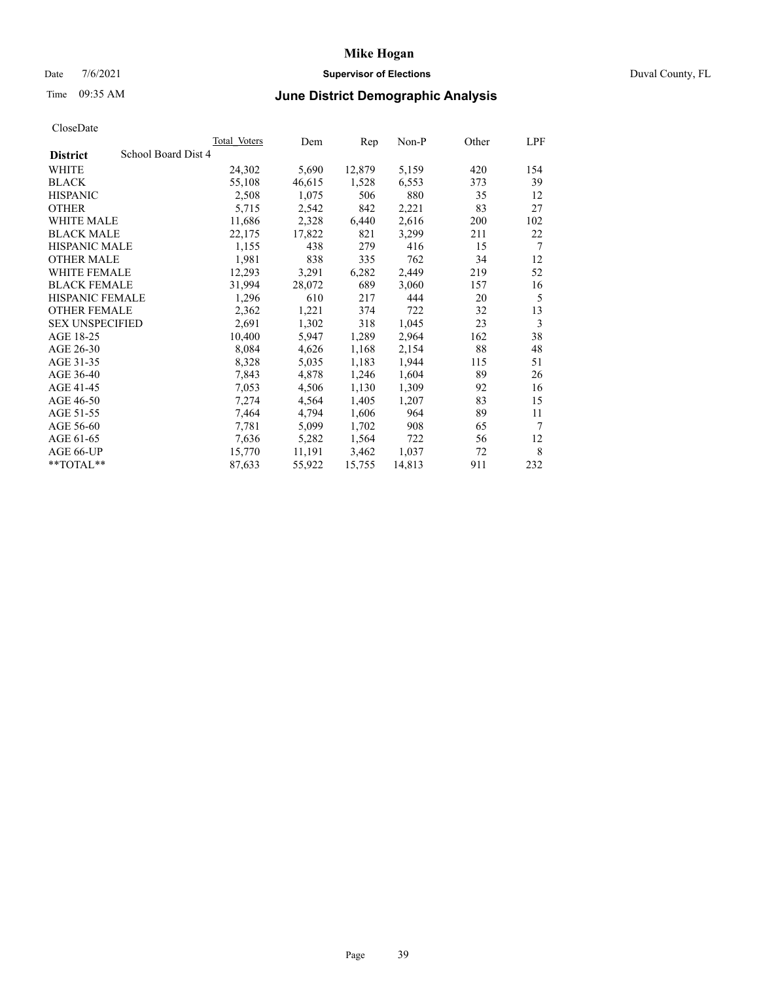### Date 7/6/2021 **Supervisor of Elections** Duval County, FL

# Time 09:35 AM **June District Demographic Analysis**

| <b>Total Voters</b> | Dem                 | Rep    | $Non-P$ | Other | LPF |
|---------------------|---------------------|--------|---------|-------|-----|
|                     |                     |        |         |       |     |
| 24,302              | 5,690               | 12,879 | 5,159   | 420   | 154 |
| 55,108              | 46,615              | 1,528  | 6,553   | 373   | 39  |
| 2,508               | 1,075               | 506    | 880     | 35    | 12  |
| 5,715               | 2,542               | 842    | 2,221   | 83    | 27  |
| 11,686              | 2,328               | 6,440  | 2,616   | 200   | 102 |
| 22,175              | 17,822              | 821    | 3,299   | 211   | 22  |
| 1,155               | 438                 | 279    | 416     | 15    | 7   |
| 1,981               | 838                 | 335    | 762     | 34    | 12  |
| 12,293              | 3,291               | 6,282  | 2,449   | 219   | 52  |
| 31,994              | 28,072              | 689    | 3,060   | 157   | 16  |
| 1,296               | 610                 | 217    | 444     | 20    | 5   |
| 2,362               | 1,221               | 374    | 722     | 32    | 13  |
| 2,691               | 1,302               | 318    | 1,045   | 23    | 3   |
| 10,400              | 5,947               | 1,289  | 2,964   | 162   | 38  |
| 8,084               | 4,626               | 1,168  | 2,154   | 88    | 48  |
| 8,328               | 5,035               | 1,183  | 1,944   | 115   | 51  |
| 7,843               | 4,878               | 1,246  | 1,604   | 89    | 26  |
| 7,053               | 4,506               | 1,130  | 1,309   | 92    | 16  |
| 7,274               | 4,564               | 1,405  | 1,207   | 83    | 15  |
| 7,464               | 4,794               | 1,606  | 964     | 89    | 11  |
| 7,781               | 5,099               | 1,702  | 908     | 65    | 7   |
| 7,636               | 5,282               | 1,564  | 722     | 56    | 12  |
| 15,770              | 11,191              | 3,462  | 1,037   | 72    | 8   |
| 87,633              | 55,922              | 15,755 | 14,813  | 911   | 232 |
|                     | School Board Dist 4 |        |         |       |     |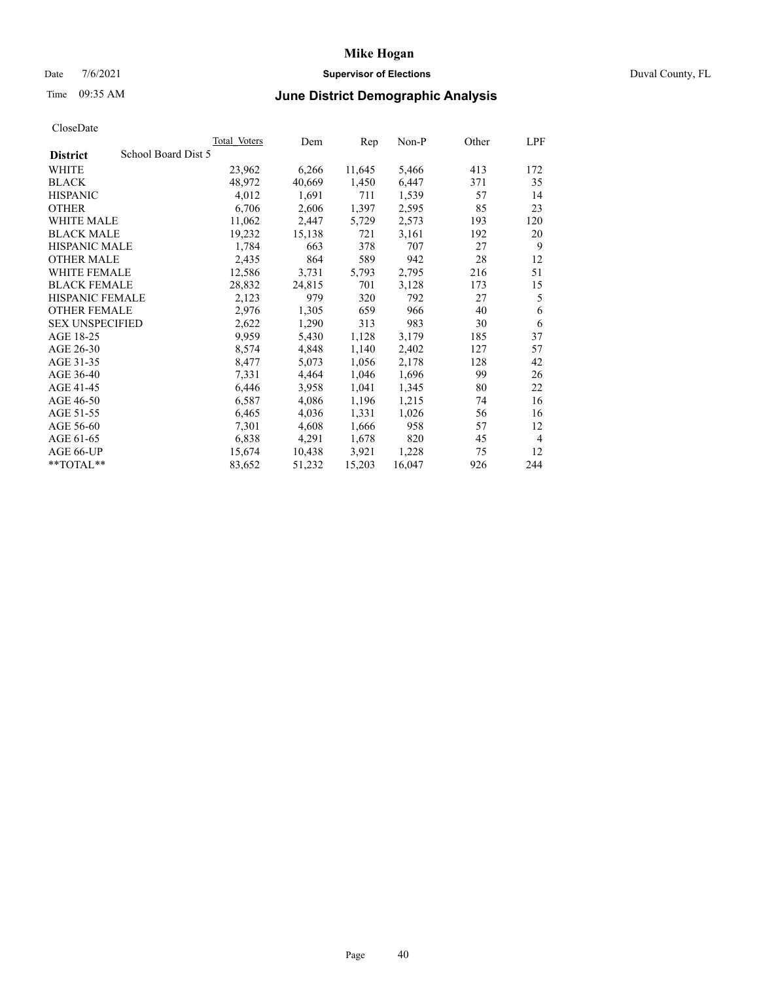### Date 7/6/2021 **Supervisor of Elections** Duval County, FL

# Time 09:35 AM **June District Demographic Analysis**

|                        |                     | <b>Total Voters</b> | Dem    | Rep    | $Non-P$ | Other | LPF            |
|------------------------|---------------------|---------------------|--------|--------|---------|-------|----------------|
| <b>District</b>        | School Board Dist 5 |                     |        |        |         |       |                |
| WHITE                  |                     | 23,962              | 6,266  | 11,645 | 5,466   | 413   | 172            |
| <b>BLACK</b>           |                     | 48,972              | 40,669 | 1,450  | 6,447   | 371   | 35             |
| <b>HISPANIC</b>        |                     | 4,012               | 1,691  | 711    | 1,539   | 57    | 14             |
| <b>OTHER</b>           |                     | 6,706               | 2,606  | 1,397  | 2,595   | 85    | 23             |
| <b>WHITE MALE</b>      |                     | 11,062              | 2,447  | 5,729  | 2,573   | 193   | 120            |
| <b>BLACK MALE</b>      |                     | 19,232              | 15,138 | 721    | 3,161   | 192   | 20             |
| <b>HISPANIC MALE</b>   |                     | 1,784               | 663    | 378    | 707     | 27    | 9              |
| <b>OTHER MALE</b>      |                     | 2,435               | 864    | 589    | 942     | 28    | 12             |
| WHITE FEMALE           |                     | 12,586              | 3,731  | 5,793  | 2,795   | 216   | 51             |
| <b>BLACK FEMALE</b>    |                     | 28,832              | 24,815 | 701    | 3,128   | 173   | 15             |
| HISPANIC FEMALE        |                     | 2,123               | 979    | 320    | 792     | 27    | 5              |
| <b>OTHER FEMALE</b>    |                     | 2,976               | 1,305  | 659    | 966     | 40    | 6              |
| <b>SEX UNSPECIFIED</b> |                     | 2,622               | 1,290  | 313    | 983     | 30    | 6              |
| AGE 18-25              |                     | 9,959               | 5,430  | 1,128  | 3,179   | 185   | 37             |
| AGE 26-30              |                     | 8,574               | 4,848  | 1,140  | 2,402   | 127   | 57             |
| AGE 31-35              |                     | 8,477               | 5,073  | 1,056  | 2,178   | 128   | 42             |
| AGE 36-40              |                     | 7,331               | 4,464  | 1,046  | 1,696   | 99    | 26             |
| AGE 41-45              |                     | 6,446               | 3,958  | 1,041  | 1,345   | 80    | 22             |
| AGE 46-50              |                     | 6,587               | 4,086  | 1,196  | 1,215   | 74    | 16             |
| AGE 51-55              |                     | 6,465               | 4,036  | 1,331  | 1,026   | 56    | 16             |
| AGE 56-60              |                     | 7,301               | 4,608  | 1,666  | 958     | 57    | 12             |
| AGE 61-65              |                     | 6,838               | 4,291  | 1,678  | 820     | 45    | $\overline{4}$ |
| AGE 66-UP              |                     | 15,674              | 10,438 | 3,921  | 1,228   | 75    | 12             |
| **TOTAL**              |                     | 83,652              | 51,232 | 15,203 | 16,047  | 926   | 244            |
|                        |                     |                     |        |        |         |       |                |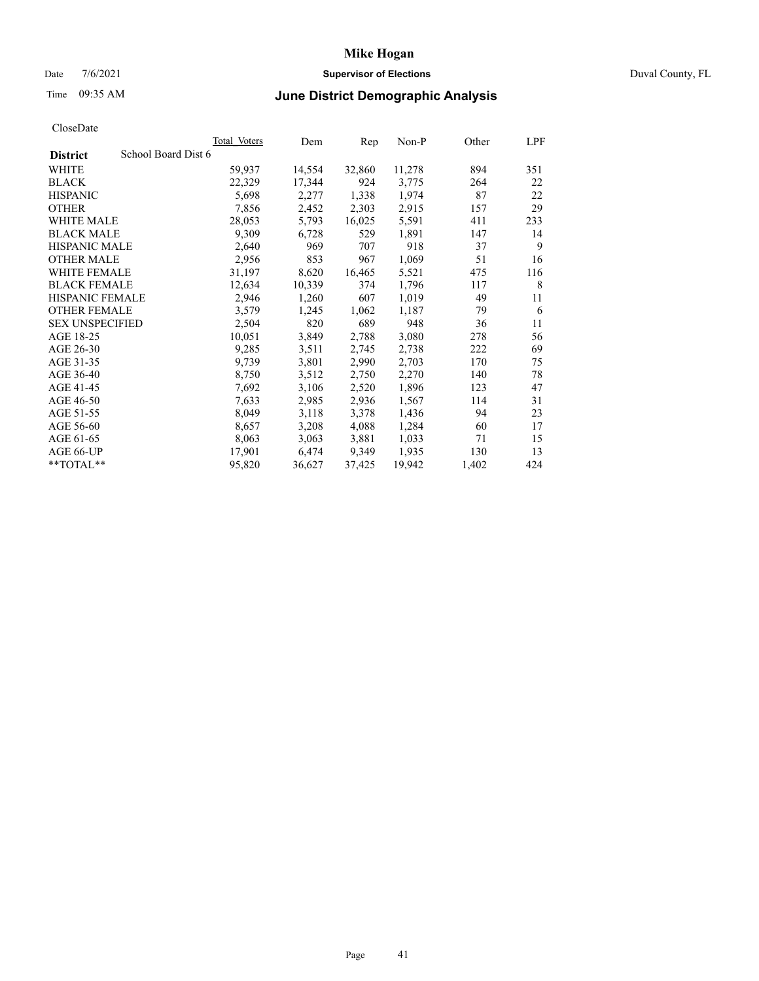## Date 7/6/2021 **Supervisor of Elections** Duval County, FL

# Time 09:35 AM **June District Demographic Analysis**

|                                        | Total Voters | Dem    | Rep    | Non-P  | Other | LPF |
|----------------------------------------|--------------|--------|--------|--------|-------|-----|
| School Board Dist 6<br><b>District</b> |              |        |        |        |       |     |
| WHITE                                  | 59,937       | 14,554 | 32,860 | 11,278 | 894   | 351 |
| <b>BLACK</b>                           | 22,329       | 17,344 | 924    | 3,775  | 264   | 22  |
| <b>HISPANIC</b>                        | 5,698        | 2,277  | 1,338  | 1,974  | 87    | 22  |
| <b>OTHER</b>                           | 7,856        | 2,452  | 2,303  | 2,915  | 157   | 29  |
| <b>WHITE MALE</b>                      | 28,053       | 5,793  | 16,025 | 5,591  | 411   | 233 |
| <b>BLACK MALE</b>                      | 9,309        | 6,728  | 529    | 1,891  | 147   | 14  |
| <b>HISPANIC MALE</b>                   | 2,640        | 969    | 707    | 918    | 37    | 9   |
| <b>OTHER MALE</b>                      | 2,956        | 853    | 967    | 1,069  | 51    | 16  |
| <b>WHITE FEMALE</b>                    | 31,197       | 8,620  | 16,465 | 5,521  | 475   | 116 |
| <b>BLACK FEMALE</b>                    | 12,634       | 10,339 | 374    | 1,796  | 117   | 8   |
| <b>HISPANIC FEMALE</b>                 | 2,946        | 1,260  | 607    | 1,019  | 49    | 11  |
| <b>OTHER FEMALE</b>                    | 3,579        | 1,245  | 1,062  | 1,187  | 79    | 6   |
| <b>SEX UNSPECIFIED</b>                 | 2,504        | 820    | 689    | 948    | 36    | 11  |
| AGE 18-25                              | 10,051       | 3,849  | 2,788  | 3,080  | 278   | 56  |
| AGE 26-30                              | 9,285        | 3,511  | 2,745  | 2,738  | 222   | 69  |
| AGE 31-35                              | 9,739        | 3,801  | 2,990  | 2,703  | 170   | 75  |
| AGE 36-40                              | 8,750        | 3,512  | 2,750  | 2,270  | 140   | 78  |
| AGE 41-45                              | 7,692        | 3,106  | 2,520  | 1,896  | 123   | 47  |
| AGE 46-50                              | 7,633        | 2,985  | 2,936  | 1,567  | 114   | 31  |
| AGE 51-55                              | 8,049        | 3,118  | 3,378  | 1,436  | 94    | 23  |
| AGE 56-60                              | 8,657        | 3,208  | 4,088  | 1,284  | 60    | 17  |
| AGE 61-65                              | 8,063        | 3,063  | 3,881  | 1,033  | 71    | 15  |
| AGE 66-UP                              | 17,901       | 6,474  | 9,349  | 1,935  | 130   | 13  |
| $*$ TOTAL $*$                          | 95,820       | 36,627 | 37,425 | 19,942 | 1,402 | 424 |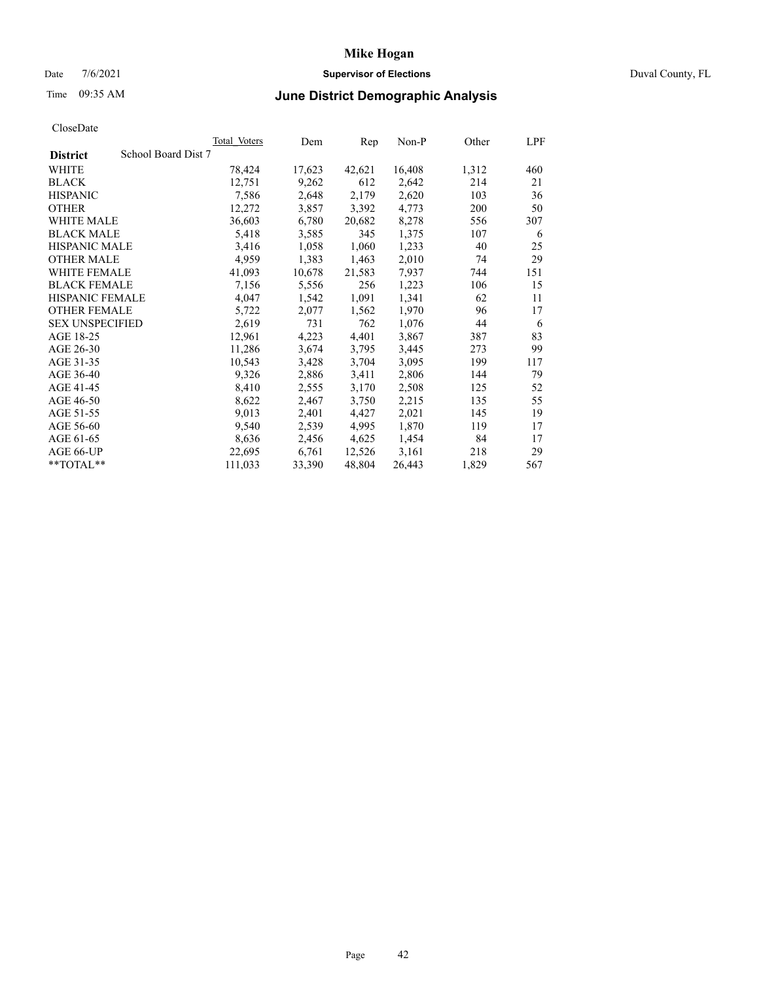### Date 7/6/2021 **Supervisor of Elections** Duval County, FL

# Time 09:35 AM **June District Demographic Analysis**

|                        | Total Voters        | Dem    | Rep    | $Non-P$ | Other | <b>LPF</b> |
|------------------------|---------------------|--------|--------|---------|-------|------------|
| <b>District</b>        | School Board Dist 7 |        |        |         |       |            |
| WHITE                  | 78,424              | 17,623 | 42,621 | 16,408  | 1,312 | 460        |
| <b>BLACK</b>           | 12,751              | 9,262  | 612    | 2,642   | 214   | 21         |
| <b>HISPANIC</b>        | 7,586               | 2,648  | 2,179  | 2,620   | 103   | 36         |
| <b>OTHER</b>           | 12,272              | 3,857  | 3,392  | 4,773   | 200   | 50         |
| <b>WHITE MALE</b>      | 36,603              | 6,780  | 20,682 | 8,278   | 556   | 307        |
| <b>BLACK MALE</b>      | 5,418               | 3,585  | 345    | 1,375   | 107   | 6          |
| <b>HISPANIC MALE</b>   | 3,416               | 1,058  | 1,060  | 1,233   | 40    | 25         |
| <b>OTHER MALE</b>      | 4,959               | 1,383  | 1,463  | 2,010   | 74    | 29         |
| <b>WHITE FEMALE</b>    | 41,093              | 10,678 | 21,583 | 7,937   | 744   | 151        |
| <b>BLACK FEMALE</b>    | 7,156               | 5,556  | 256    | 1,223   | 106   | 15         |
| HISPANIC FEMALE        | 4,047               | 1,542  | 1,091  | 1,341   | 62    | 11         |
| <b>OTHER FEMALE</b>    | 5,722               | 2,077  | 1,562  | 1,970   | 96    | 17         |
| <b>SEX UNSPECIFIED</b> | 2,619               | 731    | 762    | 1,076   | 44    | 6          |
| AGE 18-25              | 12,961              | 4,223  | 4,401  | 3,867   | 387   | 83         |
| AGE 26-30              | 11,286              | 3,674  | 3,795  | 3,445   | 273   | 99         |
| AGE 31-35              | 10,543              | 3,428  | 3,704  | 3,095   | 199   | 117        |
| AGE 36-40              | 9,326               | 2,886  | 3,411  | 2,806   | 144   | 79         |
| AGE 41-45              | 8,410               | 2,555  | 3,170  | 2,508   | 125   | 52         |
| AGE 46-50              | 8,622               | 2,467  | 3,750  | 2,215   | 135   | 55         |
| AGE 51-55              | 9,013               | 2,401  | 4,427  | 2,021   | 145   | 19         |
| AGE 56-60              | 9,540               | 2,539  | 4,995  | 1,870   | 119   | 17         |
| AGE 61-65              | 8,636               | 2,456  | 4,625  | 1,454   | 84    | 17         |
| AGE 66-UP              | 22,695              | 6,761  | 12,526 | 3,161   | 218   | 29         |
| **TOTAL**              | 111,033             | 33,390 | 48,804 | 26,443  | 1,829 | 567        |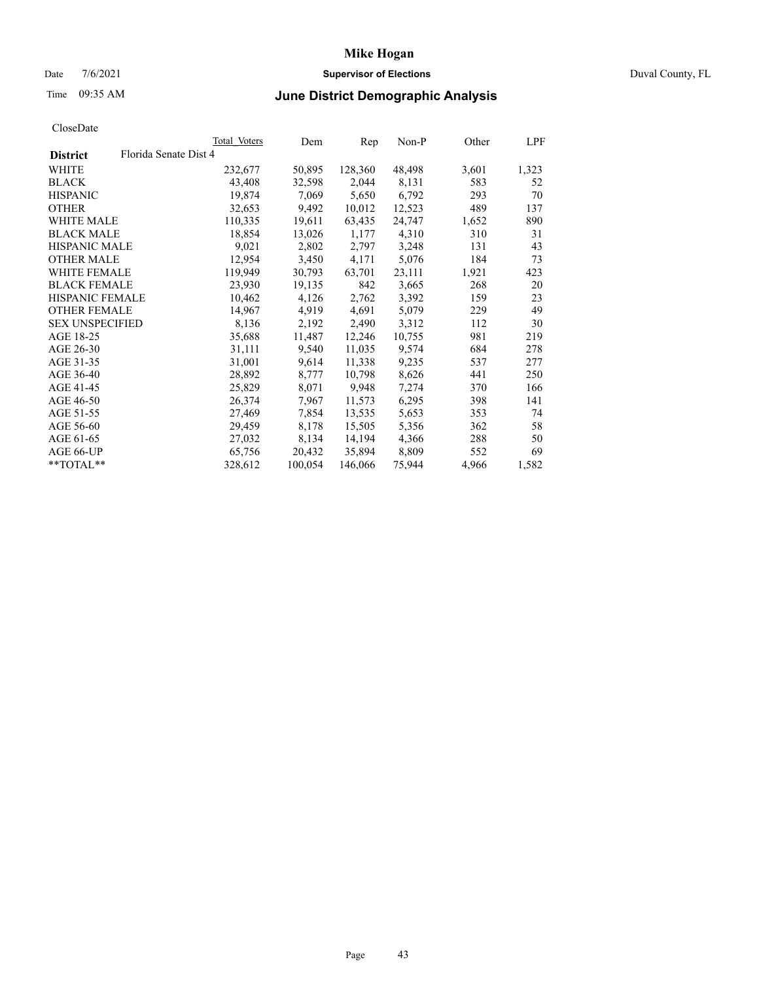### Date 7/6/2021 **Supervisor of Elections** Duval County, FL

## Time 09:35 AM **June District Demographic Analysis**

|                                          | <b>Total Voters</b> | Dem     | Rep     | $Non-P$ | Other | LPF   |
|------------------------------------------|---------------------|---------|---------|---------|-------|-------|
| Florida Senate Dist 4<br><b>District</b> |                     |         |         |         |       |       |
| WHITE                                    | 232,677             | 50,895  | 128,360 | 48,498  | 3,601 | 1,323 |
| <b>BLACK</b>                             | 43,408              | 32,598  | 2,044   | 8,131   | 583   | 52    |
| <b>HISPANIC</b>                          | 19,874              | 7,069   | 5,650   | 6,792   | 293   | 70    |
| <b>OTHER</b>                             | 32,653              | 9,492   | 10,012  | 12,523  | 489   | 137   |
| <b>WHITE MALE</b>                        | 110,335             | 19,611  | 63,435  | 24,747  | 1,652 | 890   |
| <b>BLACK MALE</b>                        | 18,854              | 13,026  | 1,177   | 4,310   | 310   | 31    |
| <b>HISPANIC MALE</b>                     | 9,021               | 2,802   | 2,797   | 3,248   | 131   | 43    |
| <b>OTHER MALE</b>                        | 12,954              | 3,450   | 4,171   | 5,076   | 184   | 73    |
| <b>WHITE FEMALE</b>                      | 119,949             | 30,793  | 63,701  | 23,111  | 1,921 | 423   |
| <b>BLACK FEMALE</b>                      | 23,930              | 19,135  | 842     | 3,665   | 268   | 20    |
| HISPANIC FEMALE                          | 10,462              | 4,126   | 2,762   | 3,392   | 159   | 23    |
| <b>OTHER FEMALE</b>                      | 14,967              | 4,919   | 4,691   | 5,079   | 229   | 49    |
| <b>SEX UNSPECIFIED</b>                   | 8,136               | 2,192   | 2,490   | 3,312   | 112   | 30    |
| AGE 18-25                                | 35,688              | 11,487  | 12,246  | 10,755  | 981   | 219   |
| AGE 26-30                                | 31,111              | 9,540   | 11,035  | 9,574   | 684   | 278   |
| AGE 31-35                                | 31,001              | 9,614   | 11,338  | 9,235   | 537   | 277   |
| AGE 36-40                                | 28,892              | 8,777   | 10,798  | 8,626   | 441   | 250   |
| AGE 41-45                                | 25,829              | 8,071   | 9,948   | 7,274   | 370   | 166   |
| AGE 46-50                                | 26,374              | 7,967   | 11,573  | 6,295   | 398   | 141   |
| AGE 51-55                                | 27,469              | 7,854   | 13,535  | 5,653   | 353   | 74    |
| AGE 56-60                                | 29,459              | 8,178   | 15,505  | 5,356   | 362   | 58    |
| AGE 61-65                                | 27,032              | 8,134   | 14,194  | 4,366   | 288   | 50    |
| AGE 66-UP                                | 65,756              | 20,432  | 35,894  | 8,809   | 552   | 69    |
| **TOTAL**                                | 328,612             | 100,054 | 146,066 | 75,944  | 4,966 | 1,582 |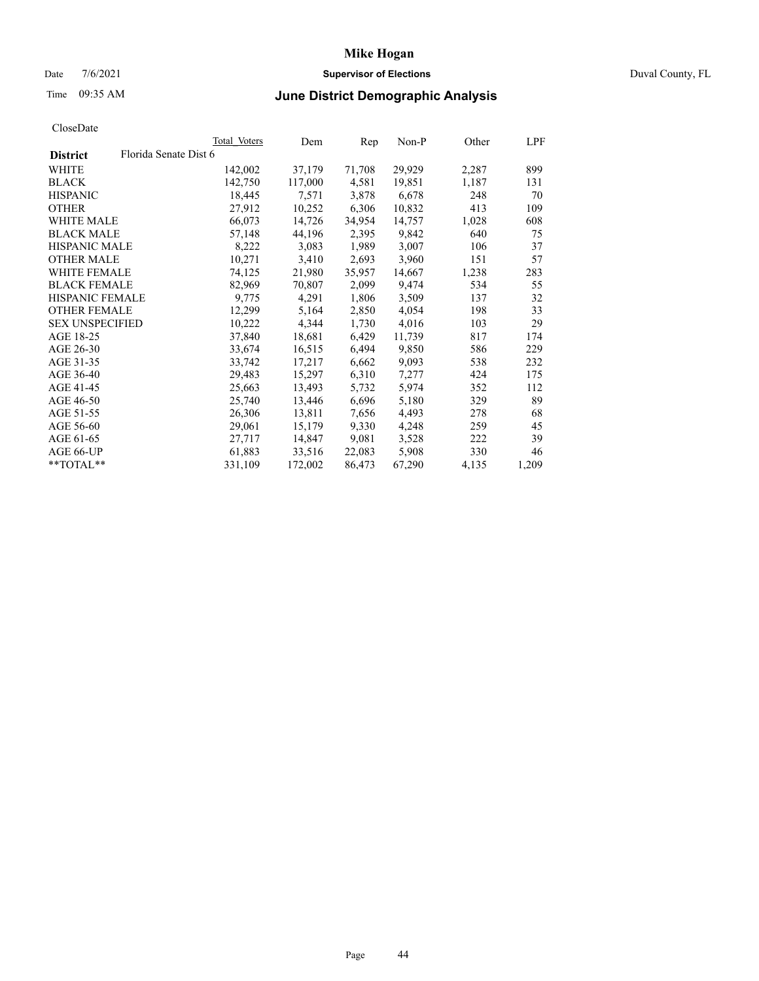## Date 7/6/2021 **Supervisor of Elections** Duval County, FL

# Time 09:35 AM **June District Demographic Analysis**

|                        |                       | Total Voters | Dem     | Rep    | <u>Non-P</u> | Other | LPF   |
|------------------------|-----------------------|--------------|---------|--------|--------------|-------|-------|
| <b>District</b>        | Florida Senate Dist 6 |              |         |        |              |       |       |
| WHITE                  |                       | 142,002      | 37,179  | 71,708 | 29,929       | 2,287 | 899   |
| <b>BLACK</b>           |                       | 142,750      | 117,000 | 4,581  | 19,851       | 1,187 | 131   |
| <b>HISPANIC</b>        |                       | 18,445       | 7,571   | 3,878  | 6,678        | 248   | 70    |
| <b>OTHER</b>           |                       | 27,912       | 10,252  | 6,306  | 10,832       | 413   | 109   |
| <b>WHITE MALE</b>      |                       | 66,073       | 14,726  | 34,954 | 14,757       | 1,028 | 608   |
| <b>BLACK MALE</b>      |                       | 57,148       | 44,196  | 2,395  | 9,842        | 640   | 75    |
| <b>HISPANIC MALE</b>   |                       | 8,222        | 3,083   | 1,989  | 3,007        | 106   | 37    |
| <b>OTHER MALE</b>      |                       | 10,271       | 3,410   | 2,693  | 3,960        | 151   | 57    |
| <b>WHITE FEMALE</b>    |                       | 74,125       | 21,980  | 35,957 | 14,667       | 1,238 | 283   |
| <b>BLACK FEMALE</b>    |                       | 82,969       | 70,807  | 2,099  | 9,474        | 534   | 55    |
| HISPANIC FEMALE        |                       | 9,775        | 4,291   | 1,806  | 3,509        | 137   | 32    |
| <b>OTHER FEMALE</b>    |                       | 12,299       | 5,164   | 2,850  | 4,054        | 198   | 33    |
| <b>SEX UNSPECIFIED</b> |                       | 10,222       | 4,344   | 1,730  | 4,016        | 103   | 29    |
| AGE 18-25              |                       | 37,840       | 18,681  | 6,429  | 11,739       | 817   | 174   |
| AGE 26-30              |                       | 33,674       | 16,515  | 6,494  | 9,850        | 586   | 229   |
| AGE 31-35              |                       | 33,742       | 17,217  | 6,662  | 9,093        | 538   | 232   |
| AGE 36-40              |                       | 29,483       | 15,297  | 6,310  | 7,277        | 424   | 175   |
| AGE 41-45              |                       | 25,663       | 13,493  | 5,732  | 5,974        | 352   | 112   |
| AGE 46-50              |                       | 25,740       | 13,446  | 6,696  | 5,180        | 329   | 89    |
| AGE 51-55              |                       | 26,306       | 13,811  | 7,656  | 4,493        | 278   | 68    |
| AGE 56-60              |                       | 29,061       | 15,179  | 9,330  | 4,248        | 259   | 45    |
| AGE 61-65              |                       | 27,717       | 14,847  | 9,081  | 3,528        | 222   | 39    |
| AGE 66-UP              |                       | 61,883       | 33,516  | 22,083 | 5,908        | 330   | 46    |
| $*$ TOTAL $*$          |                       | 331,109      | 172,002 | 86,473 | 67,290       | 4,135 | 1,209 |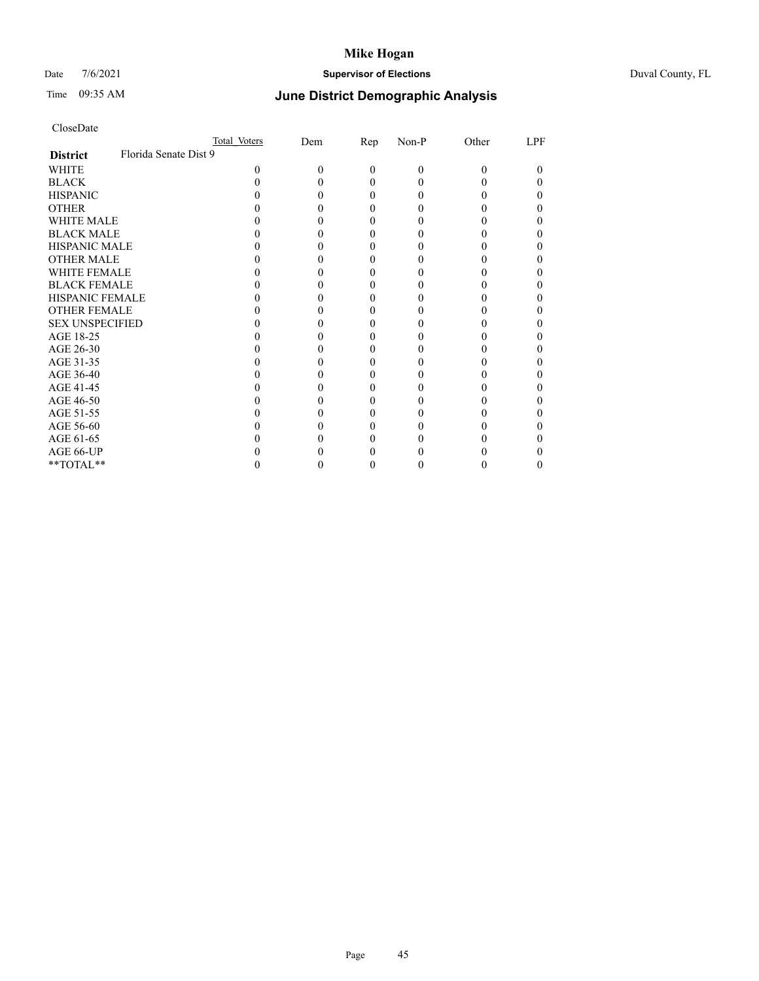## Date 7/6/2021 **Supervisor of Elections** Duval County, FL

# Time 09:35 AM **June District Demographic Analysis**

|                        |                       | Total Voters | Dem | $\mathbf{Rep}$ | Non-P | Other | LPF |
|------------------------|-----------------------|--------------|-----|----------------|-------|-------|-----|
| <b>District</b>        | Florida Senate Dist 9 |              |     |                |       |       |     |
| WHITE                  |                       | 0            | 0   | $\Omega$       | 0     | 0     | 0   |
| <b>BLACK</b>           |                       |              |     | 0              |       |       |     |
| <b>HISPANIC</b>        |                       |              |     | 0              |       |       | 0   |
| <b>OTHER</b>           |                       |              |     |                |       |       |     |
| WHITE MALE             |                       |              |     |                |       |       |     |
| <b>BLACK MALE</b>      |                       |              |     |                |       |       |     |
| <b>HISPANIC MALE</b>   |                       |              |     |                |       |       |     |
| <b>OTHER MALE</b>      |                       |              |     |                |       |       |     |
| <b>WHITE FEMALE</b>    |                       |              |     |                |       |       |     |
| <b>BLACK FEMALE</b>    |                       |              |     |                |       |       |     |
| <b>HISPANIC FEMALE</b> |                       |              |     |                |       |       |     |
| <b>OTHER FEMALE</b>    |                       |              |     |                |       |       |     |
| <b>SEX UNSPECIFIED</b> |                       |              |     |                |       |       |     |
| AGE 18-25              |                       |              |     |                |       |       |     |
| AGE 26-30              |                       |              |     |                |       |       |     |
| AGE 31-35              |                       |              |     |                |       |       |     |
| AGE 36-40              |                       |              |     |                |       |       |     |
| AGE 41-45              |                       |              |     |                |       |       |     |
| AGE 46-50              |                       |              |     |                |       |       |     |
| AGE 51-55              |                       |              |     |                |       |       |     |
| AGE 56-60              |                       |              |     |                |       |       |     |
| AGE 61-65              |                       |              |     |                |       |       |     |
| AGE 66-UP              |                       |              |     |                |       |       |     |
| **TOTAL**              |                       |              |     | 0              |       | 0     | 0   |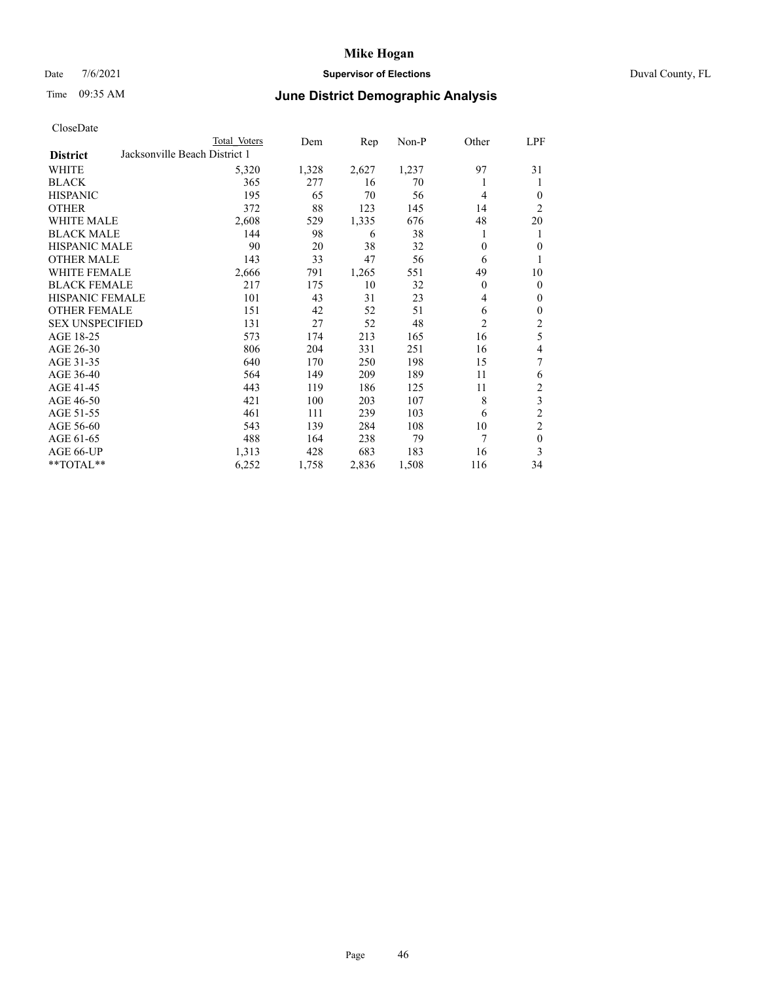### Date 7/6/2021 **Supervisor of Elections** Duval County, FL

# Time 09:35 AM **June District Demographic Analysis**

| CloseDate |  |
|-----------|--|
|-----------|--|

|                                                  | Total Voters | Dem   | Rep   | Non-P | Other          | LPF            |
|--------------------------------------------------|--------------|-------|-------|-------|----------------|----------------|
| Jacksonville Beach District 1<br><b>District</b> |              |       |       |       |                |                |
| WHITE                                            | 5,320        | 1,328 | 2,627 | 1,237 | 97             | 31             |
| <b>BLACK</b>                                     | 365          | 277   | 16    | 70    | 1              | 1              |
| <b>HISPANIC</b>                                  | 195          | 65    | 70    | 56    | $\overline{4}$ | $\theta$       |
| <b>OTHER</b>                                     | 372          | 88    | 123   | 145   | 14             | 2              |
| <b>WHITE MALE</b>                                | 2,608        | 529   | 1,335 | 676   | 48             | 20             |
| <b>BLACK MALE</b>                                | 144          | 98    | 6     | 38    | 1              | 1              |
| HISPANIC MALE                                    | 90           | 20    | 38    | 32    | $\theta$       | 0              |
| <b>OTHER MALE</b>                                | 143          | 33    | 47    | 56    | 6              |                |
| <b>WHITE FEMALE</b>                              | 2,666        | 791   | 1,265 | 551   | 49             | 10             |
| <b>BLACK FEMALE</b>                              | 217          | 175   | 10    | 32    | $\theta$       | $\theta$       |
| HISPANIC FEMALE                                  | 101          | 43    | 31    | 23    | 4              | 0              |
| <b>OTHER FEMALE</b>                              | 151          | 42    | 52    | 51    | 6              | 0              |
| <b>SEX UNSPECIFIED</b>                           | 131          | 27    | 52    | 48    | $\overline{c}$ | 2              |
| AGE 18-25                                        | 573          | 174   | 213   | 165   | 16             | 5              |
| AGE 26-30                                        | 806          | 204   | 331   | 251   | 16             | 4              |
| AGE 31-35                                        | 640          | 170   | 250   | 198   | 15             | 7              |
| AGE 36-40                                        | 564          | 149   | 209   | 189   | 11             | 6              |
| AGE 41-45                                        | 443          | 119   | 186   | 125   | 11             | $\overline{c}$ |
| AGE 46-50                                        | 421          | 100   | 203   | 107   | 8              | 3              |
| AGE 51-55                                        | 461          | 111   | 239   | 103   | 6              | 2              |
| AGE 56-60                                        | 543          | 139   | 284   | 108   | 10             | $\overline{2}$ |
| AGE 61-65                                        | 488          | 164   | 238   | 79    | 7              | $\theta$       |
| AGE 66-UP                                        | 1,313        | 428   | 683   | 183   | 16             | 3              |
| **TOTAL**                                        | 6,252        | 1,758 | 2,836 | 1,508 | 116            | 34             |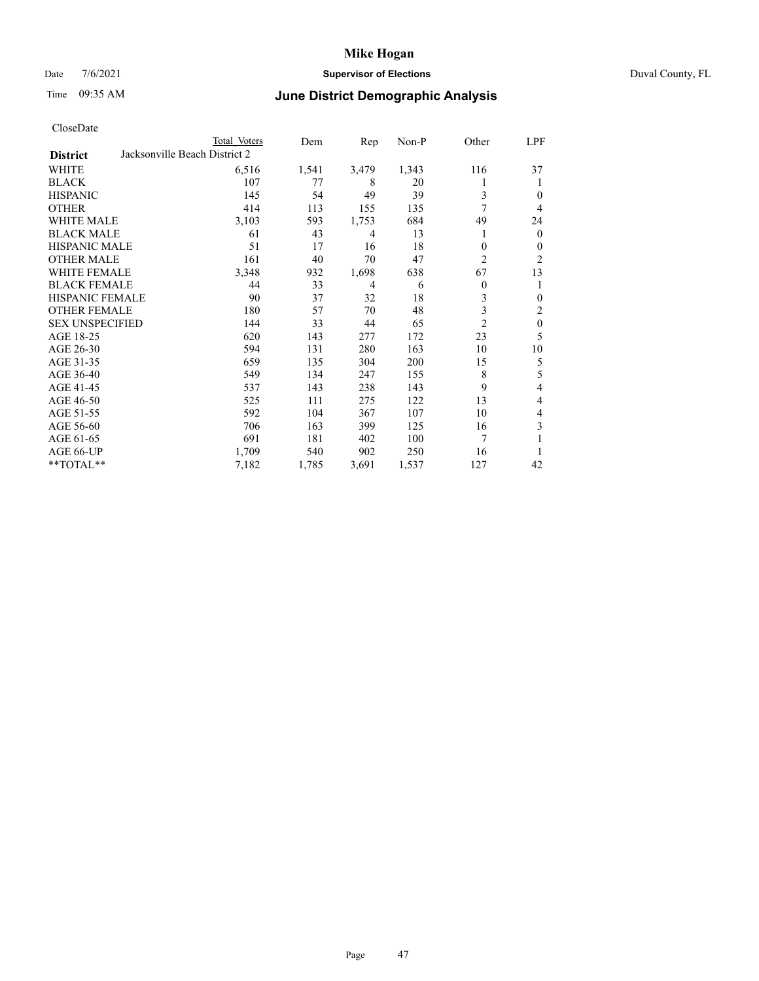### Date 7/6/2021 **Supervisor of Elections** Duval County, FL

# Time 09:35 AM **June District Demographic Analysis**

| CloseDate |  |
|-----------|--|
|-----------|--|

|                                                  | Total Voters | Dem   | Rep   | Non-P | Other          | LPF              |
|--------------------------------------------------|--------------|-------|-------|-------|----------------|------------------|
| Jacksonville Beach District 2<br><b>District</b> |              |       |       |       |                |                  |
| WHITE                                            | 6,516        | 1,541 | 3,479 | 1,343 | 116            | 37               |
| <b>BLACK</b>                                     | 107          | 77    | 8     | 20    |                | 1                |
| <b>HISPANIC</b>                                  | 145          | 54    | 49    | 39    | 3              | $\Omega$         |
| <b>OTHER</b>                                     | 414          | 113   | 155   | 135   | 7              | $\overline{4}$   |
| <b>WHITE MALE</b>                                | 3,103        | 593   | 1,753 | 684   | 49             | 24               |
| <b>BLACK MALE</b>                                | 61           | 43    | 4     | 13    | 1              | $\mathbf{0}$     |
| <b>HISPANIC MALE</b>                             | 51           | 17    | 16    | 18    | 0              | $\mathbf{0}$     |
| <b>OTHER MALE</b>                                | 161          | 40    | 70    | 47    | 2              | $\overline{2}$   |
| <b>WHITE FEMALE</b>                              | 3,348        | 932   | 1,698 | 638   | 67             | 13               |
| <b>BLACK FEMALE</b>                              | 44           | 33    | 4     | 6     | 0              | 1                |
| HISPANIC FEMALE                                  | 90           | 37    | 32    | 18    | 3              | $\theta$         |
| <b>OTHER FEMALE</b>                              | 180          | 57    | 70    | 48    | 3              | $\overline{c}$   |
| <b>SEX UNSPECIFIED</b>                           | 144          | 33    | 44    | 65    | $\overline{2}$ | $\boldsymbol{0}$ |
| AGE 18-25                                        | 620          | 143   | 277   | 172   | 23             | 5                |
| AGE 26-30                                        | 594          | 131   | 280   | 163   | 10             | 10               |
| AGE 31-35                                        | 659          | 135   | 304   | 200   | 15             | 5                |
| AGE 36-40                                        | 549          | 134   | 247   | 155   | 8              | 5                |
| AGE 41-45                                        | 537          | 143   | 238   | 143   | 9              | 4                |
| AGE 46-50                                        | 525          | 111   | 275   | 122   | 13             | 4                |
| AGE 51-55                                        | 592          | 104   | 367   | 107   | 10             | 4                |
| AGE 56-60                                        | 706          | 163   | 399   | 125   | 16             | 3                |
| AGE 61-65                                        | 691          | 181   | 402   | 100   | 7              | 1                |
| AGE 66-UP                                        | 1,709        | 540   | 902   | 250   | 16             |                  |
| **TOTAL**                                        | 7,182        | 1,785 | 3,691 | 1,537 | 127            | 42               |